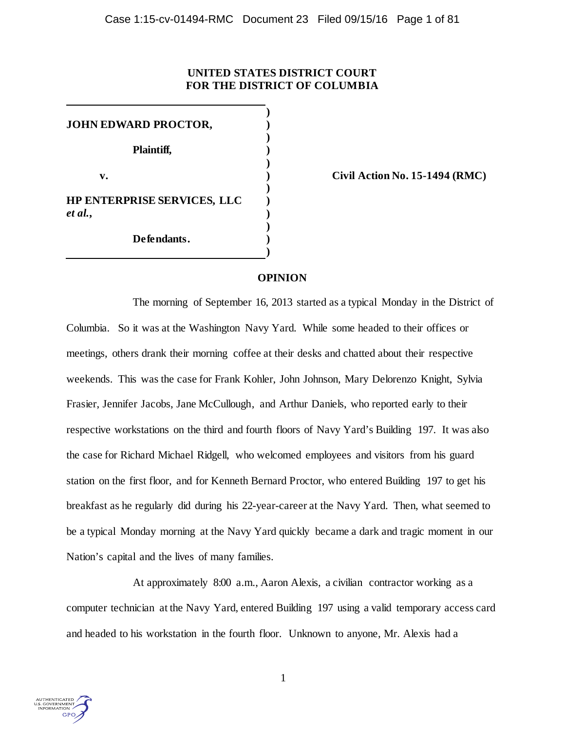# **UNITED STATES DISTRICT COURT FOR THE DISTRICT OF COLUMBIA**

**) JOHN EDWARD PROCTOR, ) ) Plaintiff, ) ) v. ) Civil Action No. 15-1494 (RMC) ) HP ENTERPRISE SERVICES, LLC )** *et al.***, ) ) Defendants. )**

## **OPINION**

**)**

The morning of September 16, 2013 started as a typical Monday in the District of Columbia. So it was at the Washington Navy Yard. While some headed to their offices or meetings, others drank their morning coffee at their desks and chatted about their respective weekends. This was the case for Frank Kohler, John Johnson, Mary Delorenzo Knight, Sylvia Frasier, Jennifer Jacobs, Jane McCullough, and Arthur Daniels, who reported early to their respective workstations on the third and fourth floors of Navy Yard's Building 197. It was also the case for Richard Michael Ridgell, who welcomed employees and visitors from his guard station on the first floor, and for Kenneth Bernard Proctor, who entered Building 197 to get his breakfast as he regularly did during his 22-year-career at the Navy Yard. Then, what seemed to be a typical Monday morning at the Navy Yard quickly became a dark and tragic moment in our Nation's capital and the lives of many families.

At approximately 8:00 a.m., Aaron Alexis, a civilian contractor working as a computer technician at the Navy Yard, entered Building 197 using a valid temporary access card and headed to his workstation in the fourth floor. Unknown to anyone, Mr. Alexis had a

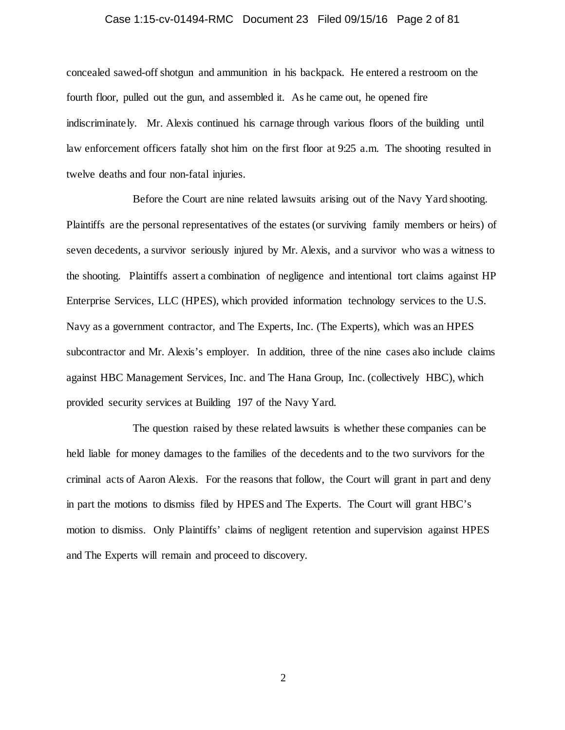## Case 1:15-cv-01494-RMC Document 23 Filed 09/15/16 Page 2 of 81

concealed sawed-off shotgun and ammunition in his backpack. He entered a restroom on the fourth floor, pulled out the gun, and assembled it. As he came out, he opened fire indiscriminately. Mr. Alexis continued his carnage through various floors of the building until law enforcement officers fatally shot him on the first floor at 9:25 a.m. The shooting resulted in twelve deaths and four non-fatal injuries.

Before the Court are nine related lawsuits arising out of the Navy Yard shooting. Plaintiffs are the personal representatives of the estates (or surviving family members or heirs) of seven decedents, a survivor seriously injured by Mr. Alexis, and a survivor who was a witness to the shooting. Plaintiffs assert a combination of negligence and intentional tort claims against HP Enterprise Services, LLC (HPES), which provided information technology services to the U.S. Navy as a government contractor, and The Experts, Inc. (The Experts), which was an HPES subcontractor and Mr. Alexis's employer. In addition, three of the nine cases also include claims against HBC Management Services, Inc. and The Hana Group, Inc. (collectively HBC), which provided security services at Building 197 of the Navy Yard.

The question raised by these related lawsuits is whether these companies can be held liable for money damages to the families of the decedents and to the two survivors for the criminal acts of Aaron Alexis. For the reasons that follow, the Court will grant in part and deny in part the motions to dismiss filed by HPES and The Experts. The Court will grant HBC's motion to dismiss. Only Plaintiffs' claims of negligent retention and supervision against HPES and The Experts will remain and proceed to discovery.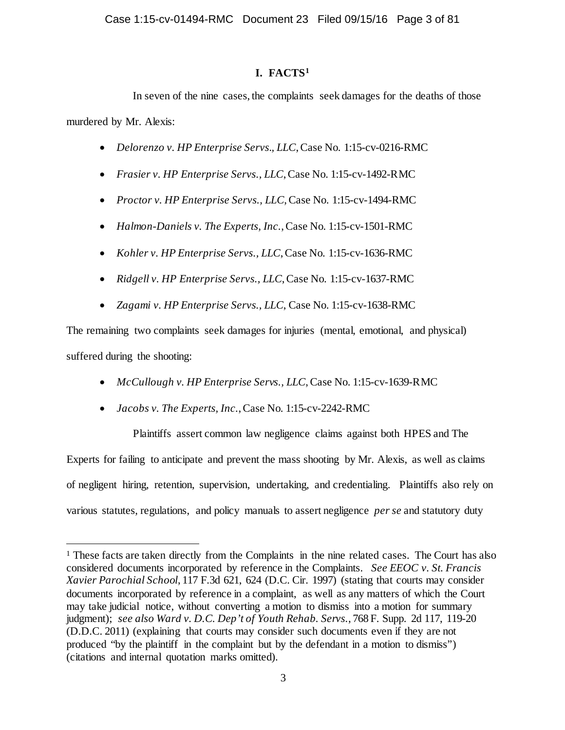# **I. FACTS[1](#page-2-0)**

In seven of the nine cases, the complaints seek damages for the deaths of those murdered by Mr. Alexis:

- *Delorenzo v. HP Enterprise Servs., LLC*, Case No. 1:15-cv-0216-RMC
- *Frasier v. HP Enterprise Servs., LLC*, Case No. 1:15-cv-1492-RMC
- *Proctor v. HP Enterprise Servs., LLC*, Case No. 1:15-cv-1494-RMC
- *Halmon-Daniels v. The Experts, Inc.*, Case No. 1:15-cv-1501-RMC
- *Kohler v. HP Enterprise Servs., LLC*, Case No. 1:15-cv-1636-RMC
- *Ridgell v. HP Enterprise Servs., LLC*, Case No. 1:15-cv-1637-RMC
- *Zagami v. HP Enterprise Servs., LLC*, Case No. 1:15-cv-1638-RMC

The remaining two complaints seek damages for injuries (mental, emotional, and physical) suffered during the shooting:

- *McCullough v. HP Enterprise Servs., LLC*, Case No. 1:15-cv-1639-RMC
- *Jacobs v. The Experts, Inc.*, Case No. 1:15-cv-2242-RMC

Plaintiffs assert common law negligence claims against both HPES and The Experts for failing to anticipate and prevent the mass shooting by Mr. Alexis, as well as claims of negligent hiring, retention, supervision, undertaking, and credentialing. Plaintiffs also rely on various statutes, regulations, and policy manuals to assert negligence *per se* and statutory duty

<span id="page-2-0"></span><sup>&</sup>lt;sup>1</sup> These facts are taken directly from the Complaints in the nine related cases. The Court has also considered documents incorporated by reference in the Complaints. *See EEOC v. St. Francis Xavier Parochial School*, 117 F.3d 621, 624 (D.C. Cir. 1997) (stating that courts may consider documents incorporated by reference in a complaint, as well as any matters of which the Court may take judicial notice, without converting a motion to dismiss into a motion for summary judgment); *see also Ward v. D.C. Dep't of Youth Rehab. Servs.*, 768 F. Supp. 2d 117, 119-20 (D.D.C. 2011) (explaining that courts may consider such documents even if they are not produced "by the plaintiff in the complaint but by the defendant in a motion to dismiss") (citations and internal quotation marks omitted).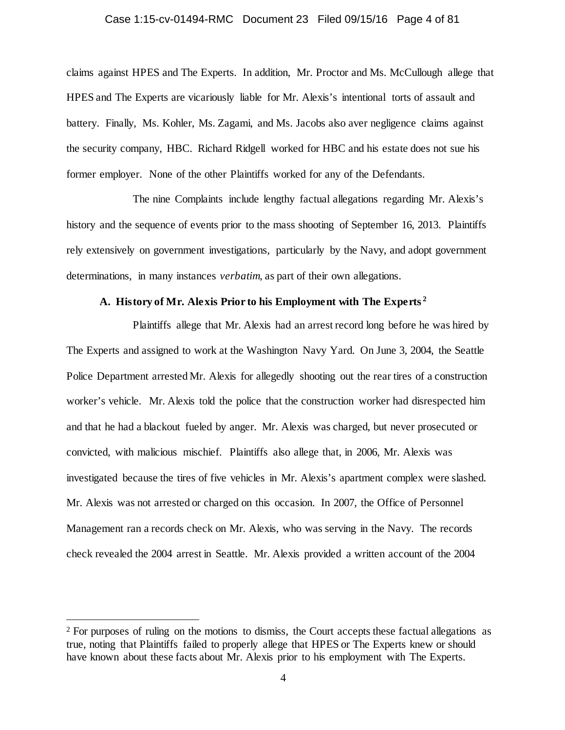#### Case 1:15-cv-01494-RMC Document 23 Filed 09/15/16 Page 4 of 81

claims against HPES and The Experts. In addition, Mr. Proctor and Ms. McCullough allege that HPES and The Experts are vicariously liable for Mr. Alexis's intentional torts of assault and battery. Finally, Ms. Kohler, Ms. Zagami, and Ms. Jacobs also aver negligence claims against the security company, HBC. Richard Ridgell worked for HBC and his estate does not sue his former employer. None of the other Plaintiffs worked for any of the Defendants.

The nine Complaints include lengthy factual allegations regarding Mr. Alexis's history and the sequence of events prior to the mass shooting of September 16, 2013. Plaintiffs rely extensively on government investigations, particularly by the Navy, and adopt government determinations, in many instances *verbatim*, as part of their own allegations.

## **A. History of Mr. Alexis Prior to his Employment with The Experts [2](#page-3-0)**

Plaintiffs allege that Mr. Alexis had an arrest record long before he was hired by The Experts and assigned to work at the Washington Navy Yard. On June 3, 2004, the Seattle Police Department arrested Mr. Alexis for allegedly shooting out the rear tires of a construction worker's vehicle. Mr. Alexis told the police that the construction worker had disrespected him and that he had a blackout fueled by anger. Mr. Alexis was charged, but never prosecuted or convicted, with malicious mischief. Plaintiffs also allege that, in 2006, Mr. Alexis was investigated because the tires of five vehicles in Mr. Alexis's apartment complex were slashed. Mr. Alexis was not arrested or charged on this occasion. In 2007, the Office of Personnel Management ran a records check on Mr. Alexis, who was serving in the Navy. The records check revealed the 2004 arrest in Seattle. Mr. Alexis provided a written account of the 2004

<span id="page-3-0"></span><sup>&</sup>lt;sup>2</sup> For purposes of ruling on the motions to dismiss, the Court accepts these factual allegations as true, noting that Plaintiffs failed to properly allege that HPES or The Experts knew or should have known about these facts about Mr. Alexis prior to his employment with The Experts.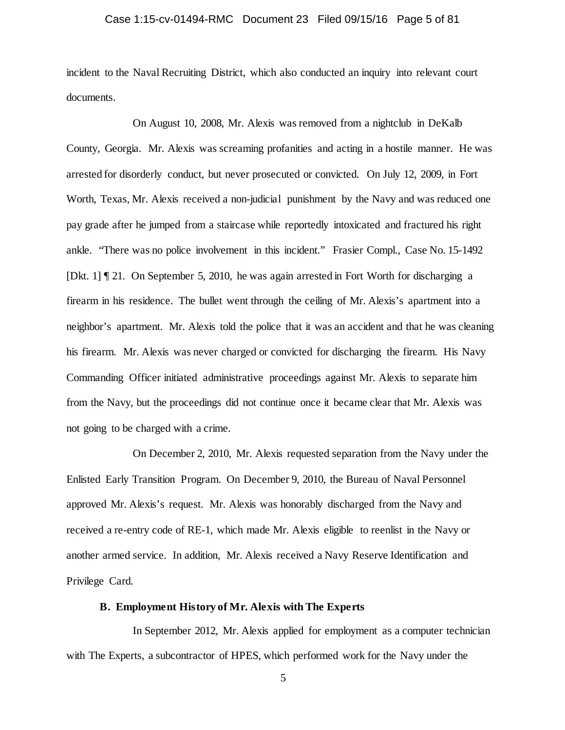## Case 1:15-cv-01494-RMC Document 23 Filed 09/15/16 Page 5 of 81

incident to the Naval Recruiting District, which also conducted an inquiry into relevant court documents.

On August 10, 2008, Mr. Alexis was removed from a nightclub in DeKalb County, Georgia. Mr. Alexis was screaming profanities and acting in a hostile manner. He was arrested for disorderly conduct, but never prosecuted or convicted. On July 12, 2009, in Fort Worth, Texas, Mr. Alexis received a non-judicial punishment by the Navy and was reduced one pay grade after he jumped from a staircase while reportedly intoxicated and fractured his right ankle. "There was no police involvement in this incident." Frasier Compl., Case No. 15-1492 [Dkt. 1] ¶ 21. On September 5, 2010, he was again arrested in Fort Worth for discharging a firearm in his residence. The bullet went through the ceiling of Mr. Alexis's apartment into a neighbor's apartment. Mr. Alexis told the police that it was an accident and that he was cleaning his firearm. Mr. Alexis was never charged or convicted for discharging the firearm. His Navy Commanding Officer initiated administrative proceedings against Mr. Alexis to separate him from the Navy, but the proceedings did not continue once it became clear that Mr. Alexis was not going to be charged with a crime.

On December 2, 2010, Mr. Alexis requested separation from the Navy under the Enlisted Early Transition Program. On December 9, 2010, the Bureau of Naval Personnel approved Mr. Alexis's request. Mr. Alexis was honorably discharged from the Navy and received a re-entry code of RE-1, which made Mr. Alexis eligible to reenlist in the Navy or another armed service. In addition, Mr. Alexis received a Navy Reserve Identification and Privilege Card.

## **B. Employment History of Mr. Alexis with The Experts**

In September 2012, Mr. Alexis applied for employment as a computer technician with The Experts, a subcontractor of HPES, which performed work for the Navy under the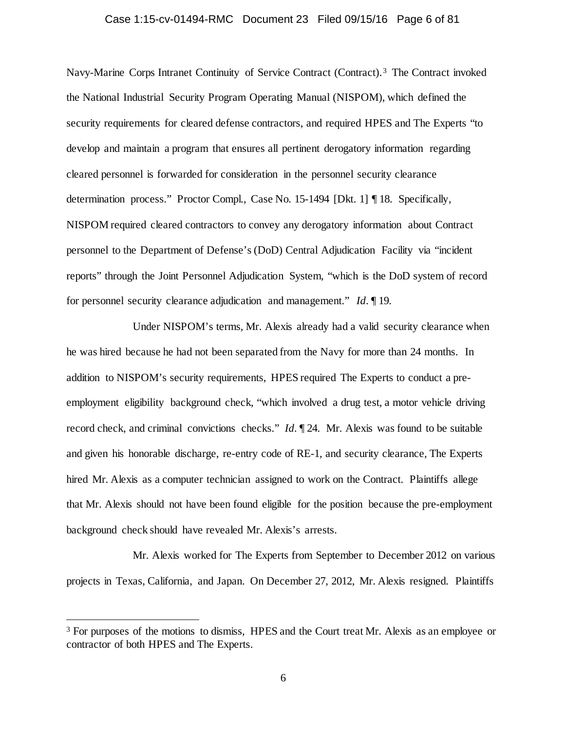## Case 1:15-cv-01494-RMC Document 23 Filed 09/15/16 Page 6 of 81

Navy-Marine Corps Intranet Continuity of Service Contract (Contract). [3](#page-5-0) The Contract invoked the National Industrial Security Program Operating Manual (NISPOM), which defined the security requirements for cleared defense contractors, and required HPES and The Experts "to develop and maintain a program that ensures all pertinent derogatory information regarding cleared personnel is forwarded for consideration in the personnel security clearance determination process." Proctor Compl., Case No. 15-1494 [Dkt. 1] ¶ 18. Specifically, NISPOM required cleared contractors to convey any derogatory information about Contract personnel to the Department of Defense's (DoD) Central Adjudication Facility via "incident reports" through the Joint Personnel Adjudication System, "which is the DoD system of record for personnel security clearance adjudication and management." *Id.* ¶ 19.

Under NISPOM's terms, Mr. Alexis already had a valid security clearance when he was hired because he had not been separated from the Navy for more than 24 months. In addition to NISPOM's security requirements, HPES required The Experts to conduct a preemployment eligibility background check, "which involved a drug test, a motor vehicle driving record check, and criminal convictions checks." *Id.* ¶ 24. Mr. Alexis was found to be suitable and given his honorable discharge, re-entry code of RE-1, and security clearance, The Experts hired Mr. Alexis as a computer technician assigned to work on the Contract. Plaintiffs allege that Mr. Alexis should not have been found eligible for the position because the pre-employment background check should have revealed Mr. Alexis's arrests.

Mr. Alexis worked for The Experts from September to December 2012 on various projects in Texas, California, and Japan. On December 27, 2012, Mr. Alexis resigned. Plaintiffs

<span id="page-5-0"></span><sup>&</sup>lt;sup>3</sup> For purposes of the motions to dismiss, HPES and the Court treat Mr. Alexis as an employee or contractor of both HPES and The Experts.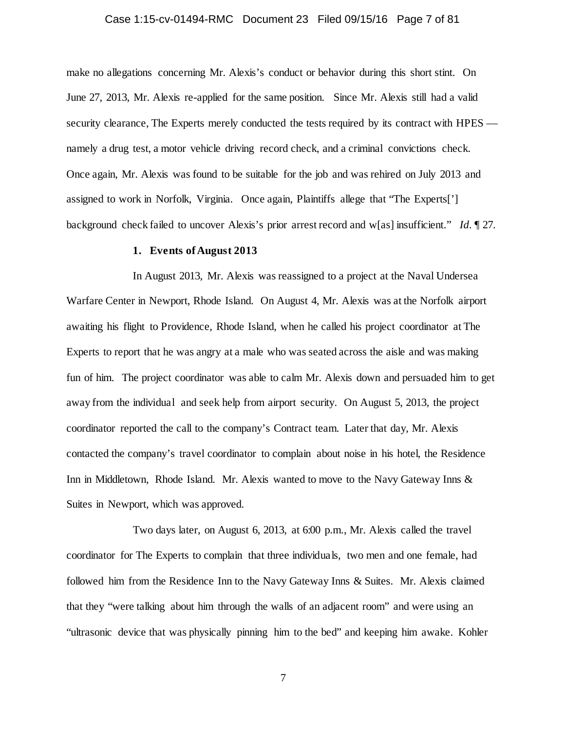## Case 1:15-cv-01494-RMC Document 23 Filed 09/15/16 Page 7 of 81

make no allegations concerning Mr. Alexis's conduct or behavior during this short stint. On June 27, 2013, Mr. Alexis re-applied for the same position. Since Mr. Alexis still had a valid security clearance. The Experts merely conducted the tests required by its contract with HPES –– namely a drug test, a motor vehicle driving record check, and a criminal convictions check. Once again, Mr. Alexis was found to be suitable for the job and was rehired on July 2013 and assigned to work in Norfolk, Virginia. Once again, Plaintiffs allege that "The Experts['] background check failed to uncover Alexis's prior arrest record and w[as] insufficient." *Id.* ¶ 27.

## **1. Events of August 2013**

In August 2013, Mr. Alexis was reassigned to a project at the Naval Undersea Warfare Center in Newport, Rhode Island. On August 4, Mr. Alexis was at the Norfolk airport awaiting his flight to Providence, Rhode Island, when he called his project coordinator at The Experts to report that he was angry at a male who was seated across the aisle and was making fun of him. The project coordinator was able to calm Mr. Alexis down and persuaded him to get away from the individual and seek help from airport security. On August 5, 2013, the project coordinator reported the call to the company's Contract team. Later that day, Mr. Alexis contacted the company's travel coordinator to complain about noise in his hotel, the Residence Inn in Middletown, Rhode Island. Mr. Alexis wanted to move to the Navy Gateway Inns & Suites in Newport, which was approved.

Two days later, on August 6, 2013, at 6:00 p.m., Mr. Alexis called the travel coordinator for The Experts to complain that three individuals, two men and one female, had followed him from the Residence Inn to the Navy Gateway Inns & Suites. Mr. Alexis claimed that they "were talking about him through the walls of an adjacent room" and were using an "ultrasonic device that was physically pinning him to the bed" and keeping him awake. Kohler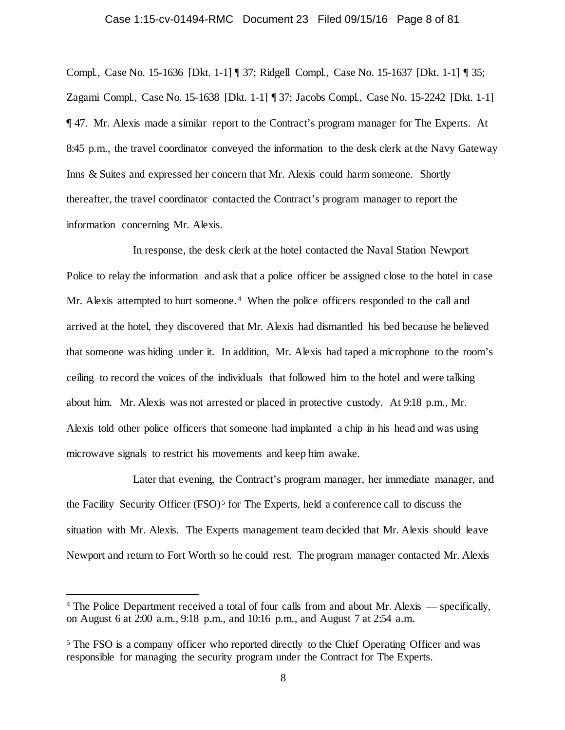## Case 1:15-cv-01494-RMC Document 23 Filed 09/15/16 Page 8 of 81

Compl., Case No. 15-1636 [Dkt. 1-1] ¶ 37; Ridgell Compl., Case No. 15-1637 [Dkt. 1-1] ¶ 35; Zagami Compl., Case No. 15-1638 [Dkt. 1-1] ¶ 37; Jacobs Compl., Case No. 15-2242 [Dkt. 1-1] ¶ 47. Mr. Alexis made a similar report to the Contract's program manager for The Experts. At 8:45 p.m., the travel coordinator conveyed the information to the desk clerk at the Navy Gateway Inns & Suites and expressed her concern that Mr. Alexis could harm someone. Shortly thereafter, the travel coordinator contacted the Contract's program manager to report the information concerning Mr. Alexis.

In response, the desk clerk at the hotel contacted the Naval Station Newport Police to relay the information and ask that a police officer be assigned close to the hotel in case Mr. Alexis attempted to hurt someone.<sup>[4](#page-7-0)</sup> When the police officers responded to the call and arrived at the hotel, they discovered that Mr. Alexis had dismantled his bed because he believed that someone was hiding under it. In addition, Mr. Alexis had taped a microphone to the room's ceiling to record the voices of the individuals that followed him to the hotel and were talking about him. Mr. Alexis was not arrested or placed in protective custody. At 9:18 p.m., Mr. Alexis told other police officers that someone had implanted a chip in his head and was using microwave signals to restrict his movements and keep him awake.

Later that evening, the Contract's program manager, her immediate manager, and the Facility Security Officer  $(FSO)^5$  $(FSO)^5$  for The Experts, held a conference call to discuss the situation with Mr. Alexis. The Experts management team decided that Mr. Alexis should leave Newport and return to Fort Worth so he could rest. The program manager contacted Mr. Alexis

<span id="page-7-0"></span> <sup>4</sup> The Police Department received a total of four calls from and about Mr. Alexis –– specifically, on August 6 at 2:00 a.m., 9:18 p.m., and 10:16 p.m., and August 7 at 2:54 a.m.

<span id="page-7-1"></span><sup>5</sup> The FSO is a company officer who reported directly to the Chief Operating Officer and was responsible for managing the security program under the Contract for The Experts.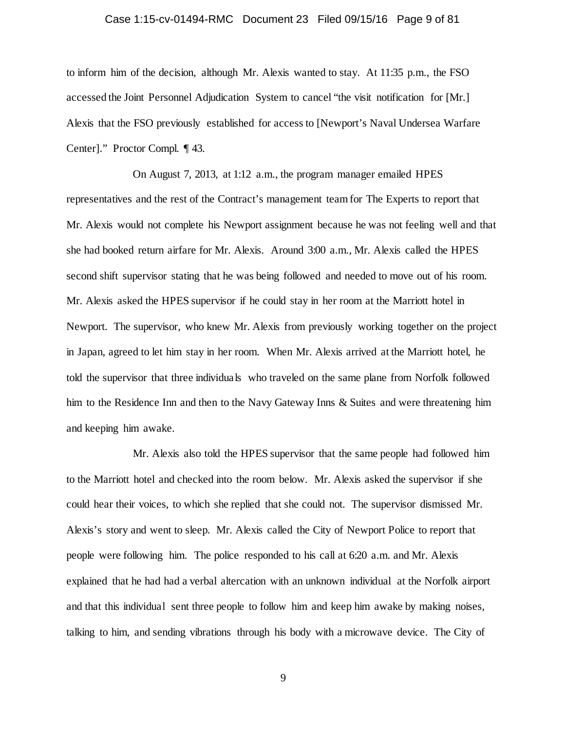## Case 1:15-cv-01494-RMC Document 23 Filed 09/15/16 Page 9 of 81

to inform him of the decision, although Mr. Alexis wanted to stay. At 11:35 p.m., the FSO accessed the Joint Personnel Adjudication System to cancel "the visit notification for [Mr.] Alexis that the FSO previously established for access to [Newport's Naval Undersea Warfare Center]." Proctor Compl. ¶ 43.

On August 7, 2013, at 1:12 a.m., the program manager emailed HPES representatives and the rest of the Contract's management team for The Experts to report that Mr. Alexis would not complete his Newport assignment because he was not feeling well and that she had booked return airfare for Mr. Alexis. Around 3:00 a.m., Mr. Alexis called the HPES second shift supervisor stating that he was being followed and needed to move out of his room. Mr. Alexis asked the HPES supervisor if he could stay in her room at the Marriott hotel in Newport. The supervisor, who knew Mr. Alexis from previously working together on the project in Japan, agreed to let him stay in her room. When Mr. Alexis arrived at the Marriott hotel, he told the supervisor that three individuals who traveled on the same plane from Norfolk followed him to the Residence Inn and then to the Navy Gateway Inns & Suites and were threatening him and keeping him awake.

Mr. Alexis also told the HPES supervisor that the same people had followed him to the Marriott hotel and checked into the room below. Mr. Alexis asked the supervisor if she could hear their voices, to which she replied that she could not. The supervisor dismissed Mr. Alexis's story and went to sleep. Mr. Alexis called the City of Newport Police to report that people were following him. The police responded to his call at 6:20 a.m. and Mr. Alexis explained that he had had a verbal altercation with an unknown individual at the Norfolk airport and that this individual sent three people to follow him and keep him awake by making noises, talking to him, and sending vibrations through his body with a microwave device. The City of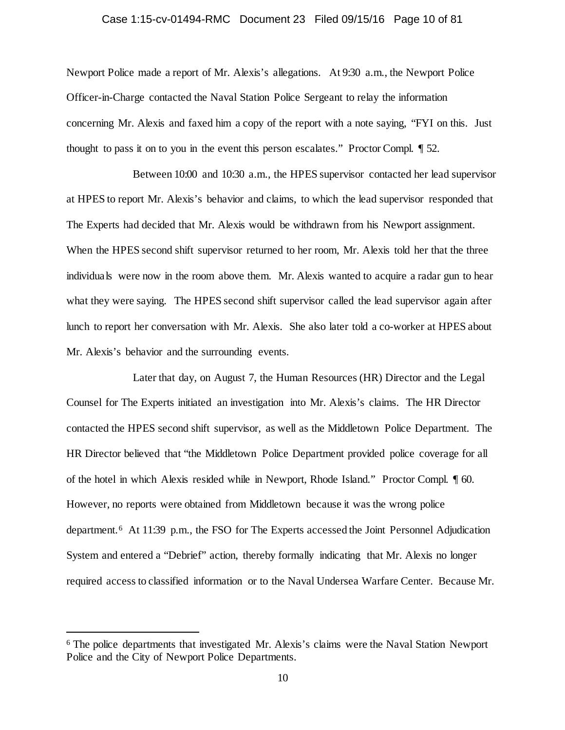## Case 1:15-cv-01494-RMC Document 23 Filed 09/15/16 Page 10 of 81

Newport Police made a report of Mr. Alexis's allegations. At 9:30 a.m., the Newport Police Officer-in-Charge contacted the Naval Station Police Sergeant to relay the information concerning Mr. Alexis and faxed him a copy of the report with a note saying, "FYI on this. Just thought to pass it on to you in the event this person escalates." Proctor Compl. ¶ 52.

Between 10:00 and 10:30 a.m., the HPES supervisor contacted her lead supervisor at HPES to report Mr. Alexis's behavior and claims, to which the lead supervisor responded that The Experts had decided that Mr. Alexis would be withdrawn from his Newport assignment. When the HPES second shift supervisor returned to her room, Mr. Alexis told her that the three individuals were now in the room above them. Mr. Alexis wanted to acquire a radar gun to hear what they were saying. The HPES second shift supervisor called the lead supervisor again after lunch to report her conversation with Mr. Alexis. She also later told a co-worker at HPES about Mr. Alexis's behavior and the surrounding events.

Later that day, on August 7, the Human Resources (HR) Director and the Legal Counsel for The Experts initiated an investigation into Mr. Alexis's claims. The HR Director contacted the HPES second shift supervisor, as well as the Middletown Police Department. The HR Director believed that "the Middletown Police Department provided police coverage for all of the hotel in which Alexis resided while in Newport, Rhode Island." Proctor Compl. ¶ 60. However, no reports were obtained from Middletown because it was the wrong police department.[6](#page-9-0) At 11:39 p.m., the FSO for The Experts accessed the Joint Personnel Adjudication System and entered a "Debrief" action, thereby formally indicating that Mr. Alexis no longer required access to classified information or to the Naval Undersea Warfare Center. Because Mr.

<span id="page-9-0"></span> <sup>6</sup> The police departments that investigated Mr. Alexis's claims were the Naval Station Newport Police and the City of Newport Police Departments.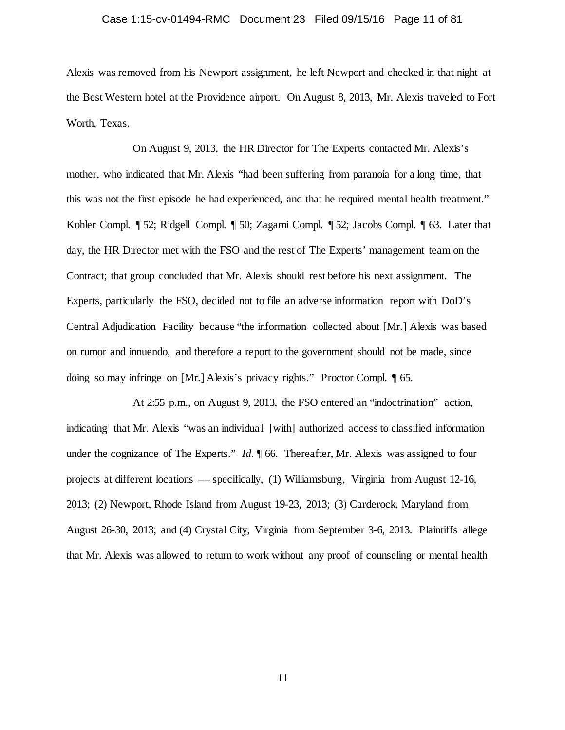## Case 1:15-cv-01494-RMC Document 23 Filed 09/15/16 Page 11 of 81

Alexis was removed from his Newport assignment, he left Newport and checked in that night at the Best Western hotel at the Providence airport. On August 8, 2013, Mr. Alexis traveled to Fort Worth, Texas.

On August 9, 2013, the HR Director for The Experts contacted Mr. Alexis's mother, who indicated that Mr. Alexis "had been suffering from paranoia for a long time, that this was not the first episode he had experienced, and that he required mental health treatment." Kohler Compl. ¶ 52; Ridgell Compl. ¶ 50; Zagami Compl. ¶ 52; Jacobs Compl. ¶ 63. Later that day, the HR Director met with the FSO and the rest of The Experts' management team on the Contract; that group concluded that Mr. Alexis should rest before his next assignment. The Experts, particularly the FSO, decided not to file an adverse information report with DoD's Central Adjudication Facility because "the information collected about [Mr.] Alexis was based on rumor and innuendo, and therefore a report to the government should not be made, since doing so may infringe on [Mr.] Alexis's privacy rights." Proctor Compl. ¶ 65.

At 2:55 p.m., on August 9, 2013, the FSO entered an "indoctrination" action, indicating that Mr. Alexis "was an individual [with] authorized access to classified information under the cognizance of The Experts." *Id.*  $\parallel$  66. Thereafter, Mr. Alexis was assigned to four projects at different locations –– specifically, (1) Williamsburg, Virginia from August 12-16, 2013; (2) Newport, Rhode Island from August 19-23, 2013; (3) Carderock, Maryland from August 26-30, 2013; and (4) Crystal City, Virginia from September 3-6, 2013. Plaintiffs allege that Mr. Alexis was allowed to return to work without any proof of counseling or mental health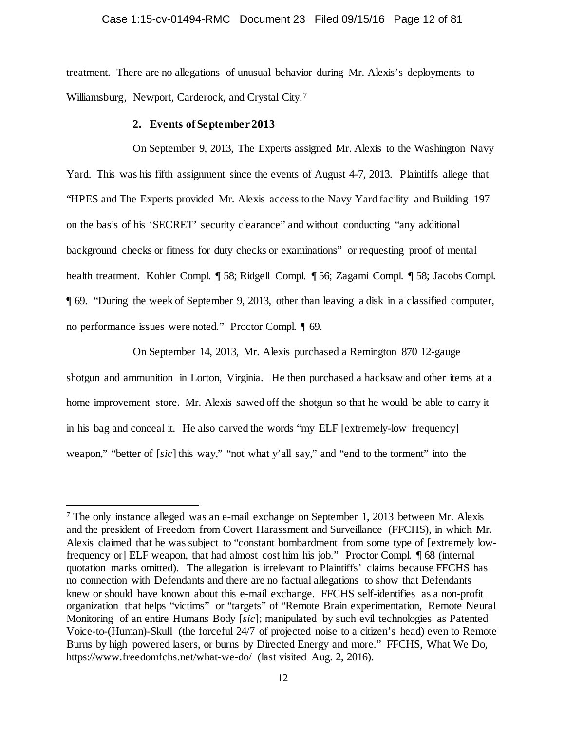## Case 1:15-cv-01494-RMC Document 23 Filed 09/15/16 Page 12 of 81

treatment. There are no allegations of unusual behavior during Mr. Alexis's deployments to Williamsburg, Newport, Carderock, and Crystal City.[7](#page-11-0) 

#### **2. Events of September 2013**

On September 9, 2013, The Experts assigned Mr. Alexis to the Washington Navy Yard. This was his fifth assignment since the events of August 4-7, 2013. Plaintiffs allege that "HPES and The Experts provided Mr. Alexis access to the Navy Yard facility and Building 197 on the basis of his 'SECRET' security clearance" and without conducting "any additional background checks or fitness for duty checks or examinations" or requesting proof of mental health treatment. Kohler Compl. ¶ 58; Ridgell Compl. ¶ 56; Zagami Compl. ¶ 58; Jacobs Compl. ¶ 69. "During the week of September 9, 2013, other than leaving a disk in a classified computer, no performance issues were noted." Proctor Compl. ¶ 69.

On September 14, 2013, Mr. Alexis purchased a Remington 870 12-gauge shotgun and ammunition in Lorton, Virginia. He then purchased a hacksaw and other items at a home improvement store. Mr. Alexis sawed off the shotgun so that he would be able to carry it in his bag and conceal it. He also carved the words "my ELF [extremely-low frequency] weapon," "better of [*sic*] this way," "not what y'all say," and "end to the torment" into the

<span id="page-11-0"></span> <sup>7</sup> The only instance alleged was an e-mail exchange on September 1, 2013 between Mr. Alexis and the president of Freedom from Covert Harassment and Surveillance (FFCHS), in which Mr. Alexis claimed that he was subject to "constant bombardment from some type of [extremely lowfrequency or] ELF weapon, that had almost cost him his job." Proctor Compl. ¶ 68 (internal quotation marks omitted). The allegation is irrelevant to Plaintiffs' claims because FFCHS has no connection with Defendants and there are no factual allegations to show that Defendants knew or should have known about this e-mail exchange. FFCHS self-identifies as a non-profit organization that helps "victims" or "targets" of "Remote Brain experimentation, Remote Neural Monitoring of an entire Humans Body [*sic*]; manipulated by such evil technologies as Patented Voice-to-(Human)-Skull (the forceful 24/7 of projected noise to a citizen's head) even to Remote Burns by high powered lasers, or burns by Directed Energy and more." FFCHS, What We Do, https://www.freedomfchs.net/what-we-do/ (last visited Aug. 2, 2016).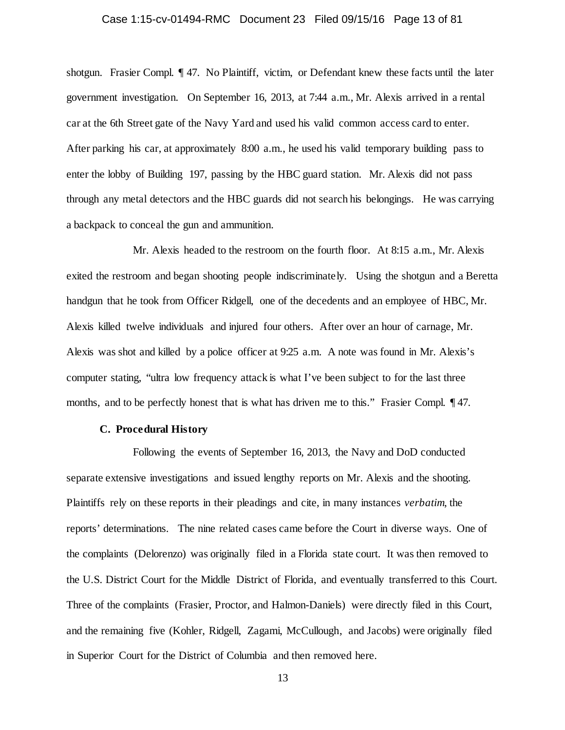## Case 1:15-cv-01494-RMC Document 23 Filed 09/15/16 Page 13 of 81

shotgun. Frasier Compl. ¶ 47. No Plaintiff, victim, or Defendant knew these facts until the later government investigation. On September 16, 2013, at 7:44 a.m., Mr. Alexis arrived in a rental car at the 6th Street gate of the Navy Yard and used his valid common access card to enter. After parking his car, at approximately 8:00 a.m., he used his valid temporary building pass to enter the lobby of Building 197, passing by the HBC guard station. Mr. Alexis did not pass through any metal detectors and the HBC guards did not search his belongings. He was carrying a backpack to conceal the gun and ammunition.

Mr. Alexis headed to the restroom on the fourth floor. At 8:15 a.m., Mr. Alexis exited the restroom and began shooting people indiscriminately. Using the shotgun and a Beretta handgun that he took from Officer Ridgell, one of the decedents and an employee of HBC, Mr. Alexis killed twelve individuals and injured four others. After over an hour of carnage, Mr. Alexis was shot and killed by a police officer at 9:25 a.m. A note was found in Mr. Alexis's computer stating, "ultra low frequency attack is what I've been subject to for the last three months, and to be perfectly honest that is what has driven me to this." Frasier Compl. 147.

## **C. Procedural History**

Following the events of September 16, 2013, the Navy and DoD conducted separate extensive investigations and issued lengthy reports on Mr. Alexis and the shooting. Plaintiffs rely on these reports in their pleadings and cite, in many instances *verbatim*, the reports' determinations. The nine related cases came before the Court in diverse ways. One of the complaints (Delorenzo) was originally filed in a Florida state court. It was then removed to the U.S. District Court for the Middle District of Florida, and eventually transferred to this Court. Three of the complaints (Frasier, Proctor, and Halmon-Daniels) were directly filed in this Court, and the remaining five (Kohler, Ridgell, Zagami, McCullough, and Jacobs) were originally filed in Superior Court for the District of Columbia and then removed here.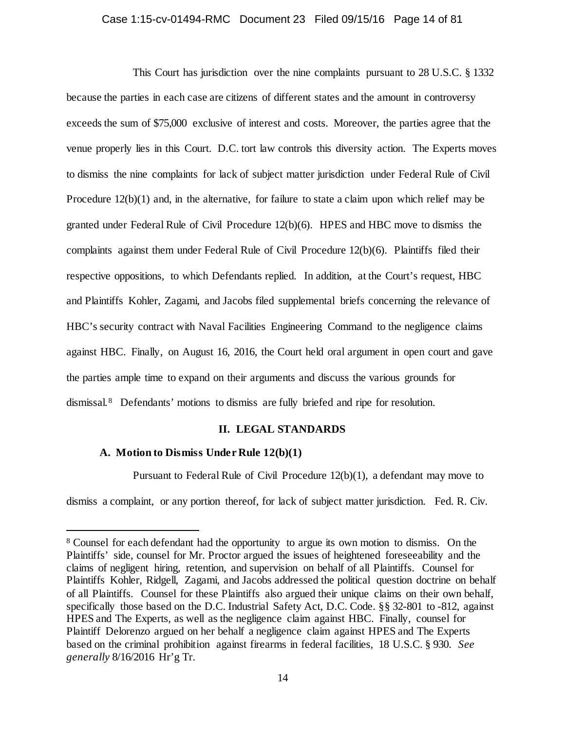## Case 1:15-cv-01494-RMC Document 23 Filed 09/15/16 Page 14 of 81

This Court has jurisdiction over the nine complaints pursuant to 28 U.S.C. § 1332 because the parties in each case are citizens of different states and the amount in controversy exceeds the sum of \$75,000 exclusive of interest and costs. Moreover, the parties agree that the venue properly lies in this Court. D.C. tort law controls this diversity action. The Experts moves to dismiss the nine complaints for lack of subject matter jurisdiction under Federal Rule of Civil Procedure 12(b)(1) and, in the alternative, for failure to state a claim upon which relief may be granted under Federal Rule of Civil Procedure 12(b)(6). HPES and HBC move to dismiss the complaints against them under Federal Rule of Civil Procedure 12(b)(6). Plaintiffs filed their respective oppositions, to which Defendants replied. In addition, at the Court's request, HBC and Plaintiffs Kohler, Zagami, and Jacobs filed supplemental briefs concerning the relevance of HBC's security contract with Naval Facilities Engineering Command to the negligence claims against HBC. Finally, on August 16, 2016, the Court held oral argument in open court and gave the parties ample time to expand on their arguments and discuss the various grounds for dismissal.[8](#page-13-0) Defendants' motions to dismiss are fully briefed and ripe for resolution.

## **II. LEGAL STANDARDS**

## **A. Motion to Dismiss Under Rule 12(b)(1)**

Pursuant to Federal Rule of Civil Procedure 12(b)(1), a defendant may move to

dismiss a complaint, or any portion thereof, for lack of subject matter jurisdiction. Fed. R. Civ.

<span id="page-13-0"></span> <sup>8</sup> Counsel for each defendant had the opportunity to argue its own motion to dismiss. On the Plaintiffs' side, counsel for Mr. Proctor argued the issues of heightened foreseeability and the claims of negligent hiring, retention, and supervision on behalf of all Plaintiffs. Counsel for Plaintiffs Kohler, Ridgell, Zagami, and Jacobs addressed the political question doctrine on behalf of all Plaintiffs. Counsel for these Plaintiffs also argued their unique claims on their own behalf, specifically those based on the D.C. Industrial Safety Act, D.C. Code. §§ 32-801 to -812, against HPES and The Experts, as well as the negligence claim against HBC. Finally, counsel for Plaintiff Delorenzo argued on her behalf a negligence claim against HPES and The Experts based on the criminal prohibition against firearms in federal facilities, 18 U.S.C. § 930. *See generally* 8/16/2016 Hr'g Tr.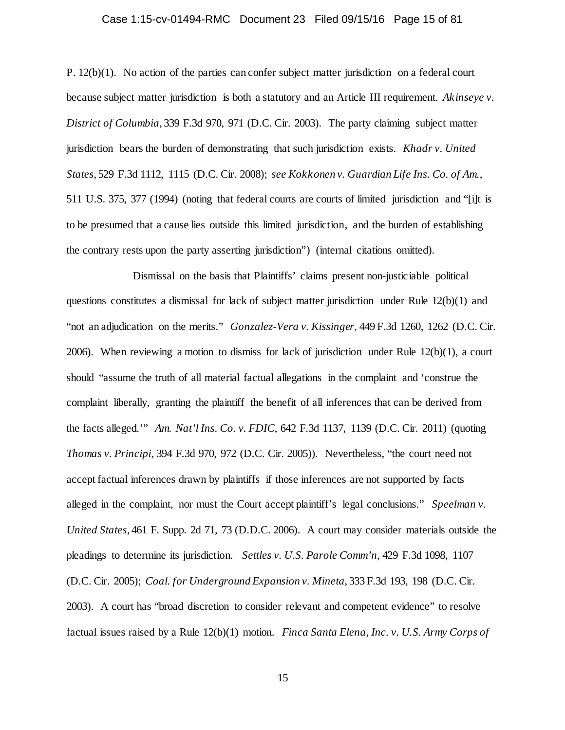## Case 1:15-cv-01494-RMC Document 23 Filed 09/15/16 Page 15 of 81

P. 12(b)(1). No action of the parties can confer subject matter jurisdiction on a federal court because subject matter jurisdiction is both a statutory and an Article III requirement. *Akinseye v. District of Columbia*, 339 F.3d 970, 971 (D.C. Cir. 2003). The party claiming subject matter jurisdiction bears the burden of demonstrating that such jurisdiction exists. *Khadr v. United States*, 529 F.3d 1112, 1115 (D.C. Cir. 2008); *see Kokkonen v. Guardian Life Ins. Co. of Am.*, 511 U.S. 375, 377 (1994) (noting that federal courts are courts of limited jurisdiction and "[i]t is to be presumed that a cause lies outside this limited jurisdiction, and the burden of establishing the contrary rests upon the party asserting jurisdiction") (internal citations omitted).

Dismissal on the basis that Plaintiffs' claims present non-justiciable political questions constitutes a dismissal for lack of subject matter jurisdiction under Rule 12(b)(1) and "not an adjudication on the merits." *Gonzalez-Vera v. Kissinger,* 449 F.3d 1260, 1262 (D.C. Cir. 2006). When reviewing a motion to dismiss for lack of jurisdiction under Rule 12(b)(1), a court should "assume the truth of all material factual allegations in the complaint and 'construe the complaint liberally, granting the plaintiff the benefit of all inferences that can be derived from the facts alleged.'" *Am. Nat'l Ins. Co. v. FDIC*, 642 F.3d 1137, 1139 (D.C. Cir. 2011) (quoting *Thomas v. Principi*, 394 F.3d 970, 972 (D.C. Cir. 2005)). Nevertheless, "the court need not accept factual inferences drawn by plaintiffs if those inferences are not supported by facts alleged in the complaint, nor must the Court accept plaintiff's legal conclusions." *Speelman v. United States*, 461 F. Supp. 2d 71, 73 (D.D.C. 2006). A court may consider materials outside the pleadings to determine its jurisdiction. *Settles v. U.S. Parole Comm'n*, 429 F.3d 1098, 1107 (D.C. Cir. 2005); *Coal. for Underground Expansion v. Mineta*, 333 F.3d 193, 198 (D.C. Cir. 2003). A court has "broad discretion to consider relevant and competent evidence" to resolve factual issues raised by a Rule 12(b)(1) motion. *Finca Santa Elena, Inc. v. U.S. Army Corps of*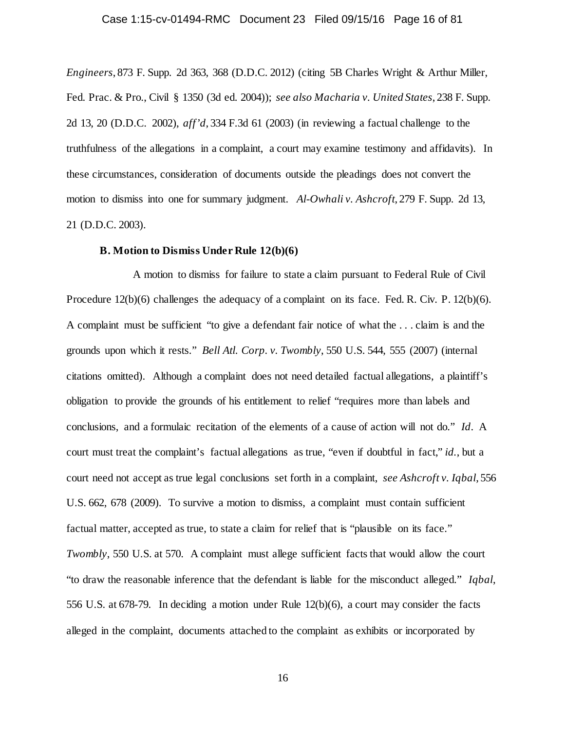## Case 1:15-cv-01494-RMC Document 23 Filed 09/15/16 Page 16 of 81

*Engineers*, 873 F. Supp. 2d 363, 368 (D.D.C. 2012) (citing 5B Charles Wright & Arthur Miller, Fed. Prac. & Pro., Civil § 1350 (3d ed. 2004)); *see also Macharia v. United States*, 238 F. Supp. 2d 13, 20 (D.D.C. 2002), *aff'd*, 334 F.3d 61 (2003) (in reviewing a factual challenge to the truthfulness of the allegations in a complaint, a court may examine testimony and affidavits). In these circumstances, consideration of documents outside the pleadings does not convert the motion to dismiss into one for summary judgment. *Al-Owhali v. Ashcroft*, 279 F. Supp. 2d 13, 21 (D.D.C. 2003).

#### **B. Motion to Dismiss Under Rule 12(b)(6)**

A motion to dismiss for failure to state a claim pursuant to Federal Rule of Civil Procedure 12(b)(6) challenges the adequacy of a complaint on its face. Fed. R. Civ. P. 12(b)(6). A complaint must be sufficient "to give a defendant fair notice of what the . . . claim is and the grounds upon which it rests." *Bell Atl. Corp. v. Twombly*, 550 U.S. 544, 555 (2007) (internal citations omitted). Although a complaint does not need detailed factual allegations, a plaintiff's obligation to provide the grounds of his entitlement to relief "requires more than labels and conclusions, and a formulaic recitation of the elements of a cause of action will not do." *Id*. A court must treat the complaint's factual allegations as true, "even if doubtful in fact," *id.*, but a court need not accept as true legal conclusions set forth in a complaint, *see Ashcroft v. Iqbal*, 556 U.S. 662, 678 (2009). To survive a motion to dismiss, a complaint must contain sufficient factual matter, accepted as true, to state a claim for relief that is "plausible on its face." *Twombly*, 550 U.S. at 570. A complaint must allege sufficient facts that would allow the court "to draw the reasonable inference that the defendant is liable for the misconduct alleged." *Iqbal*, 556 U.S. at 678-79. In deciding a motion under Rule 12(b)(6), a court may consider the facts alleged in the complaint, documents attached to the complaint as exhibits or incorporated by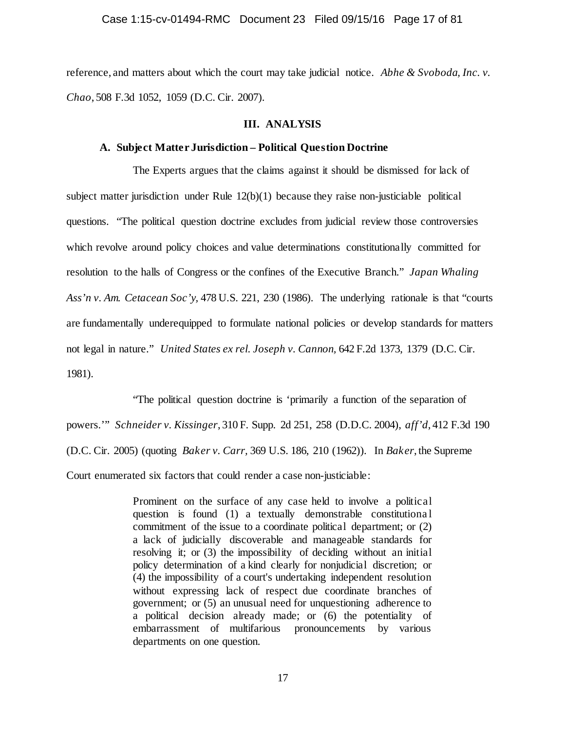reference, and matters about which the court may take judicial notice. *Abhe & Svoboda, Inc. v. Chao*, 508 F.3d 1052, 1059 (D.C. Cir. 2007).

## **III. ANALYSIS**

## **A. Subject Matter Jurisdiction – Political Question Doctrine**

The Experts argues that the claims against it should be dismissed for lack of subject matter jurisdiction under Rule  $12(b)(1)$  because they raise non-justiciable political questions. "The political question doctrine excludes from judicial review those controversies which revolve around policy choices and value determinations constitutionally committed for resolution to the halls of Congress or the confines of the Executive Branch." *Japan Whaling Ass'n v. Am. Cetacean Soc'y,* 478 U.S. 221, 230 (1986). The underlying rationale is that "courts are fundamentally underequipped to formulate national policies or develop standards for matters not legal in nature." *United States ex rel. Joseph v. Cannon,* 642 F.2d 1373, 1379 (D.C. Cir. 1981).

"The political question doctrine is 'primarily a function of the separation of powers.'" *Schneider v. Kissinger*, 310 F. Supp. 2d 251, 258 (D.D.C. 2004), *aff'd*, 412 F.3d 190 (D.C. Cir. 2005) (quoting *Baker v. Carr,* 369 U.S. 186, 210 (1962)). In *Baker*, the Supreme Court enumerated six factors that could render a case non-justiciable:

> Prominent on the surface of any case held to involve a political question is found (1) a textually demonstrable constitutiona l commitment of the issue to a coordinate political department; or (2) a lack of judicially discoverable and manageable standards for resolving it; or (3) the impossibility of deciding without an initial policy determination of a kind clearly for nonjudicial discretion; or (4) the impossibility of a court's undertaking independent resolution without expressing lack of respect due coordinate branches of government; or (5) an unusual need for unquestioning adherence to a political decision already made; or (6) the potentiality of embarrassment of multifarious pronouncements by various departments on one question.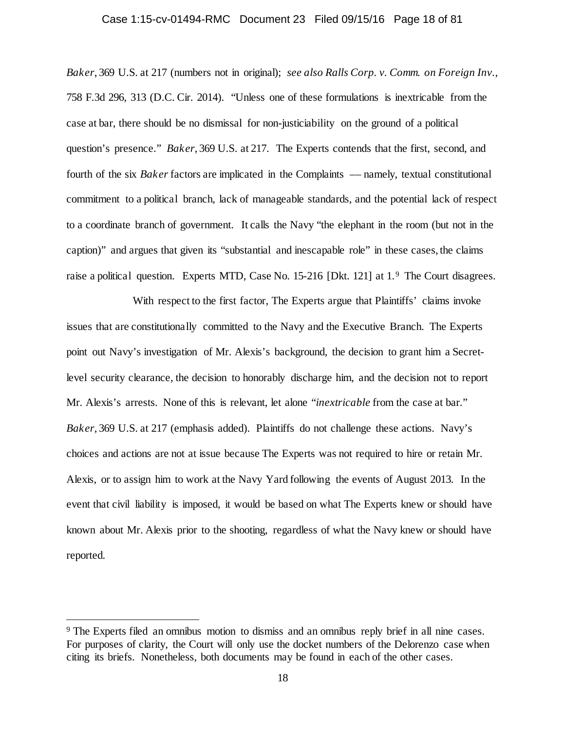### Case 1:15-cv-01494-RMC Document 23 Filed 09/15/16 Page 18 of 81

*Baker*, 369 U.S. at 217 (numbers not in original); *see also Ralls Corp. v. Comm. on Foreign Inv.*, 758 F.3d 296, 313 (D.C. Cir. 2014). "Unless one of these formulations is inextricable from the case at bar, there should be no dismissal for non-justiciability on the ground of a political question's presence." *Baker*, 369 U.S. at 217. The Experts contends that the first, second, and fourth of the six *Baker* factors are implicated in the Complaints –– namely, textual constitutional commitment to a political branch, lack of manageable standards, and the potential lack of respect to a coordinate branch of government. It calls the Navy "the elephant in the room (but not in the caption)" and argues that given its "substantial and inescapable role" in these cases, the claims raise a political question. Experts MTD, Case No. 15-216 [Dkt. 121] at 1.[9](#page-17-0) The Court disagrees.

With respect to the first factor, The Experts argue that Plaintiffs' claims invoke issues that are constitutionally committed to the Navy and the Executive Branch. The Experts point out Navy's investigation of Mr. Alexis's background, the decision to grant him a Secretlevel security clearance, the decision to honorably discharge him, and the decision not to report Mr. Alexis's arrests. None of this is relevant, let alone "*inextricable* from the case at bar." *Baker*, 369 U.S. at 217 (emphasis added). Plaintiffs do not challenge these actions. Navy's choices and actions are not at issue because The Experts was not required to hire or retain Mr. Alexis, or to assign him to work at the Navy Yard following the events of August 2013. In the event that civil liability is imposed, it would be based on what The Experts knew or should have known about Mr. Alexis prior to the shooting, regardless of what the Navy knew or should have reported.

<span id="page-17-0"></span> <sup>9</sup> The Experts filed an omnibus motion to dismiss and an omnibus reply brief in all nine cases. For purposes of clarity, the Court will only use the docket numbers of the Delorenzo case when citing its briefs. Nonetheless, both documents may be found in each of the other cases.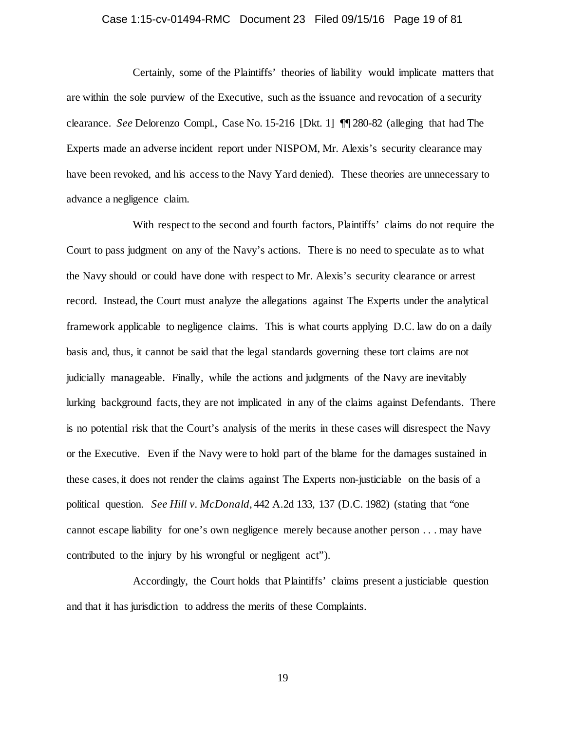## Case 1:15-cv-01494-RMC Document 23 Filed 09/15/16 Page 19 of 81

Certainly, some of the Plaintiffs' theories of liability would implicate matters that are within the sole purview of the Executive, such as the issuance and revocation of a security clearance. *See* Delorenzo Compl., Case No. 15-216 [Dkt. 1] ¶¶ 280-82 (alleging that had The Experts made an adverse incident report under NISPOM, Mr. Alexis's security clearance may have been revoked, and his access to the Navy Yard denied). These theories are unnecessary to advance a negligence claim.

With respect to the second and fourth factors, Plaintiffs' claims do not require the Court to pass judgment on any of the Navy's actions. There is no need to speculate as to what the Navy should or could have done with respect to Mr. Alexis's security clearance or arrest record. Instead, the Court must analyze the allegations against The Experts under the analytical framework applicable to negligence claims. This is what courts applying D.C. law do on a daily basis and, thus, it cannot be said that the legal standards governing these tort claims are not judicially manageable. Finally, while the actions and judgments of the Navy are inevitably lurking background facts, they are not implicated in any of the claims against Defendants. There is no potential risk that the Court's analysis of the merits in these cases will disrespect the Navy or the Executive. Even if the Navy were to hold part of the blame for the damages sustained in these cases, it does not render the claims against The Experts non-justiciable on the basis of a political question. *See Hill v. McDonald*, 442 A.2d 133, 137 (D.C. 1982) (stating that "one cannot escape liability for one's own negligence merely because another person . . . may have contributed to the injury by his wrongful or negligent act").

Accordingly, the Court holds that Plaintiffs' claims present a justiciable question and that it has jurisdiction to address the merits of these Complaints.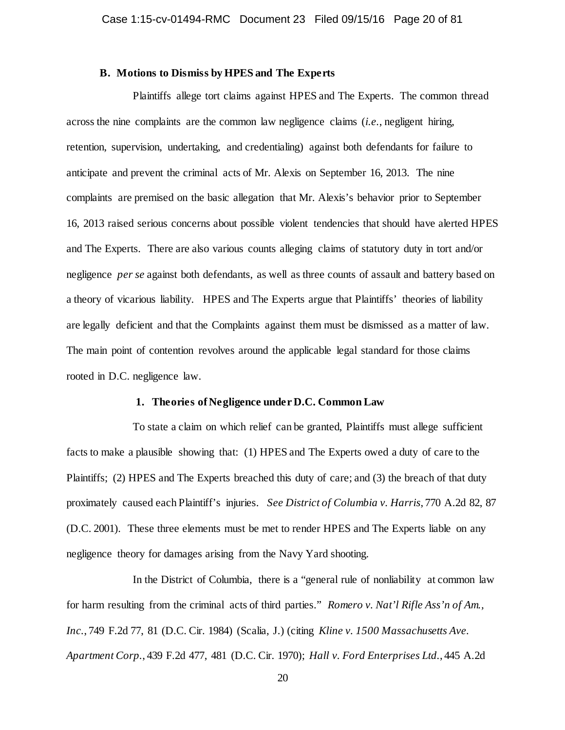## **B. Motions to Dismiss by HPES and The Experts**

Plaintiffs allege tort claims against HPES and The Experts. The common thread across the nine complaints are the common law negligence claims (*i.e.*, negligent hiring, retention, supervision, undertaking, and credentialing) against both defendants for failure to anticipate and prevent the criminal acts of Mr. Alexis on September 16, 2013. The nine complaints are premised on the basic allegation that Mr. Alexis's behavior prior to September 16, 2013 raised serious concerns about possible violent tendencies that should have alerted HPES and The Experts. There are also various counts alleging claims of statutory duty in tort and/or negligence *per se* against both defendants, as well as three counts of assault and battery based on a theory of vicarious liability. HPES and The Experts argue that Plaintiffs' theories of liability are legally deficient and that the Complaints against them must be dismissed as a matter of law. The main point of contention revolves around the applicable legal standard for those claims rooted in D.C. negligence law.

## **1. Theories of Negligence under D.C. Common Law**

To state a claim on which relief can be granted, Plaintiffs must allege sufficient facts to make a plausible showing that: (1) HPES and The Experts owed a duty of care to the Plaintiffs; (2) HPES and The Experts breached this duty of care; and (3) the breach of that duty proximately caused each Plaintiff's injuries. *See District of Columbia v. Harris*, 770 A.2d 82, 87 (D.C. 2001). These three elements must be met to render HPES and The Experts liable on any negligence theory for damages arising from the Navy Yard shooting.

In the District of Columbia, there is a "general rule of nonliability at common law for harm resulting from the criminal acts of third parties." *Romero v. Nat'l Rifle Ass'n of Am., Inc.*, 749 F.2d 77, 81 (D.C. Cir. 1984) (Scalia, J.) (citing *Kline v. 1500 Massachusetts Ave. Apartment Corp.*, 439 F.2d 477, 481 (D.C. Cir. 1970); *Hall v. Ford Enterprises Ltd.*, 445 A.2d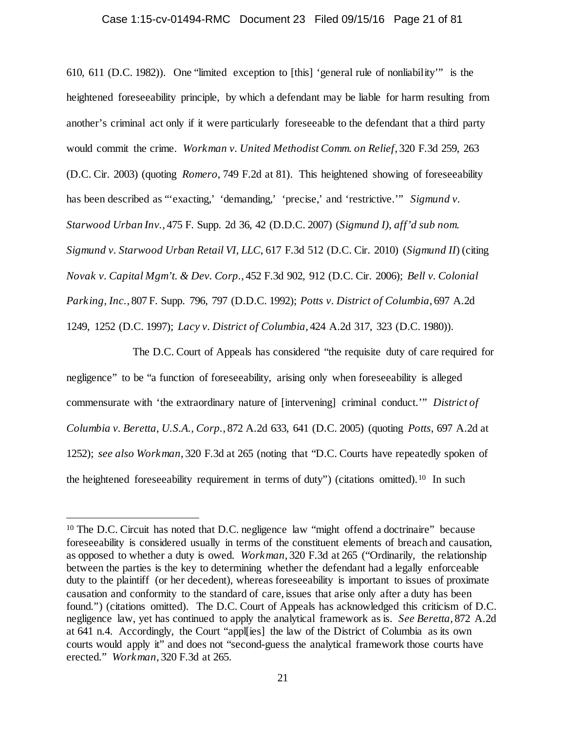## Case 1:15-cv-01494-RMC Document 23 Filed 09/15/16 Page 21 of 81

610, 611 (D.C. 1982)). One "limited exception to [this] 'general rule of nonliability'" is the heightened foreseeability principle, by which a defendant may be liable for harm resulting from another's criminal act only if it were particularly foreseeable to the defendant that a third party would commit the crime. *Workman v. United Methodist Comm. on Relief*, 320 F.3d 259, 263 (D.C. Cir. 2003) (quoting *Romero*, 749 F.2d at 81). This heightened showing of foreseeability has been described as "'exacting,' 'demanding,' 'precise,' and 'restrictive.'" *Sigmund v. Starwood Urban Inv.*, 475 F. Supp. 2d 36, 42 (D.D.C. 2007) (*Sigmund I)*, *aff'd sub nom. Sigmund v. Starwood Urban Retail VI, LLC*, 617 F.3d 512 (D.C. Cir. 2010) (*Sigmund II*) (citing *Novak v. Capital Mgm't. & Dev. Corp.*, 452 F.3d 902, 912 (D.C. Cir. 2006); *Bell v. Colonial Parking, Inc.*, 807 F. Supp. 796, 797 (D.D.C. 1992); *Potts v. District of Columbia*, 697 A.2d 1249, 1252 (D.C. 1997); *Lacy v. District of Columbia*, 424 A.2d 317, 323 (D.C. 1980)).

The D.C. Court of Appeals has considered "the requisite duty of care required for negligence" to be "a function of foreseeability, arising only when foreseeability is alleged commensurate with 'the extraordinary nature of [intervening] criminal conduct.'" *District of Columbia v. Beretta, U.S.A., Corp.*, 872 A.2d 633, 641 (D.C. 2005) (quoting *Potts*, 697 A.2d at 1252); *see also Workman*, 320 F.3d at 265 (noting that "D.C. Courts have repeatedly spoken of the heightened foreseeability requirement in terms of duty") (citations omitted).[10](#page-20-0) In such

<span id="page-20-0"></span> <sup>10</sup> The D.C. Circuit has noted that D.C. negligence law "might offend a doctrinaire" because foreseeability is considered usually in terms of the constituent elements of breach and causation, as opposed to whether a duty is owed. *Workman*, 320 F.3d at 265 ("Ordinarily, the relationship between the parties is the key to determining whether the defendant had a legally enforceable duty to the plaintiff (or her decedent), whereas foreseeability is important to issues of proximate causation and conformity to the standard of care, issues that arise only after a duty has been found.") (citations omitted). The D.C. Court of Appeals has acknowledged this criticism of D.C. negligence law, yet has continued to apply the analytical framework as is. *See Beretta*, 872 A.2d at 641 n.4. Accordingly, the Court "appl[ies] the law of the District of Columbia as its own courts would apply it" and does not "second-guess the analytical framework those courts have erected." *Workman*, 320 F.3d at 265.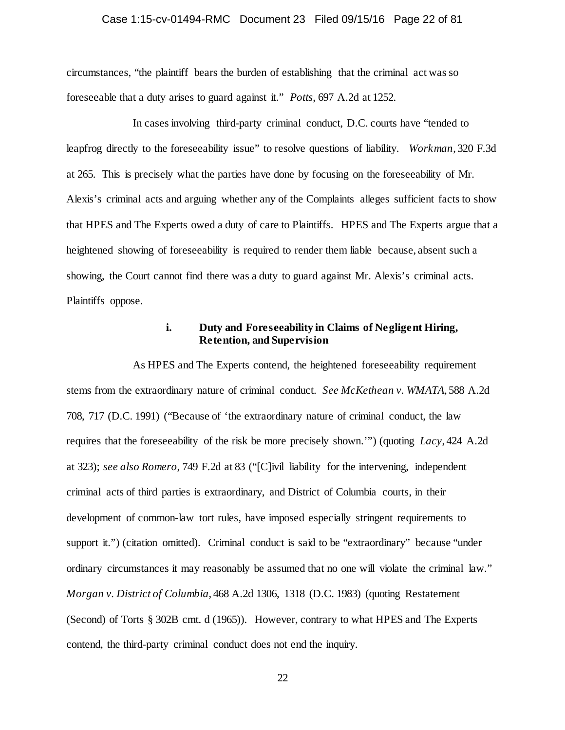## Case 1:15-cv-01494-RMC Document 23 Filed 09/15/16 Page 22 of 81

circumstances, "the plaintiff bears the burden of establishing that the criminal act was so foreseeable that a duty arises to guard against it." *Potts*, 697 A.2d at 1252.

In cases involving third-party criminal conduct, D.C. courts have "tended to leapfrog directly to the foreseeability issue" to resolve questions of liability. *Workman*, 320 F.3d at 265. This is precisely what the parties have done by focusing on the foreseeability of Mr. Alexis's criminal acts and arguing whether any of the Complaints alleges sufficient facts to show that HPES and The Experts owed a duty of care to Plaintiffs. HPES and The Experts argue that a heightened showing of foreseeability is required to render them liable because, absent such a showing, the Court cannot find there was a duty to guard against Mr. Alexis's criminal acts. Plaintiffs oppose.

## **i. Duty and Foreseeability in Claims of Negligent Hiring, Retention, and Supervision**

As HPES and The Experts contend, the heightened foreseeability requirement stems from the extraordinary nature of criminal conduct. *See McKethean v. WMATA*, 588 A.2d 708, 717 (D.C. 1991) ("Because of 'the extraordinary nature of criminal conduct, the law requires that the foreseeability of the risk be more precisely shown.'") (quoting *Lacy*, 424 A.2d at 323); *see also Romero*, 749 F.2d at 83 ("[C]ivil liability for the intervening, independent criminal acts of third parties is extraordinary, and District of Columbia courts, in their development of common-law tort rules, have imposed especially stringent requirements to support it.") (citation omitted). Criminal conduct is said to be "extraordinary" because "under ordinary circumstances it may reasonably be assumed that no one will violate the criminal law." *Morgan v. District of Columbia*, 468 A.2d 1306, 1318 (D.C. 1983) (quoting Restatement (Second) of Torts § 302B cmt. d (1965)). However, contrary to what HPES and The Experts contend, the third-party criminal conduct does not end the inquiry.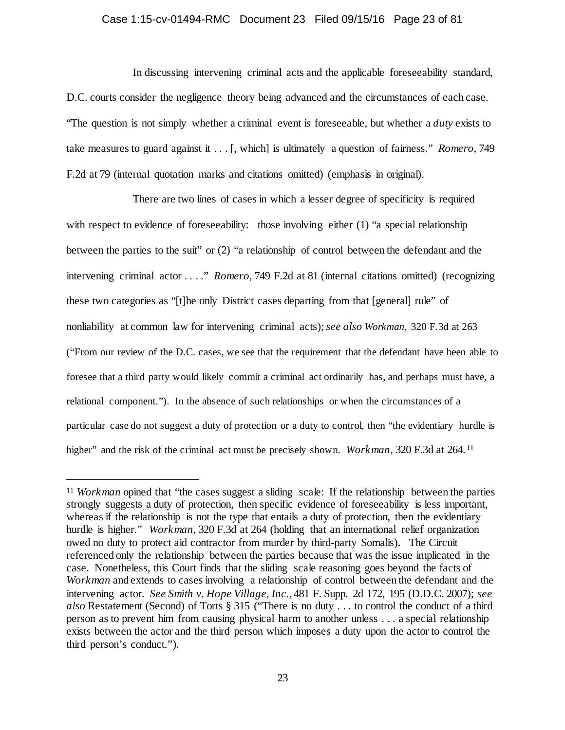## Case 1:15-cv-01494-RMC Document 23 Filed 09/15/16 Page 23 of 81

In discussing intervening criminal acts and the applicable foreseeability standard, D.C. courts consider the negligence theory being advanced and the circumstances of each case. "The question is not simply whether a criminal event is foreseeable, but whether a *duty* exists to take measures to guard against it . . . [, which] is ultimately a question of fairness." *Romero*, 749 F.2d at 79 (internal quotation marks and citations omitted) (emphasis in original).

There are two lines of cases in which a lesser degree of specificity is required with respect to evidence of foreseeability: those involving either (1) "a special relationship between the parties to the suit" or (2) "a relationship of control between the defendant and the intervening criminal actor . . . ." *Romero*, 749 F.2d at 81 (internal citations omitted) (recognizing these two categories as "[t]he only District cases departing from that [general] rule" of nonliability at common law for intervening criminal acts); *see also Workman*, 320 F.3d at 263 ("From our review of the D.C. cases, we see that the requirement that the defendant have been able to foresee that a third party would likely commit a criminal act ordinarily has, and perhaps must have, a relational component."). In the absence of such relationships or when the circumstances of a particular case do not suggest a duty of protection or a duty to control, then "the evidentiary hurdle is higher" and the risk of the criminal act must be precisely shown. *Workman*, 320 F.3d at 264.<sup>[11](#page-22-0)</sup>

<span id="page-22-0"></span><sup>&</sup>lt;sup>11</sup> *Workman* opined that "the cases suggest a sliding scale: If the relationship between the parties strongly suggests a duty of protection, then specific evidence of foreseeability is less important, whereas if the relationship is not the type that entails a duty of protection, then the evidentiary hurdle is higher." *Workman,* 320 F.3d at 264 (holding that an international relief organization owed no duty to protect aid contractor from murder by third-party Somalis). The Circuit referenced only the relationship between the parties because that was the issue implicated in the case. Nonetheless, this Court finds that the sliding scale reasoning goes beyond the facts of *Workman* and extends to cases involving a relationship of control between the defendant and the intervening actor. *See Smith v. Hope Village, Inc.*, 481 F. Supp. 2d 172, 195 (D.D.C. 2007); *see also* Restatement (Second) of Torts § 315 ("There is no duty . . . to control the conduct of a third person as to prevent him from causing physical harm to another unless . . . a special relationship exists between the actor and the third person which imposes a duty upon the actor to control the third person's conduct.").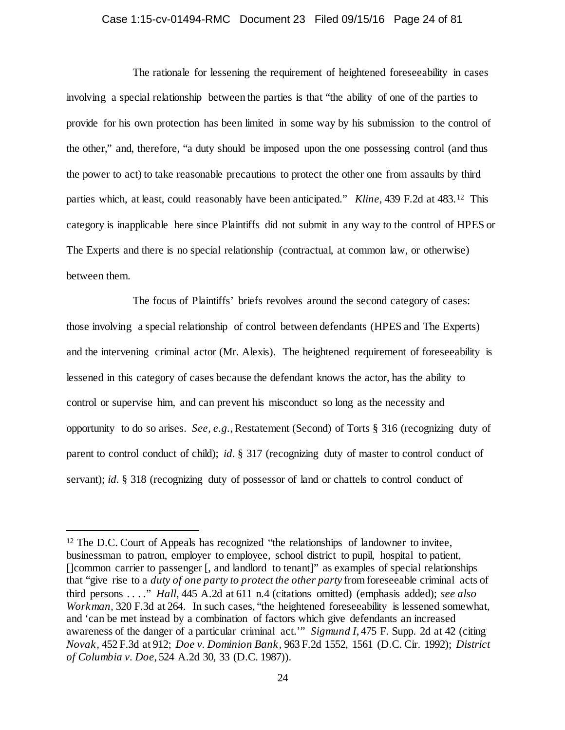# Case 1:15-cv-01494-RMC Document 23 Filed 09/15/16 Page 24 of 81

The rationale for lessening the requirement of heightened foreseeability in cases involving a special relationship between the parties is that "the ability of one of the parties to provide for his own protection has been limited in some way by his submission to the control of the other," and, therefore, "a duty should be imposed upon the one possessing control (and thus the power to act) to take reasonable precautions to protect the other one from assaults by third parties which, at least, could reasonably have been anticipated." *Kline*, 439 F.2d at 483.[12](#page-23-0) This category is inapplicable here since Plaintiffs did not submit in any way to the control of HPES or The Experts and there is no special relationship (contractual, at common law, or otherwise) between them.

The focus of Plaintiffs' briefs revolves around the second category of cases: those involving a special relationship of control between defendants (HPES and The Experts) and the intervening criminal actor (Mr. Alexis). The heightened requirement of foreseeability is lessened in this category of cases because the defendant knows the actor, has the ability to control or supervise him, and can prevent his misconduct so long as the necessity and opportunity to do so arises. *See, e.g.*, Restatement (Second) of Torts § 316 (recognizing duty of parent to control conduct of child); *id.* § 317 (recognizing duty of master to control conduct of servant); *id.* § 318 (recognizing duty of possessor of land or chattels to control conduct of

<span id="page-23-0"></span><sup>&</sup>lt;sup>12</sup> The D.C. Court of Appeals has recognized "the relationships of landowner to invitee, businessman to patron, employer to employee, school district to pupil, hospital to patient, []common carrier to passenger [, and landlord to tenant]" as examples of special relationships that "give rise to a *duty of one party to protect the other party* from foreseeable criminal acts of third persons . . . ." *Hall*, 445 A.2d at 611 n.4 (citations omitted) (emphasis added); *see also Workman,* 320 F.3d at 264. In such cases, "the heightened foreseeability is lessened somewhat, and 'can be met instead by a combination of factors which give defendants an increased awareness of the danger of a particular criminal act.'" *Sigmund I*, 475 F. Supp. 2d at 42 (citing *Novak,* 452 F.3d at 912; *Doe v. Dominion Bank,* 963 F.2d 1552, 1561 (D.C. Cir. 1992); *District of Columbia v. Doe*, 524 A.2d 30, 33 (D.C. 1987)).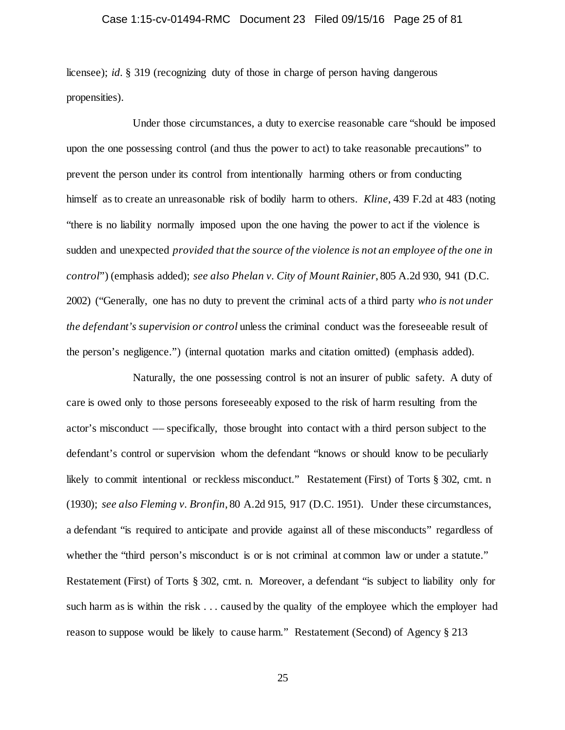## Case 1:15-cv-01494-RMC Document 23 Filed 09/15/16 Page 25 of 81

licensee); *id.* § 319 (recognizing duty of those in charge of person having dangerous propensities).

Under those circumstances, a duty to exercise reasonable care "should be imposed upon the one possessing control (and thus the power to act) to take reasonable precautions" to prevent the person under its control from intentionally harming others or from conducting himself as to create an unreasonable risk of bodily harm to others. *Kline*, 439 F.2d at 483 (noting "there is no liability normally imposed upon the one having the power to act if the violence is sudden and unexpected *provided that the source of the violence is not an employee of the one in control*") (emphasis added); *see also Phelan v. City of Mount Rainier*, 805 A.2d 930, 941 (D.C. 2002) ("Generally, one has no duty to prevent the criminal acts of a third party *who is not under the defendant's supervision or control* unless the criminal conduct was the foreseeable result of the person's negligence.") (internal quotation marks and citation omitted) (emphasis added).

Naturally, the one possessing control is not an insurer of public safety. A duty of care is owed only to those persons foreseeably exposed to the risk of harm resulting from the actor's misconduct –– specifically, those brought into contact with a third person subject to the defendant's control or supervision whom the defendant "knows or should know to be peculiarly likely to commit intentional or reckless misconduct." Restatement (First) of Torts § 302, cmt. n (1930); *see also Fleming v. Bronfin*, 80 A.2d 915, 917 (D.C. 1951). Under these circumstances, a defendant "is required to anticipate and provide against all of these misconducts" regardless of whether the "third person's misconduct is or is not criminal at common law or under a statute." Restatement (First) of Torts § 302, cmt. n. Moreover, a defendant "is subject to liability only for such harm as is within the risk . . . caused by the quality of the employee which the employer had reason to suppose would be likely to cause harm." Restatement (Second) of Agency § 213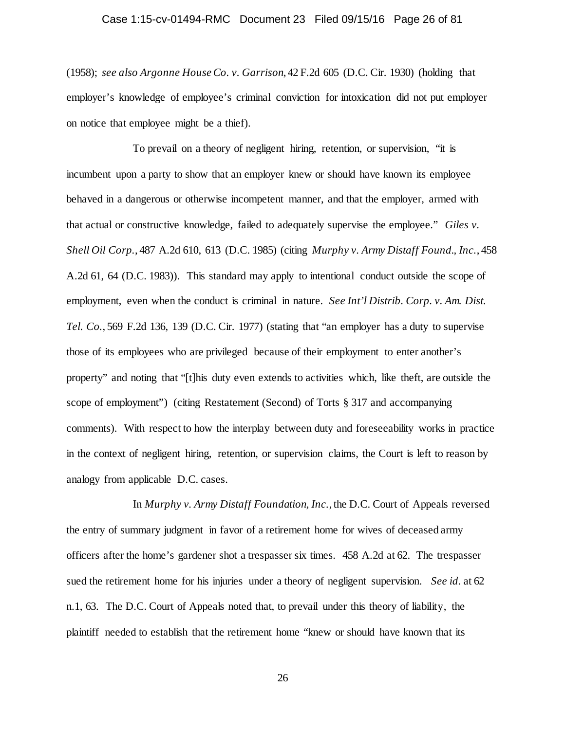## Case 1:15-cv-01494-RMC Document 23 Filed 09/15/16 Page 26 of 81

(1958); *see also Argonne House Co. v. Garrison*, 42 F.2d 605 (D.C. Cir. 1930) (holding that employer's knowledge of employee's criminal conviction for intoxication did not put employer on notice that employee might be a thief).

To prevail on a theory of negligent hiring, retention, or supervision, "it is incumbent upon a party to show that an employer knew or should have known its employee behaved in a dangerous or otherwise incompetent manner, and that the employer, armed with that actual or constructive knowledge, failed to adequately supervise the employee." *Giles v. Shell Oil Corp.*, 487 A.2d 610, 613 (D.C. 1985) (citing *Murphy v. Army Distaff Found., Inc.*, 458 A.2d 61, 64 (D.C. 1983)). This standard may apply to intentional conduct outside the scope of employment, even when the conduct is criminal in nature. *See Int'l Distrib. Corp. v. Am. Dist. Tel. Co.*, 569 F.2d 136, 139 (D.C. Cir. 1977) (stating that "an employer has a duty to supervise those of its employees who are privileged because of their employment to enter another's property" and noting that "[t]his duty even extends to activities which, like theft, are outside the scope of employment") (citing Restatement (Second) of Torts § 317 and accompanying comments). With respect to how the interplay between duty and foreseeability works in practice in the context of negligent hiring, retention, or supervision claims, the Court is left to reason by analogy from applicable D.C. cases.

In *Murphy v. Army Distaff Foundation, Inc.*, the D.C. Court of Appeals reversed the entry of summary judgment in favor of a retirement home for wives of deceased army officers after the home's gardener shot a trespasser six times. 458 A.2d at 62. The trespasser sued the retirement home for his injuries under a theory of negligent supervision. *See id.* at 62 n.1, 63. The D.C. Court of Appeals noted that, to prevail under this theory of liability, the plaintiff needed to establish that the retirement home "knew or should have known that its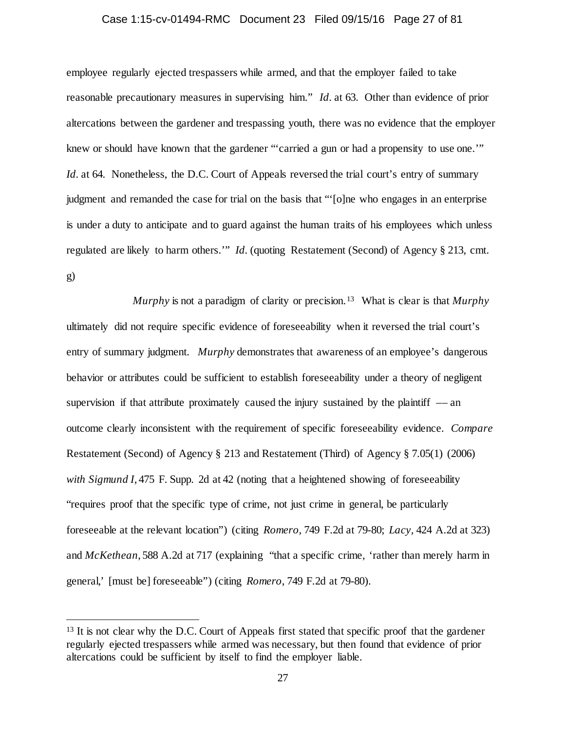## Case 1:15-cv-01494-RMC Document 23 Filed 09/15/16 Page 27 of 81

employee regularly ejected trespassers while armed, and that the employer failed to take reasonable precautionary measures in supervising him." *Id.* at 63. Other than evidence of prior altercations between the gardener and trespassing youth, there was no evidence that the employer knew or should have known that the gardener "'carried a gun or had a propensity to use one.'" *Id.* at 64. Nonetheless, the D.C. Court of Appeals reversed the trial court's entry of summary judgment and remanded the case for trial on the basis that "'[o]ne who engages in an enterprise is under a duty to anticipate and to guard against the human traits of his employees which unless regulated are likely to harm others.'" *Id.* (quoting Restatement (Second) of Agency § 213, cmt. g)

*Murphy* is not a paradigm of clarity or precision.[13](#page-26-0) What is clear is that *Murphy* ultimately did not require specific evidence of foreseeability when it reversed the trial court's entry of summary judgment. *Murphy* demonstrates that awareness of an employee's dangerous behavior or attributes could be sufficient to establish foreseeability under a theory of negligent supervision if that attribute proximately caused the injury sustained by the plaintiff  $-$  an outcome clearly inconsistent with the requirement of specific foreseeability evidence. *Compare*  Restatement (Second) of Agency § 213 and Restatement (Third) of Agency § 7.05(1) (2006) *with Sigmund I*, 475 F. Supp. 2d at 42 (noting that a heightened showing of foreseeability "requires proof that the specific type of crime, not just crime in general, be particularly foreseeable at the relevant location") (citing *Romero,* 749 F.2d at 79-80; *Lacy,* 424 A.2d at 323) and *McKethean*, 588 A.2d at 717 (explaining "that a specific crime, 'rather than merely harm in general,' [must be] foreseeable") (citing *Romero*, 749 F.2d at 79-80).

<span id="page-26-0"></span><sup>&</sup>lt;sup>13</sup> It is not clear why the D.C. Court of Appeals first stated that specific proof that the gardener regularly ejected trespassers while armed was necessary, but then found that evidence of prior altercations could be sufficient by itself to find the employer liable.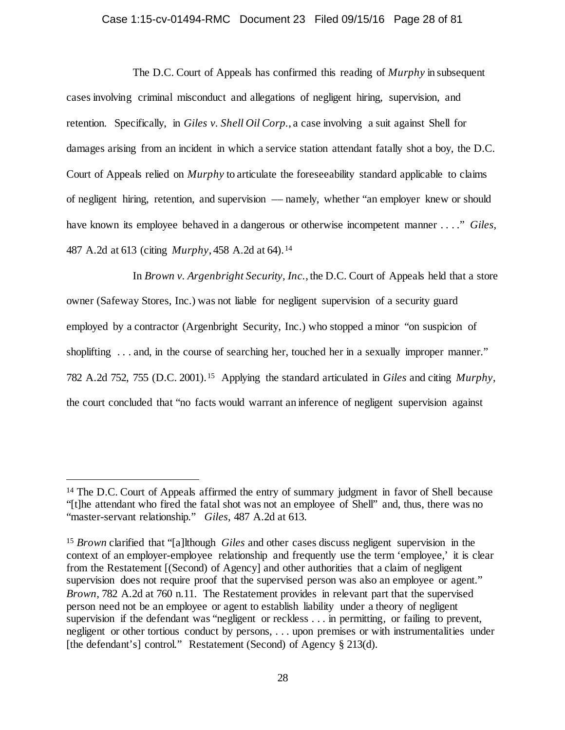## Case 1:15-cv-01494-RMC Document 23 Filed 09/15/16 Page 28 of 81

The D.C. Court of Appeals has confirmed this reading of *Murphy* in subsequent cases involving criminal misconduct and allegations of negligent hiring, supervision, and retention. Specifically, in *Giles v. Shell Oil Corp.*, a case involving a suit against Shell for damages arising from an incident in which a service station attendant fatally shot a boy, the D.C. Court of Appeals relied on *Murphy* to articulate the foreseeability standard applicable to claims of negligent hiring, retention, and supervision –– namely, whether "an employer knew or should have known its employee behaved in a dangerous or otherwise incompetent manner . . . ." *Giles*, 487 A.2d at 613 (citing *Murphy*, 458 A.2d at 64).[14](#page-27-0) 

In *Brown v. Argenbright Security, Inc.*, the D.C. Court of Appeals held that a store owner (Safeway Stores, Inc.) was not liable for negligent supervision of a security guard employed by a contractor (Argenbright Security, Inc.) who stopped a minor "on suspicion of shoplifting ... and, in the course of searching her, touched her in a sexually improper manner." 782 A.2d 752, 755 (D.C. 2001).[15](#page-27-1) Applying the standard articulated in *Giles* and citing *Murphy*, the court concluded that "no facts would warrant an inference of negligent supervision against

<span id="page-27-0"></span><sup>&</sup>lt;sup>14</sup> The D.C. Court of Appeals affirmed the entry of summary judgment in favor of Shell because "[t]he attendant who fired the fatal shot was not an employee of Shell" and, thus, there was no "master-servant relationship." *Giles*, 487 A.2d at 613.

<span id="page-27-1"></span><sup>15</sup> *Brown* clarified that "[a]lthough *Giles* and other cases discuss negligent supervision in the context of an employer-employee relationship and frequently use the term 'employee,' it is clear from the Restatement [(Second) of Agency] and other authorities that a claim of negligent supervision does not require proof that the supervised person was also an employee or agent." *Brown*, 782 A.2d at 760 n.11. The Restatement provides in relevant part that the supervised person need not be an employee or agent to establish liability under a theory of negligent supervision if the defendant was "negligent or reckless . . . in permitting, or failing to prevent, negligent or other tortious conduct by persons, . . . upon premises or with instrumentalities under [the defendant's] control." Restatement (Second) of Agency § 213(d).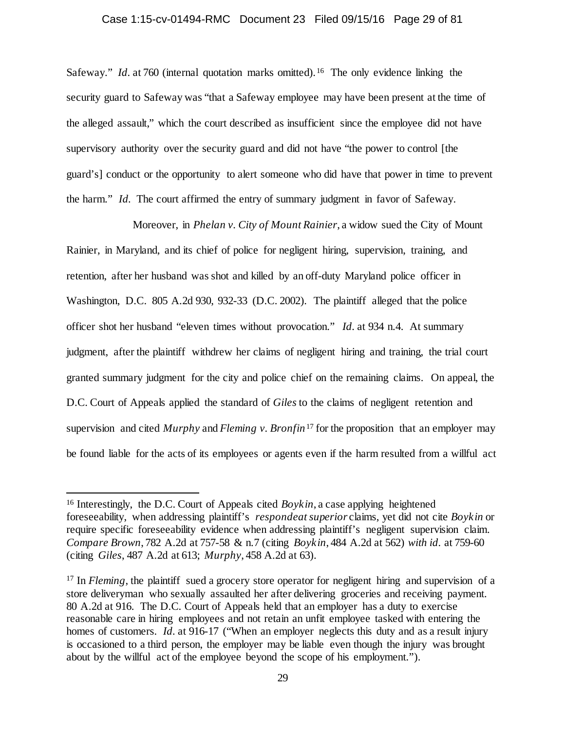## Case 1:15-cv-01494-RMC Document 23 Filed 09/15/16 Page 29 of 81

Safeway." *Id.* at 760 (internal quotation marks omitted).<sup>[16](#page-28-0)</sup> The only evidence linking the security guard to Safeway was "that a Safeway employee may have been present at the time of the alleged assault," which the court described as insufficient since the employee did not have supervisory authority over the security guard and did not have "the power to control [the guard's] conduct or the opportunity to alert someone who did have that power in time to prevent the harm." *Id.* The court affirmed the entry of summary judgment in favor of Safeway.

Moreover, in *Phelan v. City of Mount Rainier*, a widow sued the City of Mount Rainier, in Maryland, and its chief of police for negligent hiring, supervision, training, and retention, after her husband was shot and killed by an off-duty Maryland police officer in Washington, D.C. 805 A.2d 930, 932-33 (D.C. 2002). The plaintiff alleged that the police officer shot her husband "eleven times without provocation." *Id.* at 934 n.4. At summary judgment, after the plaintiff withdrew her claims of negligent hiring and training, the trial court granted summary judgment for the city and police chief on the remaining claims. On appeal, the D.C. Court of Appeals applied the standard of *Giles* to the claims of negligent retention and supervision and cited *Murphy* and *Fleming v. Bronfin*[17](#page-28-1) for the proposition that an employer may be found liable for the acts of its employees or agents even if the harm resulted from a willful act

<span id="page-28-0"></span><sup>&</sup>lt;sup>16</sup> Interestingly, the D.C. Court of Appeals cited *Boykin*, a case applying heightened foreseeability, when addressing plaintiff's *respondeat superior* claims, yet did not cite *Boykin* or require specific foreseeability evidence when addressing plaintiff's negligent supervision claim. *Compare Brown*, 782 A.2d at 757-58 & n.7 (citing *Boykin*, 484 A.2d at 562) *with id.* at 759-60 (citing *Giles*, 487 A.2d at 613; *Murphy*, 458 A.2d at 63).

<span id="page-28-1"></span><sup>&</sup>lt;sup>17</sup> In *Fleming*, the plaintiff sued a grocery store operator for negligent hiring and supervision of a store deliveryman who sexually assaulted her after delivering groceries and receiving payment. 80 A.2d at 916. The D.C. Court of Appeals held that an employer has a duty to exercise reasonable care in hiring employees and not retain an unfit employee tasked with entering the homes of customers. *Id.* at 916-17 ("When an employer neglects this duty and as a result injury is occasioned to a third person, the employer may be liable even though the injury was brought about by the willful act of the employee beyond the scope of his employment.").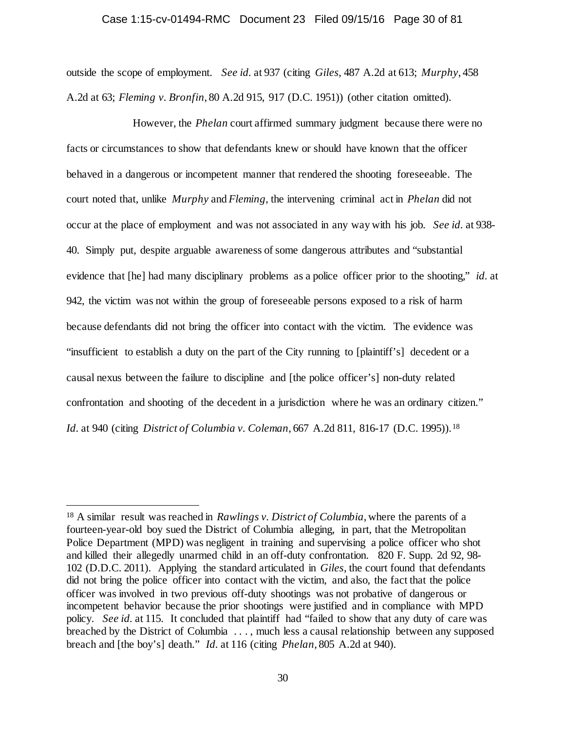#### Case 1:15-cv-01494-RMC Document 23 Filed 09/15/16 Page 30 of 81

outside the scope of employment. *See id.* at 937 (citing *Giles*, 487 A.2d at 613; *Murphy*, 458 A.2d at 63; *Fleming v. Bronfin*, 80 A.2d 915, 917 (D.C. 1951)) (other citation omitted).

However, the *Phelan* court affirmed summary judgment because there were no facts or circumstances to show that defendants knew or should have known that the officer behaved in a dangerous or incompetent manner that rendered the shooting foreseeable. The court noted that, unlike *Murphy* and *Fleming*, the intervening criminal act in *Phelan* did not occur at the place of employment and was not associated in any way with his job. *See id.* at 938- 40. Simply put, despite arguable awareness of some dangerous attributes and "substantial evidence that [he] had many disciplinary problems as a police officer prior to the shooting," *id.* at 942, the victim was not within the group of foreseeable persons exposed to a risk of harm because defendants did not bring the officer into contact with the victim. The evidence was "insufficient to establish a duty on the part of the City running to [plaintiff's] decedent or a causal nexus between the failure to discipline and [the police officer's] non-duty related confrontation and shooting of the decedent in a jurisdiction where he was an ordinary citizen." *Id.* at 940 (citing *District of Columbia v. Coleman*, 667 A.2d 811, 816-17 (D.C. 1995)).[18](#page-29-0)

<span id="page-29-0"></span> <sup>18</sup> A similar result was reached in *Rawlings v. District of Columbia*, where the parents of a fourteen-year-old boy sued the District of Columbia alleging, in part, that the Metropolitan Police Department (MPD) was negligent in training and supervising a police officer who shot and killed their allegedly unarmed child in an off-duty confrontation. 820 F. Supp. 2d 92, 98- 102 (D.D.C. 2011). Applying the standard articulated in *Giles*, the court found that defendants did not bring the police officer into contact with the victim, and also, the fact that the police officer was involved in two previous off-duty shootings was not probative of dangerous or incompetent behavior because the prior shootings were justified and in compliance with MPD policy. *See id.* at 115. It concluded that plaintiff had "failed to show that any duty of care was breached by the District of Columbia . . . , much less a causal relationship between any supposed breach and [the boy's] death." *Id.* at 116 (citing *Phelan*, 805 A.2d at 940).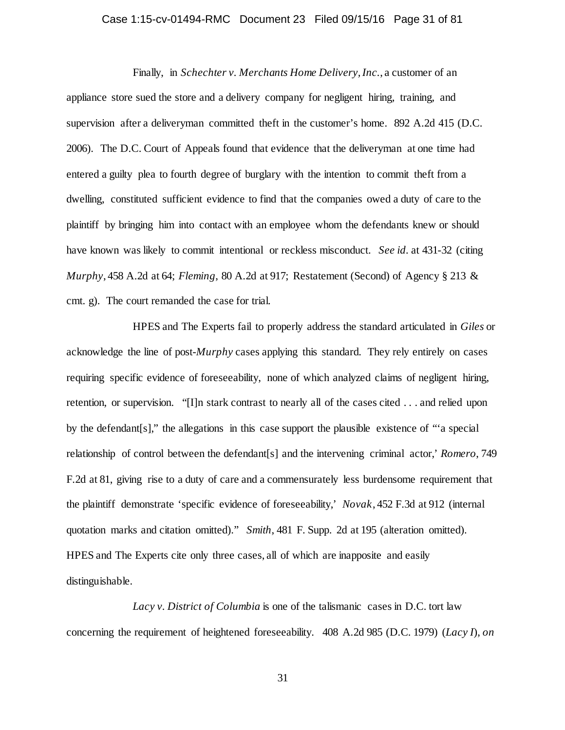## Case 1:15-cv-01494-RMC Document 23 Filed 09/15/16 Page 31 of 81

Finally, in *Schechter v. Merchants Home Delivery, Inc.*, a customer of an appliance store sued the store and a delivery company for negligent hiring, training, and supervision after a deliveryman committed theft in the customer's home. 892 A.2d 415 (D.C. 2006). The D.C. Court of Appeals found that evidence that the deliveryman at one time had entered a guilty plea to fourth degree of burglary with the intention to commit theft from a dwelling, constituted sufficient evidence to find that the companies owed a duty of care to the plaintiff by bringing him into contact with an employee whom the defendants knew or should have known was likely to commit intentional or reckless misconduct. *See id.* at 431-32 (citing *Murphy*, 458 A.2d at 64; *Fleming*, 80 A.2d at 917; Restatement (Second) of Agency § 213 & cmt. g). The court remanded the case for trial.

HPES and The Experts fail to properly address the standard articulated in *Giles* or acknowledge the line of post-*Murphy* cases applying this standard. They rely entirely on cases requiring specific evidence of foreseeability, none of which analyzed claims of negligent hiring, retention, or supervision. "[I]n stark contrast to nearly all of the cases cited . . . and relied upon by the defendant[s]," the allegations in this case support the plausible existence of "'a special relationship of control between the defendant[s] and the intervening criminal actor,' *Romero*, 749 F.2d at 81, giving rise to a duty of care and a commensurately less burdensome requirement that the plaintiff demonstrate 'specific evidence of foreseeability,' *Novak*, 452 F.3d at 912 (internal quotation marks and citation omitted)." *Smith*, 481 F. Supp. 2d at 195 (alteration omitted). HPES and The Experts cite only three cases, all of which are inapposite and easily distinguishable.

*Lacy v. District of Columbia* is one of the talismanic cases in D.C. tort law concerning the requirement of heightened foreseeability. 408 A.2d 985 (D.C. 1979) (*Lacy I*), *on*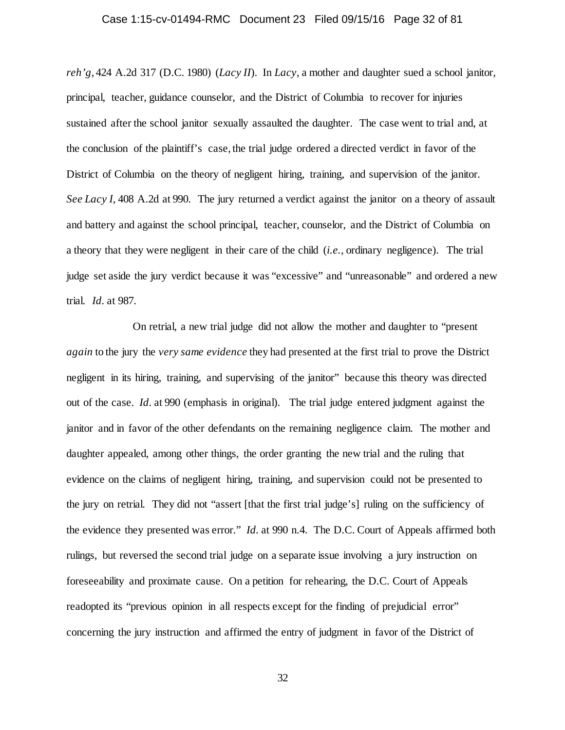## Case 1:15-cv-01494-RMC Document 23 Filed 09/15/16 Page 32 of 81

*reh'g*, 424 A.2d 317 (D.C. 1980) (*Lacy II*). In *Lacy*, a mother and daughter sued a school janitor, principal, teacher, guidance counselor, and the District of Columbia to recover for injuries sustained after the school janitor sexually assaulted the daughter. The case went to trial and, at the conclusion of the plaintiff's case, the trial judge ordered a directed verdict in favor of the District of Columbia on the theory of negligent hiring, training, and supervision of the janitor. *See Lacy I*, 408 A.2d at 990. The jury returned a verdict against the janitor on a theory of assault and battery and against the school principal, teacher, counselor, and the District of Columbia on a theory that they were negligent in their care of the child (*i.e.*, ordinary negligence). The trial judge set aside the jury verdict because it was "excessive" and "unreasonable" and ordered a new trial. *Id.* at 987.

On retrial, a new trial judge did not allow the mother and daughter to "present *again* to the jury the *very same evidence* they had presented at the first trial to prove the District negligent in its hiring, training, and supervising of the janitor" because this theory was directed out of the case. *Id.* at 990 (emphasis in original). The trial judge entered judgment against the janitor and in favor of the other defendants on the remaining negligence claim. The mother and daughter appealed, among other things, the order granting the new trial and the ruling that evidence on the claims of negligent hiring, training, and supervision could not be presented to the jury on retrial. They did not "assert [that the first trial judge's] ruling on the sufficiency of the evidence they presented was error." *Id.* at 990 n.4. The D.C. Court of Appeals affirmed both rulings, but reversed the second trial judge on a separate issue involving a jury instruction on foreseeability and proximate cause. On a petition for rehearing, the D.C. Court of Appeals readopted its "previous opinion in all respects except for the finding of prejudicial error" concerning the jury instruction and affirmed the entry of judgment in favor of the District of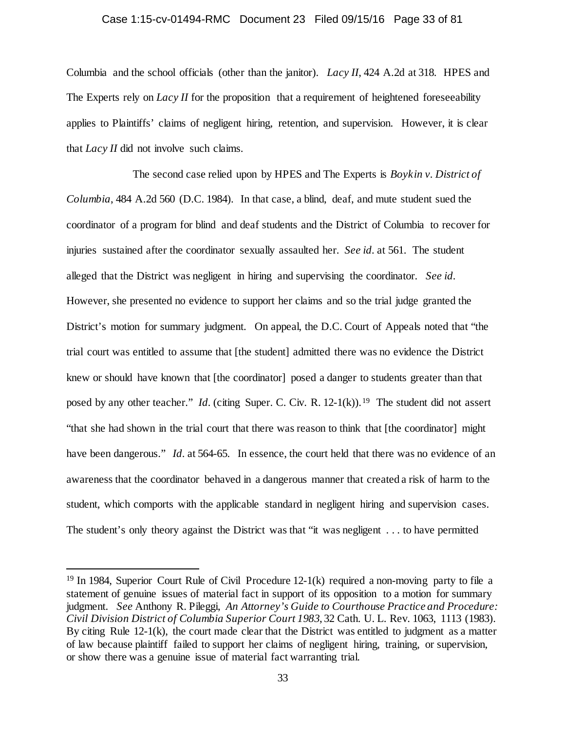### Case 1:15-cv-01494-RMC Document 23 Filed 09/15/16 Page 33 of 81

Columbia and the school officials (other than the janitor). *Lacy II*, 424 A.2d at 318. HPES and The Experts rely on *Lacy II* for the proposition that a requirement of heightened foreseeability applies to Plaintiffs' claims of negligent hiring, retention, and supervision. However, it is clear that *Lacy II* did not involve such claims.

The second case relied upon by HPES and The Experts is *Boykin v. District of Columbia*, 484 A.2d 560 (D.C. 1984). In that case, a blind, deaf, and mute student sued the coordinator of a program for blind and deaf students and the District of Columbia to recover for injuries sustained after the coordinator sexually assaulted her. *See id.* at 561. The student alleged that the District was negligent in hiring and supervising the coordinator. *See id.* However, she presented no evidence to support her claims and so the trial judge granted the District's motion for summary judgment. On appeal, the D.C. Court of Appeals noted that "the trial court was entitled to assume that [the student] admitted there was no evidence the District knew or should have known that [the coordinator] posed a danger to students greater than that posed by any other teacher." *Id.* (citing Super. C. Civ. R. 12-1(k)).<sup>19</sup> The student did not assert "that she had shown in the trial court that there was reason to think that [the coordinator] might have been dangerous." *Id.* at 564-65. In essence, the court held that there was no evidence of an awareness that the coordinator behaved in a dangerous manner that created a risk of harm to the student, which comports with the applicable standard in negligent hiring and supervision cases. The student's only theory against the District was that "it was negligent . . . to have permitted

<span id="page-32-0"></span> <sup>19</sup> In 1984, Superior Court Rule of Civil Procedure 12-1(k) required a non-moving party to file a statement of genuine issues of material fact in support of its opposition to a motion for summary judgment. *See* Anthony R. Pileggi, *An Attorney's Guide to Courthouse Practice and Procedure: Civil Division District of Columbia Superior Court 1983*, 32 Cath. U. L. Rev. 1063, 1113 (1983). By citing Rule 12-1(k), the court made clear that the District was entitled to judgment as a matter of law because plaintiff failed to support her claims of negligent hiring, training, or supervision, or show there was a genuine issue of material fact warranting trial.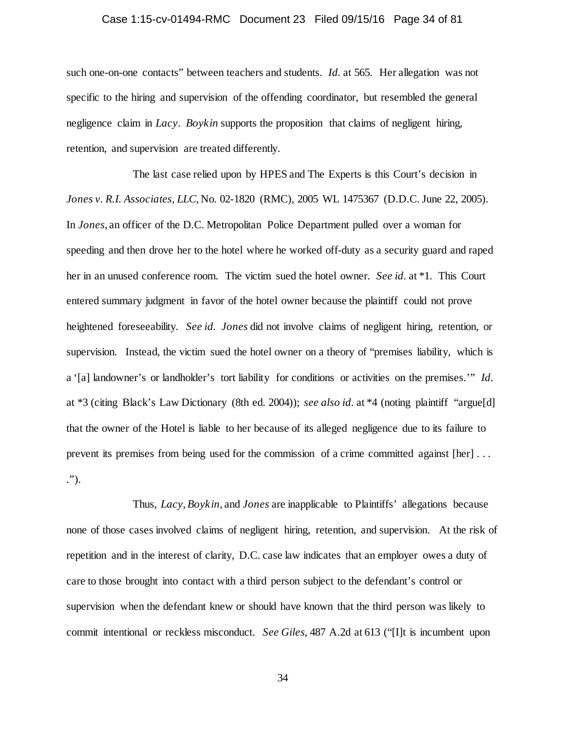## Case 1:15-cv-01494-RMC Document 23 Filed 09/15/16 Page 34 of 81

such one-on-one contacts" between teachers and students. *Id.* at 565. Her allegation was not specific to the hiring and supervision of the offending coordinator, but resembled the general negligence claim in *Lacy*. *Boykin* supports the proposition that claims of negligent hiring, retention, and supervision are treated differently.

The last case relied upon by HPES and The Experts is this Court's decision in *Jones v. R.I. Associates, LLC*, No. 02-1820 (RMC), 2005 WL 1475367 (D.D.C. June 22, 2005). In *Jones*, an officer of the D.C. Metropolitan Police Department pulled over a woman for speeding and then drove her to the hotel where he worked off-duty as a security guard and raped her in an unused conference room. The victim sued the hotel owner. *See id.* at \*1. This Court entered summary judgment in favor of the hotel owner because the plaintiff could not prove heightened foreseeability. *See id. Jones* did not involve claims of negligent hiring, retention, or supervision. Instead, the victim sued the hotel owner on a theory of "premises liability, which is a '[a] landowner's or landholder's tort liability for conditions or activities on the premises.'" *Id.* at \*3 (citing Black's Law Dictionary (8th ed. 2004)); *see also id.* at \*4 (noting plaintiff "argue[d] that the owner of the Hotel is liable to her because of its alleged negligence due to its failure to prevent its premises from being used for the commission of a crime committed against [her] . . . .").

Thus, *Lacy*, *Boykin*, and *Jones* are inapplicable to Plaintiffs' allegations because none of those cases involved claims of negligent hiring, retention, and supervision. At the risk of repetition and in the interest of clarity, D.C. case law indicates that an employer owes a duty of care to those brought into contact with a third person subject to the defendant's control or supervision when the defendant knew or should have known that the third person was likely to commit intentional or reckless misconduct. *See Giles*, 487 A.2d at 613 ("[I]t is incumbent upon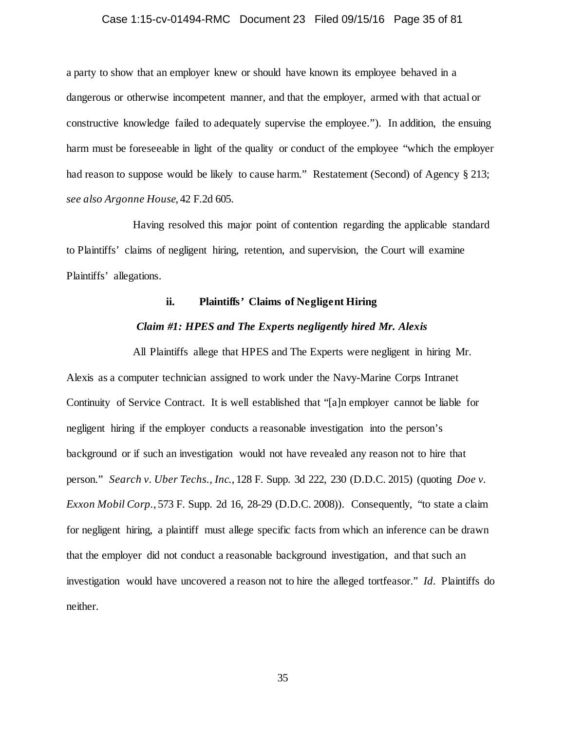## Case 1:15-cv-01494-RMC Document 23 Filed 09/15/16 Page 35 of 81

a party to show that an employer knew or should have known its employee behaved in a dangerous or otherwise incompetent manner, and that the employer, armed with that actual or constructive knowledge failed to adequately supervise the employee."). In addition, the ensuing harm must be foreseeable in light of the quality or conduct of the employee "which the employer had reason to suppose would be likely to cause harm." Restatement (Second) of Agency § 213; *see also Argonne House*, 42 F.2d 605.

Having resolved this major point of contention regarding the applicable standard to Plaintiffs' claims of negligent hiring, retention, and supervision, the Court will examine Plaintiffs' allegations.

## **ii. Plaintiffs' Claims of Negligent Hiring**

## *Claim #1: HPES and The Experts negligently hired Mr. Alexis*

All Plaintiffs allege that HPES and The Experts were negligent in hiring Mr. Alexis as a computer technician assigned to work under the Navy-Marine Corps Intranet Continuity of Service Contract. It is well established that "[a]n employer cannot be liable for negligent hiring if the employer conducts a reasonable investigation into the person's background or if such an investigation would not have revealed any reason not to hire that person." *Search v. Uber Techs., Inc.*, 128 F. Supp. 3d 222, 230 (D.D.C. 2015) (quoting *Doe v. Exxon Mobil Corp.*, 573 F. Supp. 2d 16, 28-29 (D.D.C. 2008)). Consequently, "to state a claim for negligent hiring, a plaintiff must allege specific facts from which an inference can be drawn that the employer did not conduct a reasonable background investigation, and that such an investigation would have uncovered a reason not to hire the alleged tortfeasor." *Id.* Plaintiffs do neither.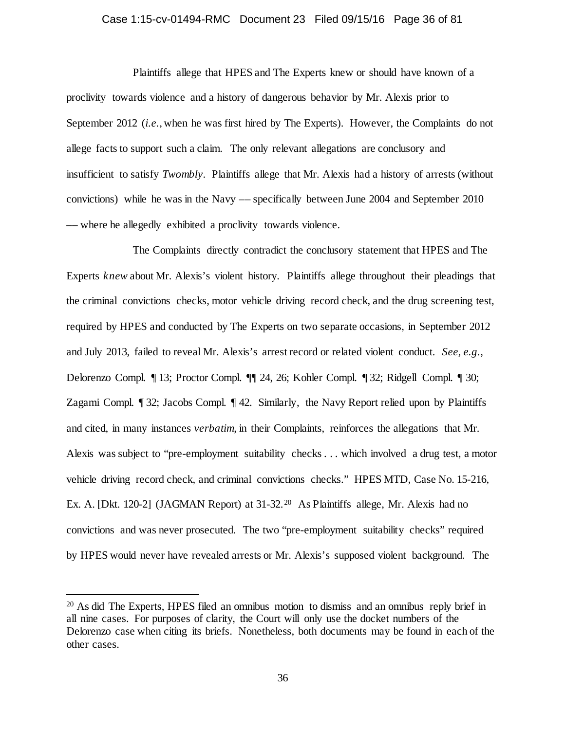## Case 1:15-cv-01494-RMC Document 23 Filed 09/15/16 Page 36 of 81

Plaintiffs allege that HPES and The Experts knew or should have known of a proclivity towards violence and a history of dangerous behavior by Mr. Alexis prior to September 2012 (*i.e.*, when he was first hired by The Experts). However, the Complaints do not allege facts to support such a claim. The only relevant allegations are conclusory and insufficient to satisfy *Twombly*. Plaintiffs allege that Mr. Alexis had a history of arrests (without convictions) while he was in the Navy –– specifically between June 2004 and September 2010 –– where he allegedly exhibited a proclivity towards violence.

The Complaints directly contradict the conclusory statement that HPES and The Experts *knew* about Mr. Alexis's violent history. Plaintiffs allege throughout their pleadings that the criminal convictions checks, motor vehicle driving record check, and the drug screening test, required by HPES and conducted by The Experts on two separate occasions, in September 2012 and July 2013, failed to reveal Mr. Alexis's arrest record or related violent conduct. *See, e.g.*, Delorenzo Compl. ¶ 13; Proctor Compl. ¶¶ 24, 26; Kohler Compl. ¶ 32; Ridgell Compl. ¶ 30; Zagami Compl. ¶ 32; Jacobs Compl. ¶ 42. Similarly, the Navy Report relied upon by Plaintiffs and cited, in many instances *verbatim*, in their Complaints, reinforces the allegations that Mr. Alexis was subject to "pre-employment suitability checks . . . which involved a drug test, a motor vehicle driving record check, and criminal convictions checks." HPES MTD, Case No. 15-216, Ex. A. [Dkt. 1[20](#page-35-0)-2] (JAGMAN Report) at 31-32.<sup>20</sup> As Plaintiffs allege, Mr. Alexis had no convictions and was never prosecuted. The two "pre-employment suitability checks" required by HPES would never have revealed arrests or Mr. Alexis's supposed violent background. The

<span id="page-35-0"></span> <sup>20</sup> As did The Experts, HPES filed an omnibus motion to dismiss and an omnibus reply brief in all nine cases. For purposes of clarity, the Court will only use the docket numbers of the Delorenzo case when citing its briefs. Nonetheless, both documents may be found in each of the other cases.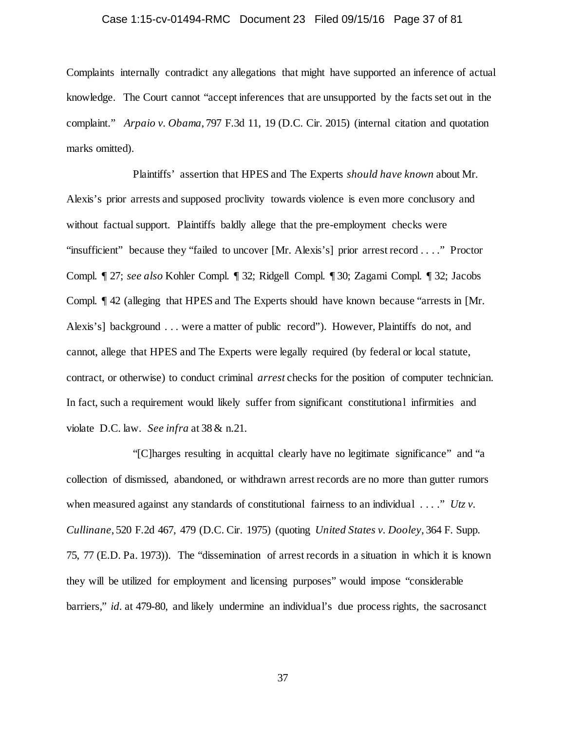# Case 1:15-cv-01494-RMC Document 23 Filed 09/15/16 Page 37 of 81

Complaints internally contradict any allegations that might have supported an inference of actual knowledge. The Court cannot "accept inferences that are unsupported by the facts set out in the complaint." *Arpaio v. Obama*, 797 F.3d 11, 19 (D.C. Cir. 2015) (internal citation and quotation marks omitted).

Plaintiffs' assertion that HPES and The Experts *should have known* about Mr. Alexis's prior arrests and supposed proclivity towards violence is even more conclusory and without factual support. Plaintiffs baldly allege that the pre-employment checks were "insufficient" because they "failed to uncover [Mr. Alexis's] prior arrest record . . . ." Proctor Compl. ¶ 27; *see also* Kohler Compl. ¶ 32; Ridgell Compl. ¶ 30; Zagami Compl. ¶ 32; Jacobs Compl. ¶ 42 (alleging that HPES and The Experts should have known because "arrests in [Mr. Alexis's] background . . . were a matter of public record"). However, Plaintiffs do not, and cannot, allege that HPES and The Experts were legally required (by federal or local statute, contract, or otherwise) to conduct criminal *arrest* checks for the position of computer technician. In fact, such a requirement would likely suffer from significant constitutional infirmities and violate D.C. law. *See infra* at 38 & n.21.

"[C]harges resulting in acquittal clearly have no legitimate significance" and "a collection of dismissed, abandoned, or withdrawn arrest records are no more than gutter rumors when measured against any standards of constitutional fairness to an individual . . . ." *Utz v*. *Cullinane*, 520 F.2d 467, 479 (D.C. Cir. 1975) (quoting *United States v. Dooley*, 364 F. Supp. 75, 77 (E.D. Pa. 1973)). The "dissemination of arrest records in a situation in which it is known they will be utilized for employment and licensing purposes" would impose "considerable barriers," *id.* at 479-80, and likely undermine an individual's due process rights, the sacrosanct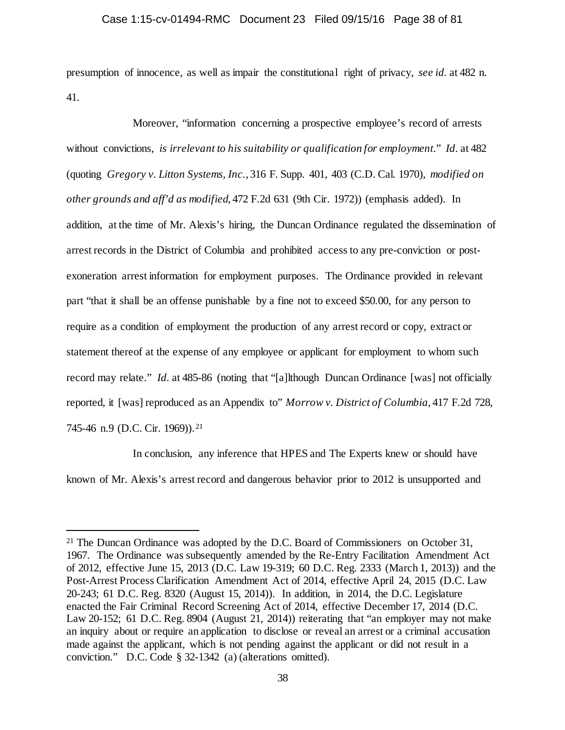presumption of innocence, as well as impair the constitutional right of privacy, *see id.* at 482 n. 41.

Moreover, "information concerning a prospective employee's record of arrests without convictions, *is irrelevant to his suitability or qualification for employment*." *Id.* at 482 (quoting *Gregory v. Litton Systems, Inc.*, 316 F. Supp. 401, 403 (C.D. Cal. 1970), *modified on other grounds and aff'd as modified*, 472 F.2d 631 (9th Cir. 1972)) (emphasis added). In addition, at the time of Mr. Alexis's hiring, the Duncan Ordinance regulated the dissemination of arrest records in the District of Columbia and prohibited access to any pre-conviction or postexoneration arrest information for employment purposes. The Ordinance provided in relevant part "that it shall be an offense punishable by a fine not to exceed \$50.00, for any person to require as a condition of employment the production of any arrest record or copy, extract or statement thereof at the expense of any employee or applicant for employment to whom such record may relate." *Id.* at 485-86 (noting that "[a]lthough Duncan Ordinance [was] not officially reported, it [was] reproduced as an Appendix to" *Morrow v. District of Columbia*, 417 F.2d 728, 745-46 n.9 (D.C. Cir. 1969)).<sup>[21](#page-37-0)</sup>

In conclusion, any inference that HPES and The Experts knew or should have known of Mr. Alexis's arrest record and dangerous behavior prior to 2012 is unsupported and

<span id="page-37-0"></span><sup>&</sup>lt;sup>21</sup> The Duncan Ordinance was adopted by the D.C. Board of Commissioners on October 31, 1967. The Ordinance was subsequently amended by the Re-Entry Facilitation Amendment Act of 2012, effective June 15, 2013 (D.C. Law 19-319; 60 D.C. Reg. 2333 (March 1, 2013)) and the Post-Arrest Process Clarification Amendment Act of 2014, effective April 24, 2015 (D.C. Law 20-243; 61 D.C. Reg. 8320 (August 15, 2014)). In addition, in 2014, the D.C. Legislature enacted the Fair Criminal Record Screening Act of 2014, effective December 17, 2014 (D.C. Law 20-152; 61 D.C. Reg. 8904 (August 21, 2014)) reiterating that "an employer may not make an inquiry about or require an application to disclose or reveal an arrest or a criminal accusation made against the applicant, which is not pending against the applicant or did not result in a conviction." D.C. Code § 32-1342 (a) (alterations omitted).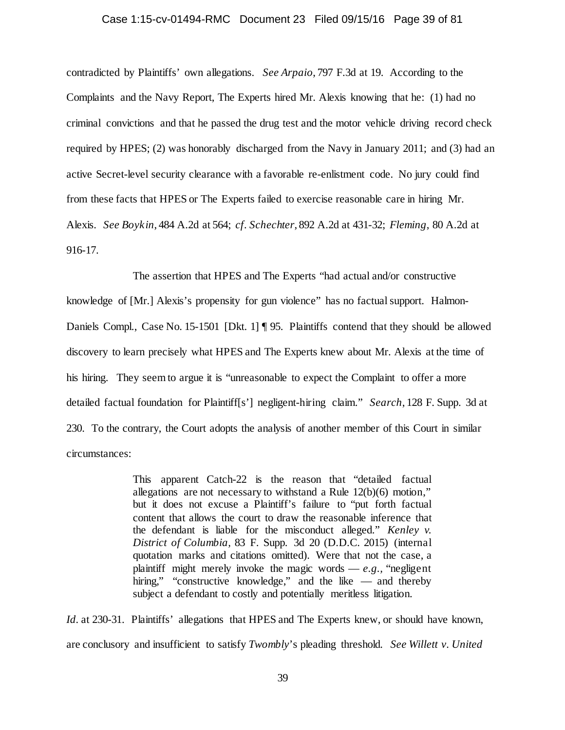#### Case 1:15-cv-01494-RMC Document 23 Filed 09/15/16 Page 39 of 81

contradicted by Plaintiffs' own allegations. *See Arpaio*, 797 F.3d at 19. According to the Complaints and the Navy Report, The Experts hired Mr. Alexis knowing that he: (1) had no criminal convictions and that he passed the drug test and the motor vehicle driving record check required by HPES; (2) was honorably discharged from the Navy in January 2011; and (3) had an active Secret-level security clearance with a favorable re-enlistment code. No jury could find from these facts that HPES or The Experts failed to exercise reasonable care in hiring Mr. Alexis. *See Boykin*, 484 A.2d at 564; *cf. Schechter*, 892 A.2d at 431-32; *Fleming*, 80 A.2d at 916-17.

The assertion that HPES and The Experts "had actual and/or constructive knowledge of [Mr.] Alexis's propensity for gun violence" has no factual support. Halmon-Daniels Compl., Case No. 15-1501 [Dkt. 1] ¶ 95. Plaintiffs contend that they should be allowed discovery to learn precisely what HPES and The Experts knew about Mr. Alexis at the time of his hiring. They seem to argue it is "unreasonable to expect the Complaint to offer a more detailed factual foundation for Plaintiff[s'] negligent-hiring claim." *Search*, 128 F. Supp. 3d at 230. To the contrary, the Court adopts the analysis of another member of this Court in similar circumstances:

> This apparent Catch-22 is the reason that "detailed factual allegations are not necessary to withstand a Rule 12(b)(6) motion," but it does not excuse a Plaintiff's failure to "put forth factual content that allows the court to draw the reasonable inference that the defendant is liable for the misconduct alleged." *Kenley v. District of Columbia,* 83 F. Supp. 3d 20 (D.D.C. 2015) (internal quotation marks and citations omitted). Were that not the case, a plaintiff might merely invoke the magic words  $-e.g.,$  "negligent" hiring," "constructive knowledge," and the like — and thereby subject a defendant to costly and potentially meritless litigation.

*Id.* at 230-31. Plaintiffs' allegations that HPES and The Experts knew, or should have known, are conclusory and insufficient to satisfy *Twombly*'s pleading threshold. *See Willett v. United*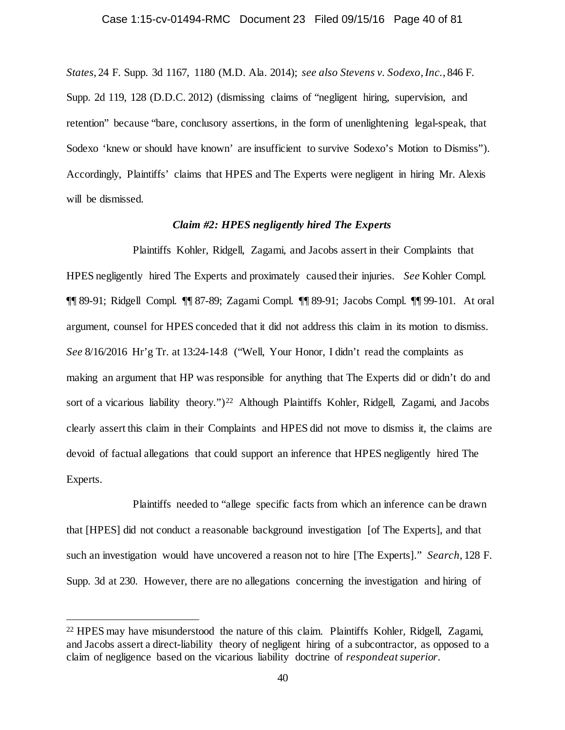*States*, 24 F. Supp. 3d 1167, 1180 (M.D. Ala. 2014); *see also Stevens v. Sodexo, Inc.*, 846 F. Supp. 2d 119, 128 (D.D.C. 2012) (dismissing claims of "negligent hiring, supervision, and retention" because "bare, conclusory assertions, in the form of unenlightening legal-speak, that Sodexo 'knew or should have known' are insufficient to survive Sodexo's Motion to Dismiss"). Accordingly, Plaintiffs' claims that HPES and The Experts were negligent in hiring Mr. Alexis will be dismissed.

# *Claim #2: HPES negligently hired The Experts*

Plaintiffs Kohler, Ridgell, Zagami, and Jacobs assert in their Complaints that HPES negligently hired The Experts and proximately caused their injuries. *See* Kohler Compl. ¶¶ 89-91; Ridgell Compl. ¶¶ 87-89; Zagami Compl. ¶¶ 89-91; Jacobs Compl. ¶¶ 99-101. At oral argument, counsel for HPES conceded that it did not address this claim in its motion to dismiss. *See* 8/16/2016 Hr'g Tr. at 13:24-14:8 ("Well, Your Honor, I didn't read the complaints as making an argument that HP was responsible for anything that The Experts did or didn't do and sort of a vicarious liability theory.")<sup>22</sup> Although Plaintiffs Kohler, Ridgell, Zagami, and Jacobs clearly assert this claim in their Complaints and HPES did not move to dismiss it, the claims are devoid of factual allegations that could support an inference that HPES negligently hired The Experts.

Plaintiffs needed to "allege specific facts from which an inference can be drawn that [HPES] did not conduct a reasonable background investigation [of The Experts], and that such an investigation would have uncovered a reason not to hire [The Experts]." *Search*, 128 F. Supp. 3d at 230. However, there are no allegations concerning the investigation and hiring of

<span id="page-39-0"></span> <sup>22</sup> HPES may have misunderstood the nature of this claim. Plaintiffs Kohler, Ridgell, Zagami, and Jacobs assert a direct-liability theory of negligent hiring of a subcontractor, as opposed to a claim of negligence based on the vicarious liability doctrine of *respondeat superior*.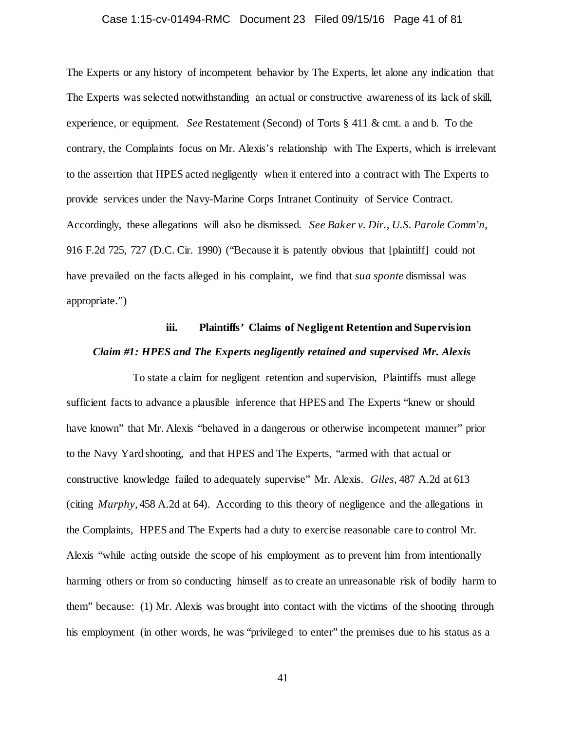# Case 1:15-cv-01494-RMC Document 23 Filed 09/15/16 Page 41 of 81

The Experts or any history of incompetent behavior by The Experts, let alone any indication that The Experts was selected notwithstanding an actual or constructive awareness of its lack of skill, experience, or equipment. *See* Restatement (Second) of Torts § 411 & cmt. a and b. To the contrary, the Complaints focus on Mr. Alexis's relationship with The Experts, which is irrelevant to the assertion that HPES acted negligently when it entered into a contract with The Experts to provide services under the Navy-Marine Corps Intranet Continuity of Service Contract. Accordingly, these allegations will also be dismissed. *See Baker v. Dir., U.S. Parole Comm'n*, 916 F.2d 725, 727 (D.C. Cir. 1990) ("Because it is patently obvious that [plaintiff] could not have prevailed on the facts alleged in his complaint, we find that *sua sponte* dismissal was appropriate.")

# **iii. Plaintiffs' Claims of Negligent Retention and Supervision** *Claim #1: HPES and The Experts negligently retained and supervised Mr. Alexis*

To state a claim for negligent retention and supervision, Plaintiffs must allege sufficient facts to advance a plausible inference that HPES and The Experts "knew or should have known" that Mr. Alexis "behaved in a dangerous or otherwise incompetent manner" prior to the Navy Yard shooting, and that HPES and The Experts, "armed with that actual or constructive knowledge failed to adequately supervise" Mr. Alexis. *Giles*, 487 A.2d at 613 (citing *Murphy*, 458 A.2d at 64). According to this theory of negligence and the allegations in the Complaints, HPES and The Experts had a duty to exercise reasonable care to control Mr. Alexis "while acting outside the scope of his employment as to prevent him from intentionally harming others or from so conducting himself as to create an unreasonable risk of bodily harm to them" because: (1) Mr. Alexis was brought into contact with the victims of the shooting through his employment (in other words, he was "privileged to enter" the premises due to his status as a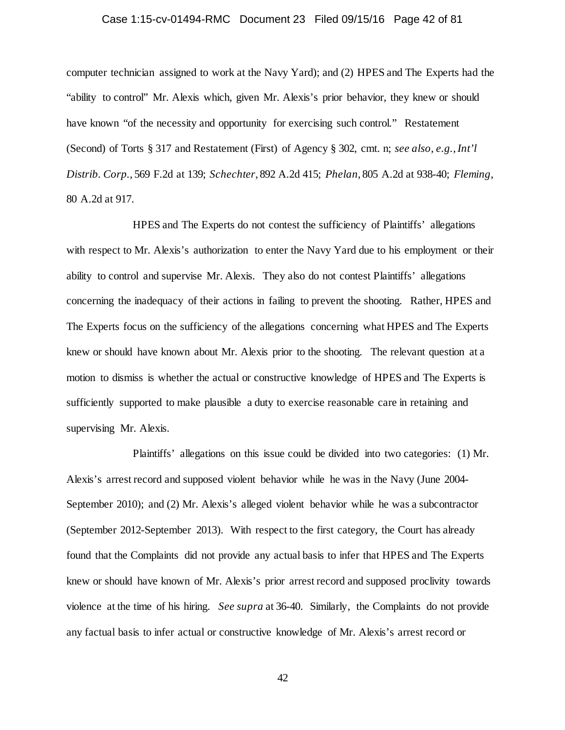# Case 1:15-cv-01494-RMC Document 23 Filed 09/15/16 Page 42 of 81

computer technician assigned to work at the Navy Yard); and (2) HPES and The Experts had the "ability to control" Mr. Alexis which, given Mr. Alexis's prior behavior, they knew or should have known "of the necessity and opportunity for exercising such control." Restatement (Second) of Torts § 317 and Restatement (First) of Agency § 302, cmt. n; *see also, e.g.*,*Int'l Distrib. Corp.*, 569 F.2d at 139; *Schechter*, 892 A.2d 415; *Phelan*, 805 A.2d at 938-40; *Fleming*, 80 A.2d at 917.

HPES and The Experts do not contest the sufficiency of Plaintiffs' allegations with respect to Mr. Alexis's authorization to enter the Navy Yard due to his employment or their ability to control and supervise Mr. Alexis. They also do not contest Plaintiffs' allegations concerning the inadequacy of their actions in failing to prevent the shooting. Rather, HPES and The Experts focus on the sufficiency of the allegations concerning what HPES and The Experts knew or should have known about Mr. Alexis prior to the shooting. The relevant question at a motion to dismiss is whether the actual or constructive knowledge of HPES and The Experts is sufficiently supported to make plausible a duty to exercise reasonable care in retaining and supervising Mr. Alexis.

Plaintiffs' allegations on this issue could be divided into two categories: (1) Mr. Alexis's arrest record and supposed violent behavior while he was in the Navy (June 2004- September 2010); and (2) Mr. Alexis's alleged violent behavior while he was a subcontractor (September 2012-September 2013). With respect to the first category, the Court has already found that the Complaints did not provide any actual basis to infer that HPES and The Experts knew or should have known of Mr. Alexis's prior arrest record and supposed proclivity towards violence at the time of his hiring. *See supra* at 36-40. Similarly, the Complaints do not provide any factual basis to infer actual or constructive knowledge of Mr. Alexis's arrest record or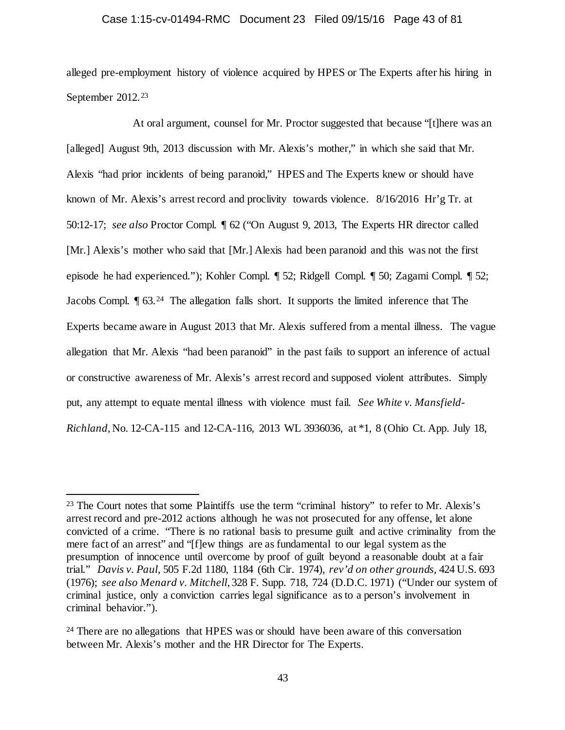# Case 1:15-cv-01494-RMC Document 23 Filed 09/15/16 Page 43 of 81

alleged pre-employment history of violence acquired by HPES or The Experts after his hiring in September 2012.<sup>[23](#page-42-0)</sup>

At oral argument, counsel for Mr. Proctor suggested that because "[t]here was an [alleged] August 9th, 2013 discussion with Mr. Alexis's mother," in which she said that Mr. Alexis "had prior incidents of being paranoid," HPES and The Experts knew or should have known of Mr. Alexis's arrest record and proclivity towards violence. 8/16/2016 Hr'g Tr. at 50:12-17; *see also* Proctor Compl. ¶ 62 ("On August 9, 2013, The Experts HR director called [Mr.] Alexis's mother who said that [Mr.] Alexis had been paranoid and this was not the first episode he had experienced."); Kohler Compl. ¶ 52; Ridgell Compl. ¶ 50; Zagami Compl. ¶ 52; Jacobs Compl. ¶ 63.[24](#page-42-1) The allegation falls short. It supports the limited inference that The Experts became aware in August 2013 that Mr. Alexis suffered from a mental illness. The vague allegation that Mr. Alexis "had been paranoid" in the past fails to support an inference of actual or constructive awareness of Mr. Alexis's arrest record and supposed violent attributes. Simply put, any attempt to equate mental illness with violence must fail. *See White v. Mansfield-Richland*, No. 12-CA-115 and 12-CA-116, 2013 WL 3936036, at \*1, 8 (Ohio Ct. App. July 18,

<span id="page-42-0"></span><sup>&</sup>lt;sup>23</sup> The Court notes that some Plaintiffs use the term "criminal history" to refer to Mr. Alexis's arrest record and pre-2012 actions although he was not prosecuted for any offense, let alone convicted of a crime. "There is no rational basis to presume guilt and active criminality from the mere fact of an arrest" and "[f]ew things are as fundamental to our legal system as the presumption of innocence until overcome by proof of guilt beyond a reasonable doubt at a fair trial." *Davis v. Paul*, 505 F.2d 1180, 1184 (6th Cir. 1974), *rev'd on other grounds,* 424 U.S. 693 (1976); *see also Menard v. Mitchell*, 328 F. Supp. 718, 724 (D.D.C. 1971) ("Under our system of criminal justice, only a conviction carries legal significance as to a person's involvement in criminal behavior.").

<span id="page-42-1"></span><sup>&</sup>lt;sup>24</sup> There are no allegations that HPES was or should have been aware of this conversation between Mr. Alexis's mother and the HR Director for The Experts.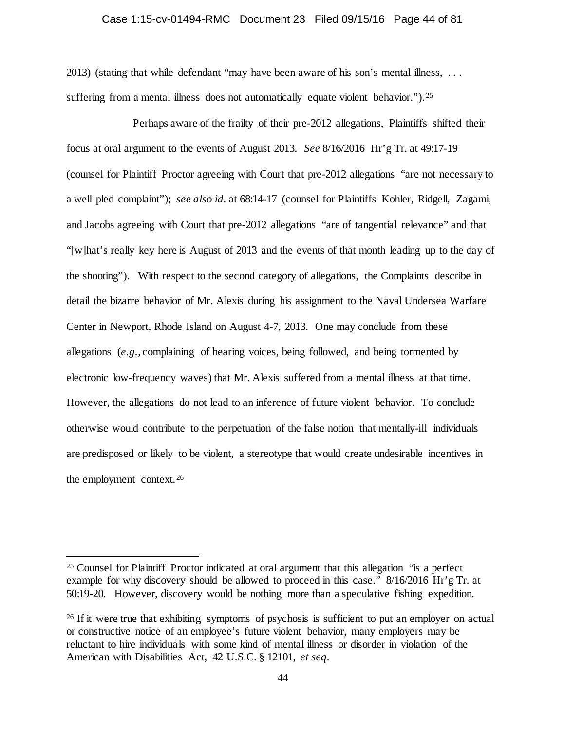## Case 1:15-cv-01494-RMC Document 23 Filed 09/15/16 Page 44 of 81

2013) (stating that while defendant "may have been aware of his son's mental illness, . . . suffering from a mental illness does not automatically equate violent behavior."). <sup>25</sup>

Perhaps aware of the frailty of their pre-2012 allegations, Plaintiffs shifted their focus at oral argument to the events of August 2013. *See* 8/16/2016 Hr'g Tr. at 49:17-19 (counsel for Plaintiff Proctor agreeing with Court that pre-2012 allegations "are not necessary to a well pled complaint"); *see also id.* at 68:14-17 (counsel for Plaintiffs Kohler, Ridgell, Zagami, and Jacobs agreeing with Court that pre-2012 allegations "are of tangential relevance" and that "[w]hat's really key here is August of 2013 and the events of that month leading up to the day of the shooting"). With respect to the second category of allegations, the Complaints describe in detail the bizarre behavior of Mr. Alexis during his assignment to the Naval Undersea Warfare Center in Newport, Rhode Island on August 4-7, 2013. One may conclude from these allegations (*e.g.*, complaining of hearing voices, being followed, and being tormented by electronic low-frequency waves) that Mr. Alexis suffered from a mental illness at that time. However, the allegations do not lead to an inference of future violent behavior. To conclude otherwise would contribute to the perpetuation of the false notion that mentally-ill individuals are predisposed or likely to be violent, a stereotype that would create undesirable incentives in the employment context.[26](#page-43-1)

<span id="page-43-0"></span> <sup>25</sup> Counsel for Plaintiff Proctor indicated at oral argument that this allegation "is a perfect example for why discovery should be allowed to proceed in this case." 8/16/2016 Hr'g Tr. at 50:19-20. However, discovery would be nothing more than a speculative fishing expedition.

<span id="page-43-1"></span><sup>&</sup>lt;sup>26</sup> If it were true that exhibiting symptoms of psychosis is sufficient to put an employer on actual or constructive notice of an employee's future violent behavior, many employers may be reluctant to hire individuals with some kind of mental illness or disorder in violation of the American with Disabilities Act, 42 U.S.C. § 12101, *et seq.*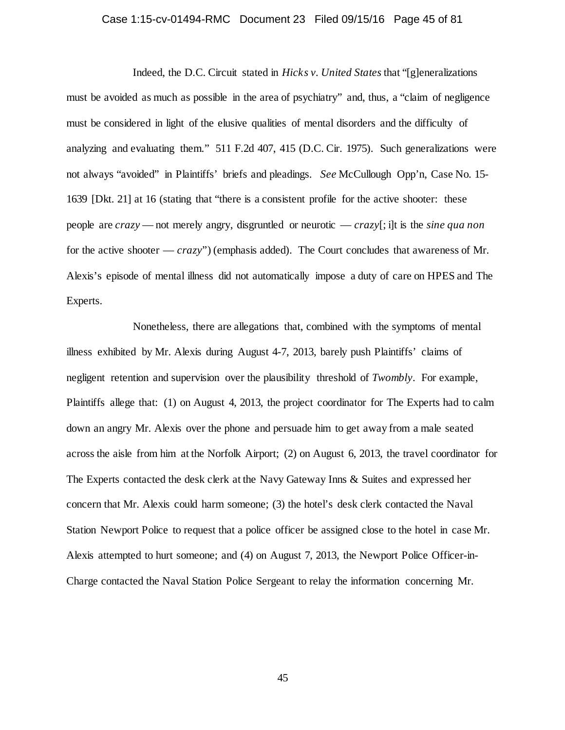# Case 1:15-cv-01494-RMC Document 23 Filed 09/15/16 Page 45 of 81

Indeed, the D.C. Circuit stated in *Hicks v. United States* that "[g]eneralizations must be avoided as much as possible in the area of psychiatry" and, thus, a "claim of negligence must be considered in light of the elusive qualities of mental disorders and the difficulty of analyzing and evaluating them." 511 F.2d 407, 415 (D.C. Cir. 1975). Such generalizations were not always "avoided" in Plaintiffs' briefs and pleadings. *See* McCullough Opp'n, Case No. 15- 1639 [Dkt. 21] at 16 (stating that "there is a consistent profile for the active shooter: these people are *crazy* — not merely angry, disgruntled or neurotic — *crazy*[; i]t is the *sine qua non*  for the active shooter — *crazy*") (emphasis added). The Court concludes that awareness of Mr. Alexis's episode of mental illness did not automatically impose a duty of care on HPES and The Experts.

Nonetheless, there are allegations that, combined with the symptoms of mental illness exhibited by Mr. Alexis during August 4-7, 2013, barely push Plaintiffs' claims of negligent retention and supervision over the plausibility threshold of *Twombly*. For example, Plaintiffs allege that: (1) on August 4, 2013, the project coordinator for The Experts had to calm down an angry Mr. Alexis over the phone and persuade him to get away from a male seated across the aisle from him at the Norfolk Airport; (2) on August 6, 2013, the travel coordinator for The Experts contacted the desk clerk at the Navy Gateway Inns & Suites and expressed her concern that Mr. Alexis could harm someone; (3) the hotel's desk clerk contacted the Naval Station Newport Police to request that a police officer be assigned close to the hotel in case Mr. Alexis attempted to hurt someone; and (4) on August 7, 2013, the Newport Police Officer-in-Charge contacted the Naval Station Police Sergeant to relay the information concerning Mr.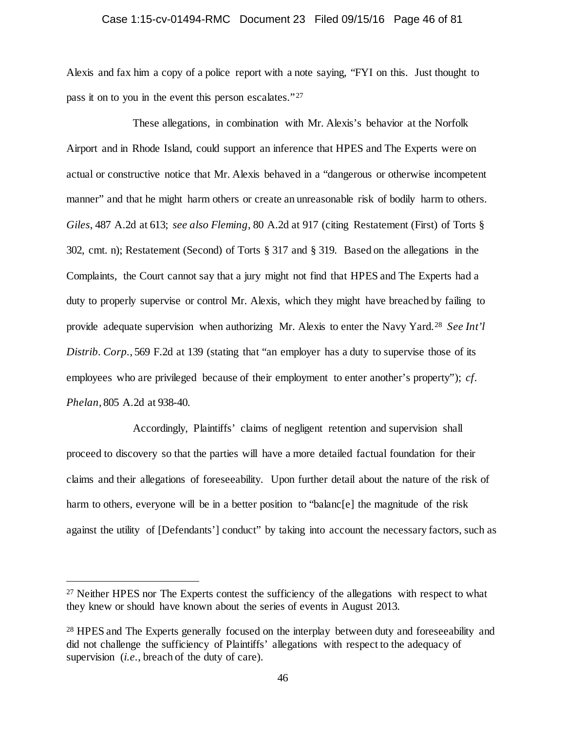# Case 1:15-cv-01494-RMC Document 23 Filed 09/15/16 Page 46 of 81

Alexis and fax him a copy of a police report with a note saying, "FYI on this. Just thought to pass it on to you in the event this person escalates."<sup>[27](#page-45-0)</sup>

These allegations, in combination with Mr. Alexis's behavior at the Norfolk Airport and in Rhode Island, could support an inference that HPES and The Experts were on actual or constructive notice that Mr. Alexis behaved in a "dangerous or otherwise incompetent manner" and that he might harm others or create an unreasonable risk of bodily harm to others. *Giles*, 487 A.2d at 613; *see also Fleming*, 80 A.2d at 917 (citing Restatement (First) of Torts § 302, cmt. n); Restatement (Second) of Torts § 317 and § 319. Based on the allegations in the Complaints, the Court cannot say that a jury might not find that HPES and The Experts had a duty to properly supervise or control Mr. Alexis, which they might have breached by failing to provide adequate supervision when authorizing Mr. Alexis to enter the Navy Yard.[28](#page-45-1) *See Int'l Distrib. Corp.*, 569 F.2d at 139 (stating that "an employer has a duty to supervise those of its employees who are privileged because of their employment to enter another's property"); *cf. Phelan*, 805 A.2d at 938-40.

Accordingly, Plaintiffs' claims of negligent retention and supervision shall proceed to discovery so that the parties will have a more detailed factual foundation for their claims and their allegations of foreseeability. Upon further detail about the nature of the risk of harm to others, everyone will be in a better position to "balanc[e] the magnitude of the risk against the utility of [Defendants'] conduct" by taking into account the necessary factors, such as

<span id="page-45-0"></span><sup>&</sup>lt;sup>27</sup> Neither HPES nor The Experts contest the sufficiency of the allegations with respect to what they knew or should have known about the series of events in August 2013.

<span id="page-45-1"></span><sup>&</sup>lt;sup>28</sup> HPES and The Experts generally focused on the interplay between duty and foreseeability and did not challenge the sufficiency of Plaintiffs' allegations with respect to the adequacy of supervision (*i.e.*, breach of the duty of care).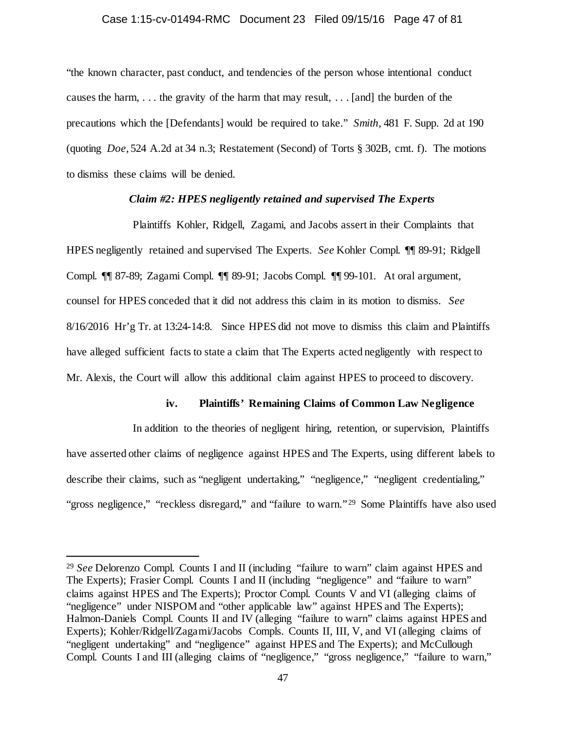## Case 1:15-cv-01494-RMC Document 23 Filed 09/15/16 Page 47 of 81

"the known character, past conduct, and tendencies of the person whose intentional conduct causes the harm, . . . the gravity of the harm that may result, . . . [and] the burden of the precautions which the [Defendants] would be required to take." *Smith*, 481 F. Supp. 2d at 190 (quoting *Doe*, 524 A.2d at 34 n.3; Restatement (Second) of Torts § 302B, cmt. f). The motions to dismiss these claims will be denied.

# *Claim #2: HPES negligently retained and supervised The Experts*

Plaintiffs Kohler, Ridgell, Zagami, and Jacobs assert in their Complaints that HPES negligently retained and supervised The Experts. *See* Kohler Compl. ¶¶ 89-91; Ridgell Compl. ¶¶ 87-89; Zagami Compl. ¶¶ 89-91; Jacobs Compl. ¶¶ 99-101. At oral argument, counsel for HPES conceded that it did not address this claim in its motion to dismiss. *See*  8/16/2016 Hr'g Tr. at 13:24-14:8. Since HPES did not move to dismiss this claim and Plaintiffs have alleged sufficient facts to state a claim that The Experts acted negligently with respect to Mr. Alexis, the Court will allow this additional claim against HPES to proceed to discovery.

# **iv. Plaintiffs' Remaining Claims of Common Law Negligence**

In addition to the theories of negligent hiring, retention, or supervision, Plaintiffs have asserted other claims of negligence against HPES and The Experts, using different labels to describe their claims, such as "negligent undertaking," "negligence," "negligent credentialing," "gross negligence," "reckless disregard," and "failure to warn."<sup>29</sup> Some Plaintiffs have also used

<span id="page-46-0"></span> <sup>29</sup> *See* Delorenzo Compl. Counts I and II (including "failure to warn" claim against HPES and The Experts); Frasier Compl. Counts I and II (including "negligence" and "failure to warn" claims against HPES and The Experts); Proctor Compl. Counts V and VI (alleging claims of "negligence" under NISPOM and "other applicable law" against HPES and The Experts); Halmon-Daniels Compl. Counts II and IV (alleging "failure to warn" claims against HPES and Experts); Kohler/Ridgell/Zagami/Jacobs Compls. Counts II, III, V, and VI (alleging claims of "negligent undertaking" and "negligence" against HPES and The Experts); and McCullough Compl. Counts I and III (alleging claims of "negligence," "gross negligence," "failure to warn,"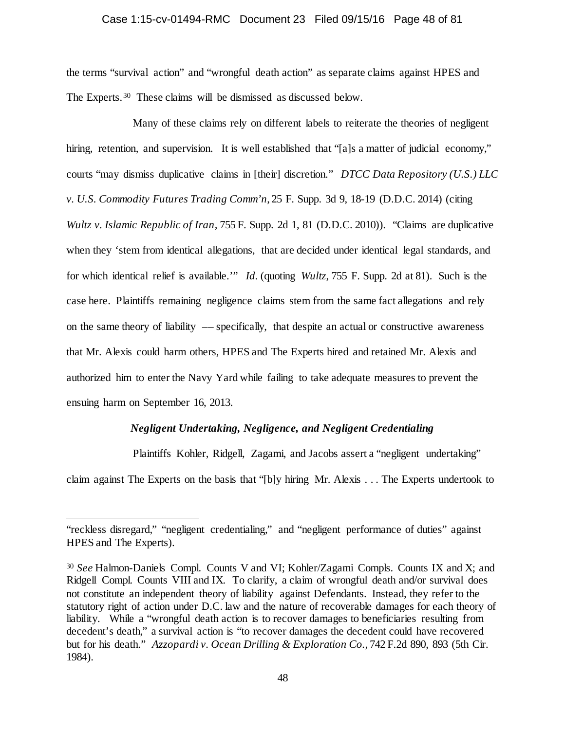#### Case 1:15-cv-01494-RMC Document 23 Filed 09/15/16 Page 48 of 81

the terms "survival action" and "wrongful death action" as separate claims against HPES and The Experts.[30](#page-47-0) These claims will be dismissed as discussed below.

Many of these claims rely on different labels to reiterate the theories of negligent hiring, retention, and supervision. It is well established that "[a]s a matter of judicial economy," courts "may dismiss duplicative claims in [their] discretion." *DTCC Data Repository (U.S.) LLC v. U.S. Commodity Futures Trading Comm'n*, 25 F. Supp. 3d 9, 18-19 (D.D.C. 2014) (citing *Wultz v. Islamic Republic of Iran,* 755 F. Supp. 2d 1, 81 (D.D.C. 2010)). "Claims are duplicative when they 'stem from identical allegations, that are decided under identical legal standards, and for which identical relief is available.'" *Id.* (quoting *Wultz*, 755 F. Supp. 2d at 81). Such is the case here. Plaintiffs remaining negligence claims stem from the same fact allegations and rely on the same theory of liability –– specifically, that despite an actual or constructive awareness that Mr. Alexis could harm others, HPES and The Experts hired and retained Mr. Alexis and authorized him to enter the Navy Yard while failing to take adequate measures to prevent the ensuing harm on September 16, 2013.

# *Negligent Undertaking, Negligence, and Negligent Credentialing*

Plaintiffs Kohler, Ridgell, Zagami, and Jacobs assert a "negligent undertaking"

claim against The Experts on the basis that "[b]y hiring Mr. Alexis . . . The Experts undertook to

 $\overline{a}$ 

<sup>&</sup>quot;reckless disregard," "negligent credentialing," and "negligent performance of duties" against HPES and The Experts).

<span id="page-47-0"></span><sup>30</sup> *See* Halmon-Daniels Compl. Counts V and VI; Kohler/Zagami Compls. Counts IX and X; and Ridgell Compl. Counts VIII and IX. To clarify, a claim of wrongful death and/or survival does not constitute an independent theory of liability against Defendants. Instead, they refer to the statutory right of action under D.C. law and the nature of recoverable damages for each theory of liability. While a "wrongful death action is to recover damages to beneficiaries resulting from decedent's death," a survival action is "to recover damages the decedent could have recovered but for his death." *Azzopardi v. Ocean Drilling & Exploration Co.,* 742 F.2d 890, 893 (5th Cir. 1984).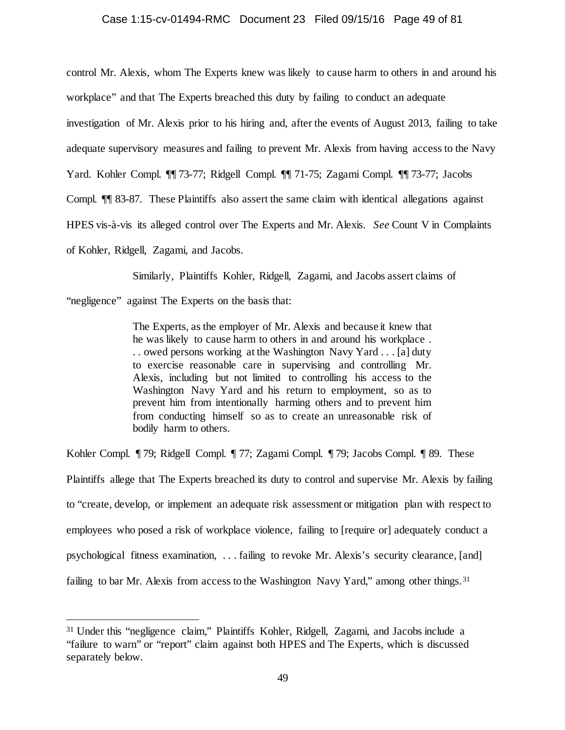#### Case 1:15-cv-01494-RMC Document 23 Filed 09/15/16 Page 49 of 81

control Mr. Alexis, whom The Experts knew was likely to cause harm to others in and around his

workplace" and that The Experts breached this duty by failing to conduct an adequate

investigation of Mr. Alexis prior to his hiring and, after the events of August 2013, failing to take

adequate supervisory measures and failing to prevent Mr. Alexis from having access to the Navy

Yard. Kohler Compl. ¶¶ 73-77; Ridgell Compl. ¶¶ 71-75; Zagami Compl. ¶¶ 73-77; Jacobs

Compl. ¶¶ 83-87. These Plaintiffs also assert the same claim with identical allegations against

HPES vis-à-vis its alleged control over The Experts and Mr. Alexis. *See* Count V in Complaints

of Kohler, Ridgell, Zagami, and Jacobs.

Similarly, Plaintiffs Kohler, Ridgell, Zagami, and Jacobs assert claims of

"negligence" against The Experts on the basis that:

The Experts, as the employer of Mr. Alexis and because it knew that he was likely to cause harm to others in and around his workplace . . . owed persons working at the Washington Navy Yard . . . [a] duty to exercise reasonable care in supervising and controlling Mr. Alexis, including but not limited to controlling his access to the Washington Navy Yard and his return to employment, so as to prevent him from intentionally harming others and to prevent him from conducting himself so as to create an unreasonable risk of bodily harm to others.

Kohler Compl. ¶ 79; Ridgell Compl. ¶ 77; Zagami Compl. ¶ 79; Jacobs Compl. ¶ 89. These Plaintiffs allege that The Experts breached its duty to control and supervise Mr. Alexis by failing to "create, develop, or implement an adequate risk assessment or mitigation plan with respect to employees who posed a risk of workplace violence, failing to [require or] adequately conduct a psychological fitness examination, . . . failing to revoke Mr. Alexis's security clearance, [and] failing to bar Mr. Alexis from access to the Washington Navy Yard," among other things.<sup>31</sup>

<span id="page-48-0"></span> <sup>31</sup> Under this "negligence claim," Plaintiffs Kohler, Ridgell, Zagami, and Jacobs include a "failure to warn" or "report" claim against both HPES and The Experts, which is discussed separately below.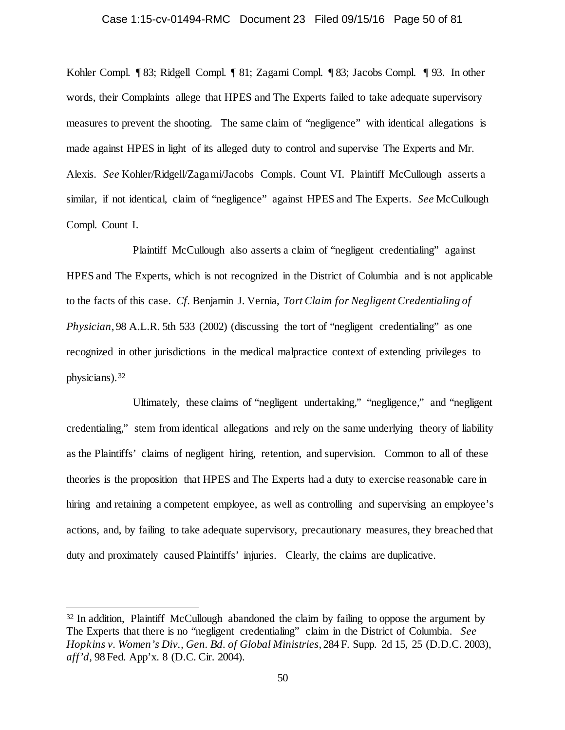## Case 1:15-cv-01494-RMC Document 23 Filed 09/15/16 Page 50 of 81

Kohler Compl. ¶ 83; Ridgell Compl. ¶ 81; Zagami Compl. ¶ 83; Jacobs Compl. ¶ 93. In other words, their Complaints allege that HPES and The Experts failed to take adequate supervisory measures to prevent the shooting. The same claim of "negligence" with identical allegations is made against HPES in light of its alleged duty to control and supervise The Experts and Mr. Alexis. *See* Kohler/Ridgell/Zagami/Jacobs Compls. Count VI. Plaintiff McCullough asserts a similar, if not identical, claim of "negligence" against HPES and The Experts. *See* McCullough Compl. Count I.

Plaintiff McCullough also asserts a claim of "negligent credentialing" against HPES and The Experts, which is not recognized in the District of Columbia and is not applicable to the facts of this case. *Cf.* Benjamin J. Vernia, *Tort Claim for Negligent Credentialing of Physician*, 98 A.L.R. 5th 533 (2002) (discussing the tort of "negligent credentialing" as one recognized in other jurisdictions in the medical malpractice context of extending privileges to physicians).[32](#page-49-0)

Ultimately, these claims of "negligent undertaking," "negligence," and "negligent credentialing," stem from identical allegations and rely on the same underlying theory of liability as the Plaintiffs' claims of negligent hiring, retention, and supervision. Common to all of these theories is the proposition that HPES and The Experts had a duty to exercise reasonable care in hiring and retaining a competent employee, as well as controlling and supervising an employee's actions, and, by failing to take adequate supervisory, precautionary measures, they breached that duty and proximately caused Plaintiffs' injuries. Clearly, the claims are duplicative.

<span id="page-49-0"></span><sup>&</sup>lt;sup>32</sup> In addition, Plaintiff McCullough abandoned the claim by failing to oppose the argument by The Experts that there is no "negligent credentialing" claim in the District of Columbia. *See Hopkins v. Women's Div., Gen. Bd. of Global Ministries*, 284 F. Supp. 2d 15, 25 (D.D.C. 2003), *aff'd,* 98 Fed. App'x. 8 (D.C. Cir. 2004).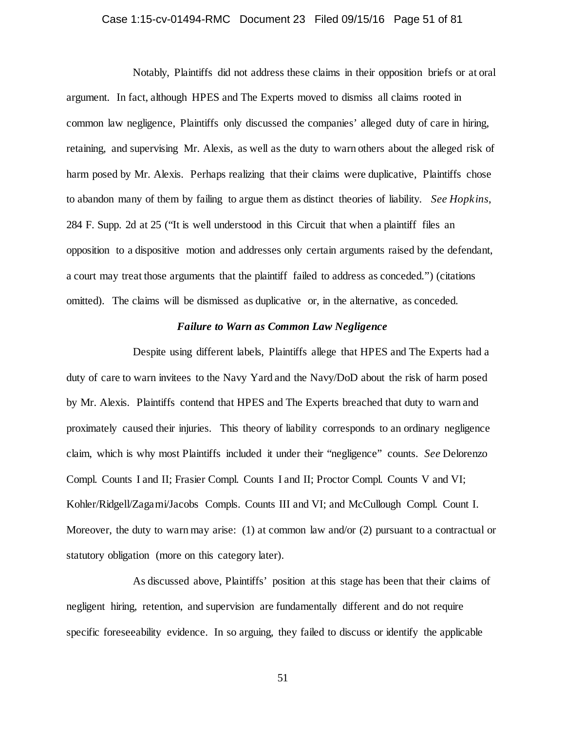# Case 1:15-cv-01494-RMC Document 23 Filed 09/15/16 Page 51 of 81

Notably, Plaintiffs did not address these claims in their opposition briefs or at oral argument. In fact, although HPES and The Experts moved to dismiss all claims rooted in common law negligence, Plaintiffs only discussed the companies' alleged duty of care in hiring, retaining, and supervising Mr. Alexis, as well as the duty to warn others about the alleged risk of harm posed by Mr. Alexis. Perhaps realizing that their claims were duplicative, Plaintiffs chose to abandon many of them by failing to argue them as distinct theories of liability. *See Hopkins*, 284 F. Supp. 2d at 25 ("It is well understood in this Circuit that when a plaintiff files an opposition to a dispositive motion and addresses only certain arguments raised by the defendant, a court may treat those arguments that the plaintiff failed to address as conceded.") (citations omitted). The claims will be dismissed as duplicative or, in the alternative, as conceded.

# *Failure to Warn as Common Law Negligence*

Despite using different labels, Plaintiffs allege that HPES and The Experts had a duty of care to warn invitees to the Navy Yard and the Navy/DoD about the risk of harm posed by Mr. Alexis. Plaintiffs contend that HPES and The Experts breached that duty to warn and proximately caused their injuries. This theory of liability corresponds to an ordinary negligence claim, which is why most Plaintiffs included it under their "negligence" counts. *See* Delorenzo Compl. Counts I and II; Frasier Compl. Counts I and II; Proctor Compl. Counts V and VI; Kohler/Ridgell/Zagami/Jacobs Compls. Counts III and VI; and McCullough Compl. Count I. Moreover, the duty to warn may arise: (1) at common law and/or (2) pursuant to a contractual or statutory obligation (more on this category later).

As discussed above, Plaintiffs' position at this stage has been that their claims of negligent hiring, retention, and supervision are fundamentally different and do not require specific foreseeability evidence. In so arguing, they failed to discuss or identify the applicable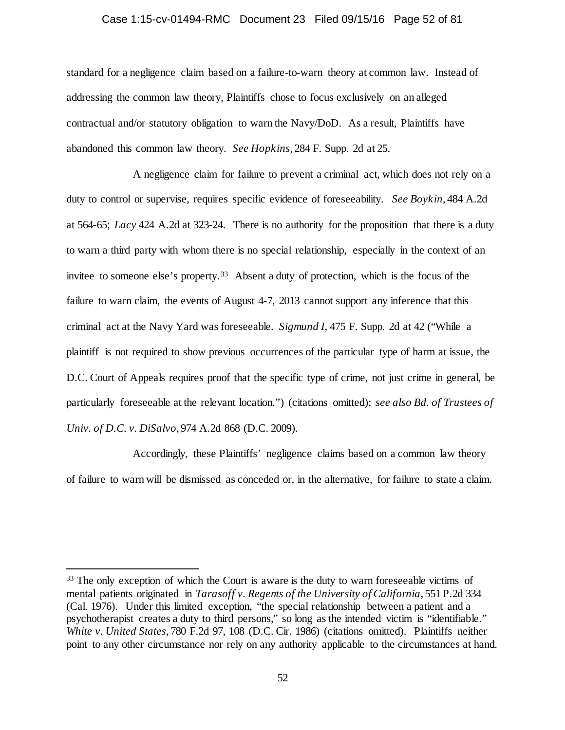#### Case 1:15-cv-01494-RMC Document 23 Filed 09/15/16 Page 52 of 81

standard for a negligence claim based on a failure-to-warn theory at common law. Instead of addressing the common law theory, Plaintiffs chose to focus exclusively on an alleged contractual and/or statutory obligation to warn the Navy/DoD. As a result, Plaintiffs have abandoned this common law theory. *See Hopkins*, 284 F. Supp. 2d at 25.

A negligence claim for failure to prevent a criminal act, which does not rely on a duty to control or supervise, requires specific evidence of foreseeability. *See Boykin*, 484 A.2d at 564-65; *Lacy* 424 A.2d at 323-24. There is no authority for the proposition that there is a duty to warn a third party with whom there is no special relationship, especially in the context of an invitee to someone else's property.<sup>[33](#page-51-0)</sup> Absent a duty of protection, which is the focus of the failure to warn claim, the events of August 4-7, 2013 cannot support any inference that this criminal act at the Navy Yard was foreseeable. *Sigmund I*, 475 F. Supp. 2d at 42 ("While a plaintiff is not required to show previous occurrences of the particular type of harm at issue, the D.C. Court of Appeals requires proof that the specific type of crime, not just crime in general, be particularly foreseeable at the relevant location.") (citations omitted); *see also Bd. of Trustees of Univ. of D.C. v. DiSalvo*, 974 A.2d 868 (D.C. 2009).

Accordingly, these Plaintiffs' negligence claims based on a common law theory of failure to warn will be dismissed as conceded or, in the alternative, for failure to state a claim.

<span id="page-51-0"></span><sup>&</sup>lt;sup>33</sup> The only exception of which the Court is aware is the duty to warn foreseeable victims of mental patients originated in *Tarasoff v. Regents of the University of California*, 551 P.2d 334 (Cal. 1976). Under this limited exception, "the special relationship between a patient and a psychotherapist creates a duty to third persons," so long as the intended victim is "identifiable." *White v. United States*, 780 F.2d 97, 108 (D.C. Cir. 1986) (citations omitted). Plaintiffs neither point to any other circumstance nor rely on any authority applicable to the circumstances at hand.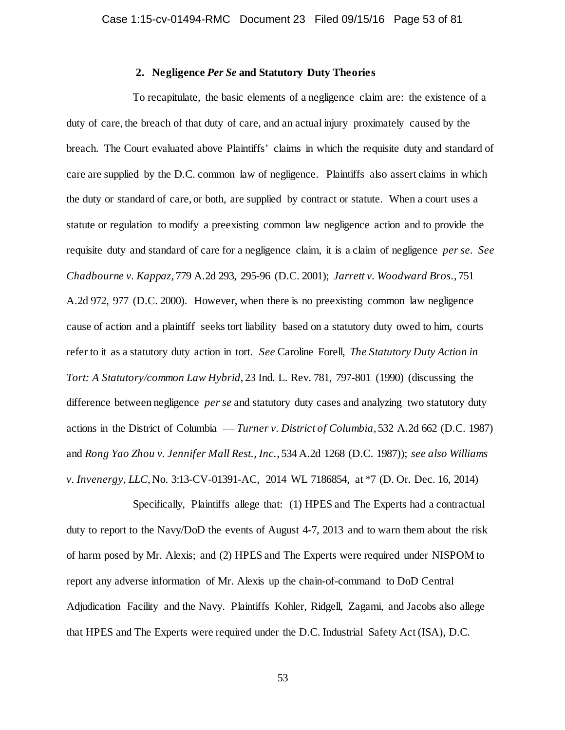# **2. Negligence** *Per Se* **and Statutory Duty Theories**

To recapitulate, the basic elements of a negligence claim are: the existence of a duty of care, the breach of that duty of care, and an actual injury proximately caused by the breach. The Court evaluated above Plaintiffs' claims in which the requisite duty and standard of care are supplied by the D.C. common law of negligence. Plaintiffs also assert claims in which the duty or standard of care, or both, are supplied by contract or statute. When a court uses a statute or regulation to modify a preexisting common law negligence action and to provide the requisite duty and standard of care for a negligence claim, it is a claim of negligence *per se*. *See Chadbourne v. Kappaz*, 779 A.2d 293, 295-96 (D.C. 2001); *Jarrett v. Woodward Bros.*, 751 A.2d 972, 977 (D.C. 2000). However, when there is no preexisting common law negligence cause of action and a plaintiff seeks tort liability based on a statutory duty owed to him, courts refer to it as a statutory duty action in tort. *See* Caroline Forell, *The Statutory Duty Action in Tort: A Statutory/common Law Hybrid*, 23 Ind. L. Rev. 781, 797-801 (1990) (discussing the difference between negligence *per se* and statutory duty cases and analyzing two statutory duty actions in the District of Columbia –– *Turner v. District of Columbia*, 532 A.2d 662 (D.C. 1987) and *Rong Yao Zhou v. Jennifer Mall Rest., Inc.*, 534 A.2d 1268 (D.C. 1987)); *see also Williams v. Invenergy, LLC*, No. 3:13-CV-01391-AC, 2014 WL 7186854, at \*7 (D. Or. Dec. 16, 2014)

Specifically, Plaintiffs allege that: (1) HPES and The Experts had a contractual duty to report to the Navy/DoD the events of August 4-7, 2013 and to warn them about the risk of harm posed by Mr. Alexis; and (2) HPES and The Experts were required under NISPOM to report any adverse information of Mr. Alexis up the chain-of-command to DoD Central Adjudication Facility and the Navy. Plaintiffs Kohler, Ridgell, Zagami, and Jacobs also allege that HPES and The Experts were required under the D.C. Industrial Safety Act (ISA), D.C.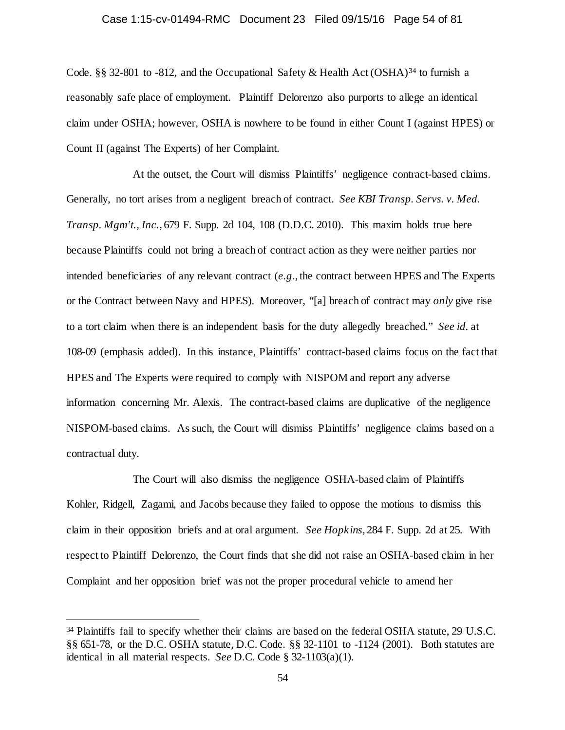# Case 1:15-cv-01494-RMC Document 23 Filed 09/15/16 Page 54 of 81

Code. §§ 32-801 to -812, and the Occupational Safety & Health Act (OSHA)<sup>[34](#page-53-0)</sup> to furnish a reasonably safe place of employment. Plaintiff Delorenzo also purports to allege an identical claim under OSHA; however, OSHA is nowhere to be found in either Count I (against HPES) or Count II (against The Experts) of her Complaint.

At the outset, the Court will dismiss Plaintiffs' negligence contract-based claims. Generally, no tort arises from a negligent breach of contract. *See KBI Transp. Servs. v. Med. Transp. Mgm't., Inc.*, 679 F. Supp. 2d 104, 108 (D.D.C. 2010). This maxim holds true here because Plaintiffs could not bring a breach of contract action as they were neither parties nor intended beneficiaries of any relevant contract (*e.g.*, the contract between HPES and The Experts or the Contract between Navy and HPES). Moreover, "[a] breach of contract may *only* give rise to a tort claim when there is an independent basis for the duty allegedly breached." *See id.* at 108-09 (emphasis added). In this instance, Plaintiffs' contract-based claims focus on the fact that HPES and The Experts were required to comply with NISPOM and report any adverse information concerning Mr. Alexis. The contract-based claims are duplicative of the negligence NISPOM-based claims. As such, the Court will dismiss Plaintiffs' negligence claims based on a contractual duty.

The Court will also dismiss the negligence OSHA-based claim of Plaintiffs Kohler, Ridgell, Zagami, and Jacobs because they failed to oppose the motions to dismiss this claim in their opposition briefs and at oral argument. *See Hopkins*, 284 F. Supp. 2d at 25. With respect to Plaintiff Delorenzo, the Court finds that she did not raise an OSHA-based claim in her Complaint and her opposition brief was not the proper procedural vehicle to amend her

<span id="page-53-0"></span><sup>&</sup>lt;sup>34</sup> Plaintiffs fail to specify whether their claims are based on the federal OSHA statute, 29 U.S.C. §§ 651-78, or the D.C. OSHA statute, D.C. Code. §§ 32-1101 to -1124 (2001). Both statutes are identical in all material respects. *See* D.C. Code § 32-1103(a)(1).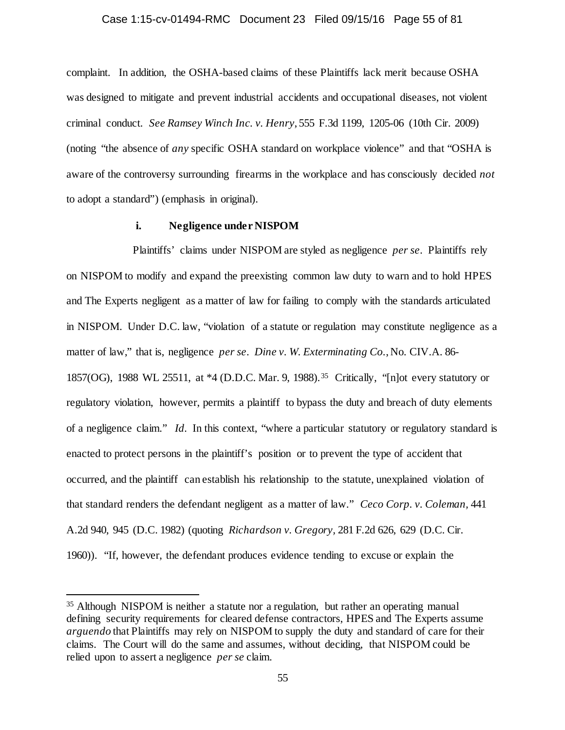#### Case 1:15-cv-01494-RMC Document 23 Filed 09/15/16 Page 55 of 81

complaint. In addition, the OSHA-based claims of these Plaintiffs lack merit because OSHA was designed to mitigate and prevent industrial accidents and occupational diseases, not violent criminal conduct. *See Ramsey Winch Inc. v. Henry*, 555 F.3d 1199, 1205-06 (10th Cir. 2009) (noting "the absence of *any* specific OSHA standard on workplace violence" and that "OSHA is aware of the controversy surrounding firearms in the workplace and has consciously decided *not*  to adopt a standard") (emphasis in original).

# **i. Negligence under NISPOM**

Plaintiffs' claims under NISPOM are styled as negligence *per se*. Plaintiffs rely on NISPOM to modify and expand the preexisting common law duty to warn and to hold HPES and The Experts negligent as a matter of law for failing to comply with the standards articulated in NISPOM. Under D.C. law, "violation of a statute or regulation may constitute negligence as a matter of law," that is, negligence *per se*. *Dine v. W. Exterminating Co.*, No. CIV.A. 86- 1857(OG), 1988 WL 25511, at \*4 (D.D.C. Mar. 9, 1988).[35](#page-54-0) Critically, "[n]ot every statutory or regulatory violation, however, permits a plaintiff to bypass the duty and breach of duty elements of a negligence claim." *Id.* In this context, "where a particular statutory or regulatory standard is enacted to protect persons in the plaintiff's position or to prevent the type of accident that occurred, and the plaintiff can establish his relationship to the statute, unexplained violation of that standard renders the defendant negligent as a matter of law." *Ceco Corp. v. Coleman,* 441 A.2d 940, 945 (D.C. 1982) (quoting *Richardson v. Gregory,* 281 F.2d 626, 629 (D.C. Cir. 1960)). "If, however, the defendant produces evidence tending to excuse or explain the

<span id="page-54-0"></span> <sup>35</sup> Although NISPOM is neither a statute nor a regulation, but rather an operating manual defining security requirements for cleared defense contractors, HPES and The Experts assume *arguendo* that Plaintiffs may rely on NISPOM to supply the duty and standard of care for their claims. The Court will do the same and assumes, without deciding, that NISPOM could be relied upon to assert a negligence *per se* claim.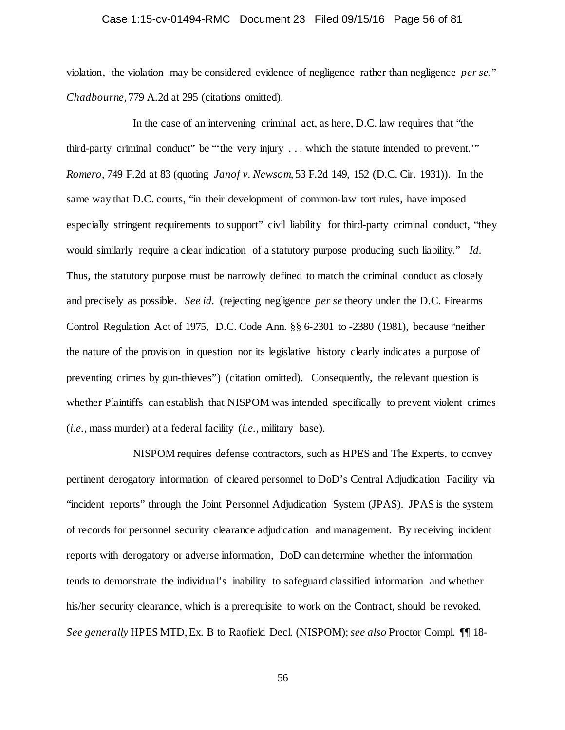# Case 1:15-cv-01494-RMC Document 23 Filed 09/15/16 Page 56 of 81

violation, the violation may be considered evidence of negligence rather than negligence *per se.*" *Chadbourne*, 779 A.2d at 295 (citations omitted).

In the case of an intervening criminal act, as here, D.C. law requires that "the third-party criminal conduct" be "'the very injury . . . which the statute intended to prevent.'" *Romero*, 749 F.2d at 83 (quoting *Janof v. Newsom*, 53 F.2d 149, 152 (D.C. Cir. 1931)). In the same way that D.C. courts, "in their development of common-law tort rules, have imposed especially stringent requirements to support" civil liability for third-party criminal conduct, "they would similarly require a clear indication of a statutory purpose producing such liability." *Id.* Thus, the statutory purpose must be narrowly defined to match the criminal conduct as closely and precisely as possible. *See id.* (rejecting negligence *per se* theory under the D.C. Firearms Control Regulation Act of 1975, D.C. Code Ann. §§ 6-2301 to -2380 (1981), because "neither the nature of the provision in question nor its legislative history clearly indicates a purpose of preventing crimes by gun-thieves") (citation omitted). Consequently, the relevant question is whether Plaintiffs can establish that NISPOM was intended specifically to prevent violent crimes (*i.e.*, mass murder) at a federal facility (*i.e.*, military base).

NISPOM requires defense contractors, such as HPES and The Experts, to convey pertinent derogatory information of cleared personnel to DoD's Central Adjudication Facility via "incident reports" through the Joint Personnel Adjudication System (JPAS). JPAS is the system of records for personnel security clearance adjudication and management. By receiving incident reports with derogatory or adverse information, DoD can determine whether the information tends to demonstrate the individual's inability to safeguard classified information and whether his/her security clearance, which is a prerequisite to work on the Contract, should be revoked. *See generally* HPES MTD, Ex. B to Raofield Decl. (NISPOM); *see also* Proctor Compl. ¶¶ 18-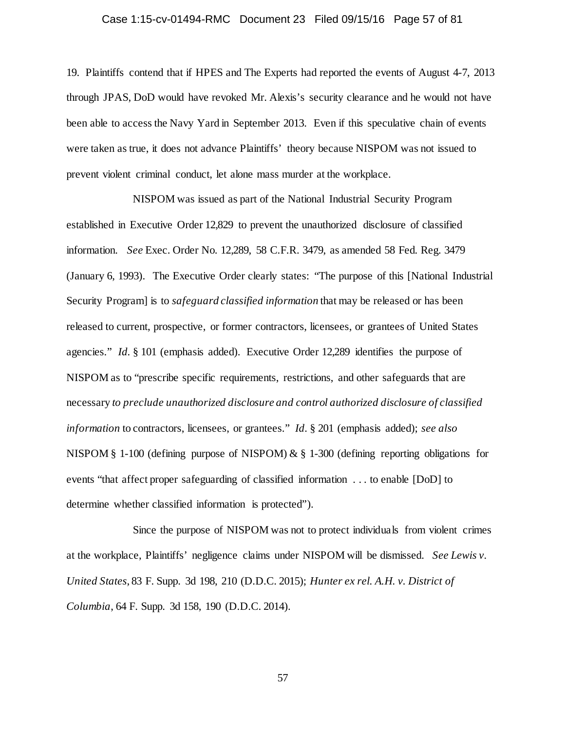# Case 1:15-cv-01494-RMC Document 23 Filed 09/15/16 Page 57 of 81

19. Plaintiffs contend that if HPES and The Experts had reported the events of August 4-7, 2013 through JPAS, DoD would have revoked Mr. Alexis's security clearance and he would not have been able to access the Navy Yard in September 2013. Even if this speculative chain of events were taken as true, it does not advance Plaintiffs' theory because NISPOM was not issued to prevent violent criminal conduct, let alone mass murder at the workplace.

NISPOM was issued as part of the National Industrial Security Program established in Executive Order 12,829 to prevent the unauthorized disclosure of classified information. *See* Exec. Order No. 12,289, 58 C.F.R. 3479, as amended 58 Fed. Reg. 3479 (January 6, 1993). The Executive Order clearly states: "The purpose of this [National Industrial Security Program] is to *safeguard classified information* that may be released or has been released to current, prospective, or former contractors, licensees, or grantees of United States agencies." *Id.* § 101 (emphasis added). Executive Order 12,289 identifies the purpose of NISPOM as to "prescribe specific requirements, restrictions, and other safeguards that are necessary *to preclude unauthorized disclosure and control authorized disclosure of classified information* to contractors, licensees, or grantees." *Id.* § 201 (emphasis added); *see also* NISPOM § 1-100 (defining purpose of NISPOM) & § 1-300 (defining reporting obligations for events "that affect proper safeguarding of classified information . . . to enable [DoD] to determine whether classified information is protected").

Since the purpose of NISPOM was not to protect individuals from violent crimes at the workplace, Plaintiffs' negligence claims under NISPOM will be dismissed. *See Lewis v. United States*, 83 F. Supp. 3d 198, 210 (D.D.C. 2015); *Hunter ex rel. A.H. v. District of Columbia*, 64 F. Supp. 3d 158, 190 (D.D.C. 2014).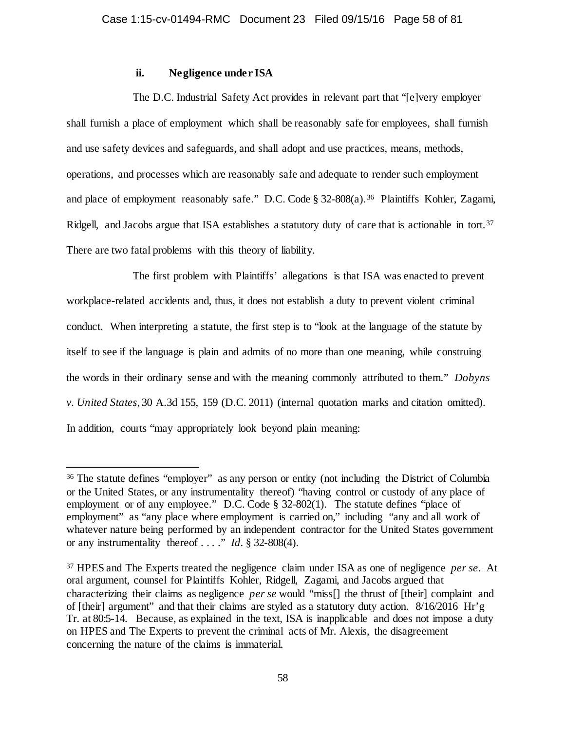# **ii. Negligence under ISA**

The D.C. Industrial Safety Act provides in relevant part that "[e]very employer shall furnish a place of employment which shall be reasonably safe for employees, shall furnish and use safety devices and safeguards, and shall adopt and use practices, means, methods, operations, and processes which are reasonably safe and adequate to render such employment and place of employment reasonably safe." D.C. Code § 32-808(a).<sup>36</sup> Plaintiffs Kohler, Zagami, Ridgell, and Jacobs argue that ISA establishes a statutory duty of care that is actionable in tort.<sup>[37](#page-57-1)</sup> There are two fatal problems with this theory of liability.

The first problem with Plaintiffs' allegations is that ISA was enacted to prevent workplace-related accidents and, thus, it does not establish a duty to prevent violent criminal conduct. When interpreting a statute, the first step is to "look at the language of the statute by itself to see if the language is plain and admits of no more than one meaning, while construing the words in their ordinary sense and with the meaning commonly attributed to them." *Dobyns v. United States*, 30 A.3d 155, 159 (D.C. 2011) (internal quotation marks and citation omitted). In addition, courts "may appropriately look beyond plain meaning:

<span id="page-57-0"></span> <sup>36</sup> The statute defines "employer" as any person or entity (not including the District of Columbia or the United States, or any instrumentality thereof) "having control or custody of any place of employment or of any employee." D.C. Code § 32-802(1). The statute defines "place of employment" as "any place where employment is carried on," including "any and all work of whatever nature being performed by an independent contractor for the United States government or any instrumentality thereof . . . ." *Id.* § 32-808(4).

<span id="page-57-1"></span><sup>37</sup> HPES and The Experts treated the negligence claim under ISA as one of negligence *per se*. At oral argument, counsel for Plaintiffs Kohler, Ridgell, Zagami, and Jacobs argued that characterizing their claims as negligence *per se* would "miss[] the thrust of [their] complaint and of [their] argument" and that their claims are styled as a statutory duty action. 8/16/2016 Hr'g Tr. at 80:5-14. Because, as explained in the text, ISA is inapplicable and does not impose a duty on HPES and The Experts to prevent the criminal acts of Mr. Alexis, the disagreement concerning the nature of the claims is immaterial.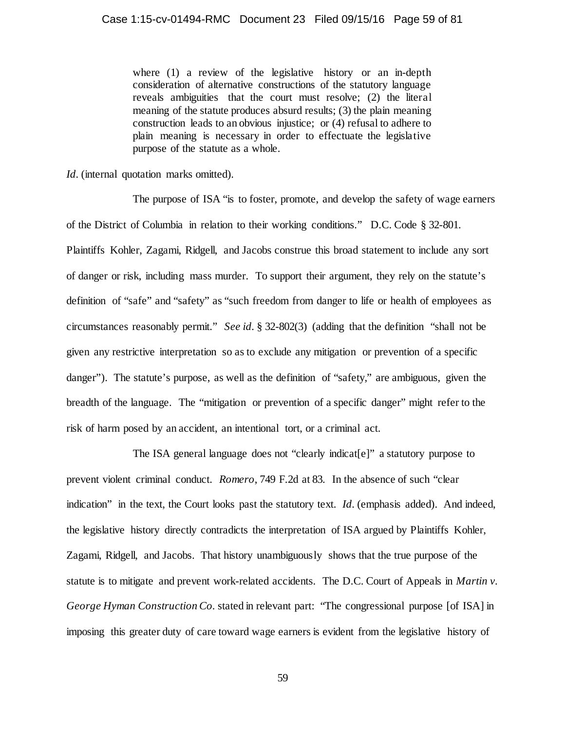where (1) a review of the legislative history or an in-depth consideration of alternative constructions of the statutory language reveals ambiguities that the court must resolve; (2) the literal meaning of the statute produces absurd results; (3) the plain meaning construction leads to an obvious injustice; or (4) refusal to adhere to plain meaning is necessary in order to effectuate the legislative purpose of the statute as a whole.

*Id.* (internal quotation marks omitted).

The purpose of ISA "is to foster, promote, and develop the safety of wage earners of the District of Columbia in relation to their working conditions." D.C. Code § 32-801. Plaintiffs Kohler, Zagami, Ridgell, and Jacobs construe this broad statement to include any sort of danger or risk, including mass murder. To support their argument, they rely on the statute's definition of "safe" and "safety" as "such freedom from danger to life or health of employees as circumstances reasonably permit." *See id.* § 32-802(3) (adding that the definition "shall not be given any restrictive interpretation so as to exclude any mitigation or prevention of a specific danger"). The statute's purpose, as well as the definition of "safety," are ambiguous, given the breadth of the language. The "mitigation or prevention of a specific danger" might refer to the risk of harm posed by an accident, an intentional tort, or a criminal act.

The ISA general language does not "clearly indicat[e]" a statutory purpose to prevent violent criminal conduct. *Romero*, 749 F.2d at 83. In the absence of such "clear indication" in the text, the Court looks past the statutory text. *Id.* (emphasis added). And indeed, the legislative history directly contradicts the interpretation of ISA argued by Plaintiffs Kohler, Zagami, Ridgell, and Jacobs. That history unambiguously shows that the true purpose of the statute is to mitigate and prevent work-related accidents. The D.C. Court of Appeals in *Martin v. George Hyman Construction Co.* stated in relevant part: "The congressional purpose [of ISA] in imposing this greater duty of care toward wage earners is evident from the legislative history of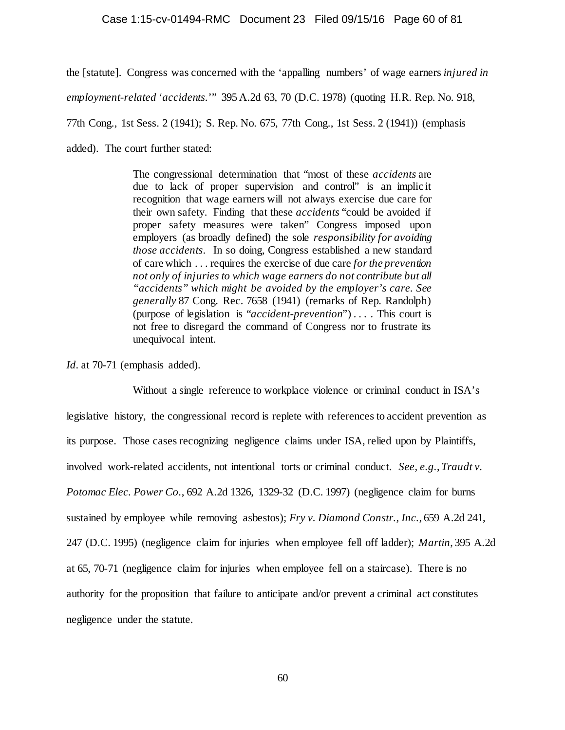## Case 1:15-cv-01494-RMC Document 23 Filed 09/15/16 Page 60 of 81

the [statute]. Congress was concerned with the 'appalling numbers' of wage earners *injured in employment-related* '*accidents.*'" 395 A.2d 63, 70 (D.C. 1978) (quoting H.R. Rep. No. 918, 77th Cong., 1st Sess. 2 (1941); S. Rep. No. 675, 77th Cong., 1st Sess. 2 (1941)) (emphasis added). The court further stated:

> The congressional determination that "most of these *accidents* are due to lack of proper supervision and control" is an implic it recognition that wage earners will not always exercise due care for their own safety. Finding that these *accidents* "could be avoided if proper safety measures were taken" Congress imposed upon employers (as broadly defined) the sole *responsibility for avoiding those accidents*. In so doing, Congress established a new standard of care which . . . requires the exercise of due care *for the prevention not only of injuries to which wage earners do not contribute but all "accidents" which might be avoided by the employer's care. See generally* 87 Cong. Rec. 7658 (1941) (remarks of Rep. Randolph) (purpose of legislation is "*accident-prevention*") . . . . This court is not free to disregard the command of Congress nor to frustrate its unequivocal intent.

*Id.* at 70-71 (emphasis added).

Without a single reference to workplace violence or criminal conduct in ISA's legislative history, the congressional record is replete with references to accident prevention as its purpose. Those cases recognizing negligence claims under ISA, relied upon by Plaintiffs, involved work-related accidents, not intentional torts or criminal conduct. *See, e.g.*, *Traudt v. Potomac Elec. Power Co.*, 692 A.2d 1326, 1329-32 (D.C. 1997) (negligence claim for burns sustained by employee while removing asbestos); *Fry v. Diamond Constr., Inc.*, 659 A.2d 241, 247 (D.C. 1995) (negligence claim for injuries when employee fell off ladder); *Martin*, 395 A.2d at 65, 70-71 (negligence claim for injuries when employee fell on a staircase). There is no authority for the proposition that failure to anticipate and/or prevent a criminal act constitutes negligence under the statute.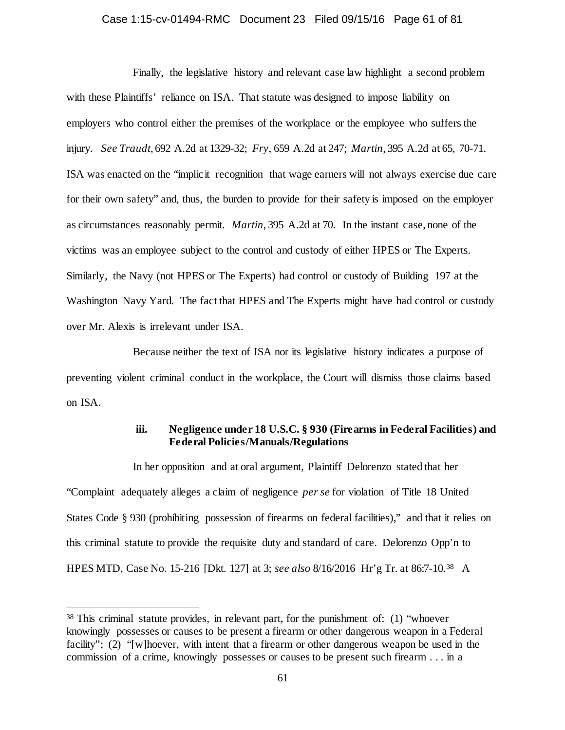#### Case 1:15-cv-01494-RMC Document 23 Filed 09/15/16 Page 61 of 81

Finally, the legislative history and relevant case law highlight a second problem with these Plaintiffs' reliance on ISA. That statute was designed to impose liability on employers who control either the premises of the workplace or the employee who suffers the injury. *See Traudt*, 692 A.2d at 1329-32; *Fry*, 659 A.2d at 247; *Martin*, 395 A.2d at 65, 70-71. ISA was enacted on the "implicit recognition that wage earners will not always exercise due care for their own safety" and, thus, the burden to provide for their safety is imposed on the employer as circumstances reasonably permit. *Martin*, 395 A.2d at 70. In the instant case, none of the victims was an employee subject to the control and custody of either HPES or The Experts. Similarly, the Navy (not HPES or The Experts) had control or custody of Building 197 at the Washington Navy Yard. The fact that HPES and The Experts might have had control or custody over Mr. Alexis is irrelevant under ISA.

Because neither the text of ISA nor its legislative history indicates a purpose of preventing violent criminal conduct in the workplace, the Court will dismiss those claims based on ISA.

# **iii. Negligence under 18 U.S.C. § 930 (Firearms in Federal Facilities) and Federal Policies/Manuals/Regulations**

In her opposition and at oral argument, Plaintiff Delorenzo stated that her "Complaint adequately alleges a claim of negligence *per se* for violation of Title 18 United States Code § 930 (prohibiting possession of firearms on federal facilities)," and that it relies on this criminal statute to provide the requisite duty and standard of care. Delorenzo Opp'n to HPES MTD, Case No. 15-216 [Dkt. 127] at 3; *see also* 8/16/2016 Hr'g Tr. at 86:7-10.[38](#page-60-0) A

<span id="page-60-0"></span> <sup>38</sup> This criminal statute provides, in relevant part, for the punishment of: (1) "whoever knowingly possesses or causes to be present a firearm or other dangerous weapon in a Federal facility"; (2) "[w]hoever, with intent that a firearm or other dangerous weapon be used in the commission of a crime, knowingly possesses or causes to be present such firearm . . . in a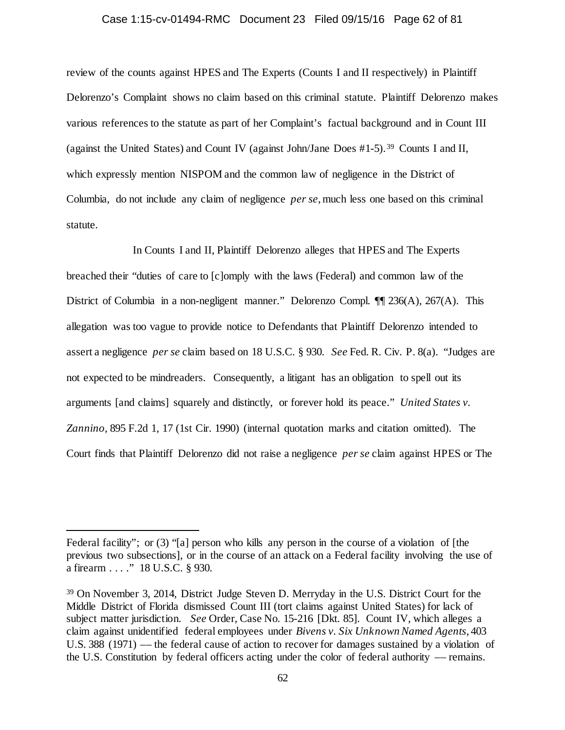## Case 1:15-cv-01494-RMC Document 23 Filed 09/15/16 Page 62 of 81

review of the counts against HPES and The Experts (Counts I and II respectively) in Plaintiff Delorenzo's Complaint shows no claim based on this criminal statute. Plaintiff Delorenzo makes various references to the statute as part of her Complaint's factual background and in Count III (against the United States) and Count IV (against John/Jane Does #1-5). [39](#page-61-0) Counts I and II, which expressly mention NISPOM and the common law of negligence in the District of Columbia, do not include any claim of negligence *per se*, much less one based on this criminal statute.

In Counts I and II, Plaintiff Delorenzo alleges that HPES and The Experts breached their "duties of care to [c]omply with the laws (Federal) and common law of the District of Columbia in a non-negligent manner." Delorenzo Compl. ¶¶ 236(A), 267(A). This allegation was too vague to provide notice to Defendants that Plaintiff Delorenzo intended to assert a negligence *per se* claim based on 18 U.S.C. § 930. *See* Fed. R. Civ. P. 8(a). "Judges are not expected to be mindreaders. Consequently, a litigant has an obligation to spell out its arguments [and claims] squarely and distinctly, or forever hold its peace." *United States v. Zannino,* 895 F.2d 1, 17 (1st Cir. 1990) (internal quotation marks and citation omitted). The Court finds that Plaintiff Delorenzo did not raise a negligence *per se* claim against HPES or The

 $\overline{a}$ 

Federal facility"; or (3) "[a] person who kills any person in the course of a violation of [the previous two subsections], or in the course of an attack on a Federal facility involving the use of a firearm . . . ." 18 U.S.C. § 930.

<span id="page-61-0"></span><sup>39</sup> On November 3, 2014, District Judge Steven D. Merryday in the U.S. District Court for the Middle District of Florida dismissed Count III (tort claims against United States) for lack of subject matter jurisdiction. *See* Order, Case No. 15-216 [Dkt. 85]. Count IV, which alleges a claim against unidentified federal employees under *Bivens v. Six Unknown Named Agents*, 403 U.S. 388 (1971) –– the federal cause of action to recover for damages sustained by a violation of the U.S. Constitution by federal officers acting under the color of federal authority –– remains.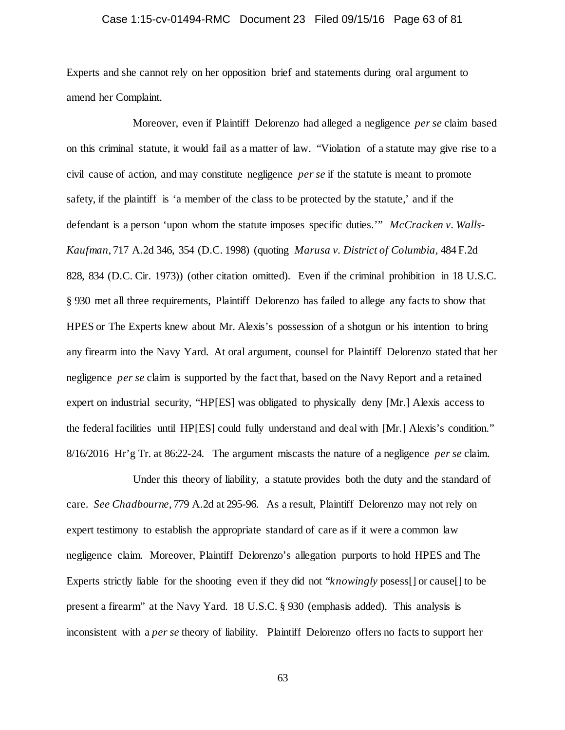# Case 1:15-cv-01494-RMC Document 23 Filed 09/15/16 Page 63 of 81

Experts and she cannot rely on her opposition brief and statements during oral argument to amend her Complaint.

Moreover, even if Plaintiff Delorenzo had alleged a negligence *per se* claim based on this criminal statute, it would fail as a matter of law. "Violation of a statute may give rise to a civil cause of action, and may constitute negligence *per se* if the statute is meant to promote safety, if the plaintiff is 'a member of the class to be protected by the statute,' and if the defendant is a person 'upon whom the statute imposes specific duties.'" *McCracken v. Walls-Kaufman*, 717 A.2d 346, 354 (D.C. 1998) (quoting *Marusa v. District of Columbia,* 484 F.2d 828, 834 (D.C. Cir. 1973)) (other citation omitted). Even if the criminal prohibition in 18 U.S.C. § 930 met all three requirements, Plaintiff Delorenzo has failed to allege any facts to show that HPES or The Experts knew about Mr. Alexis's possession of a shotgun or his intention to bring any firearm into the Navy Yard. At oral argument, counsel for Plaintiff Delorenzo stated that her negligence *per se* claim is supported by the fact that, based on the Navy Report and a retained expert on industrial security, "HP[ES] was obligated to physically deny [Mr.] Alexis access to the federal facilities until HP[ES] could fully understand and deal with [Mr.] Alexis's condition." 8/16/2016 Hr'g Tr. at 86:22-24. The argument miscasts the nature of a negligence *per se* claim.

Under this theory of liability, a statute provides both the duty and the standard of care. *See Chadbourne*, 779 A.2d at 295-96. As a result, Plaintiff Delorenzo may not rely on expert testimony to establish the appropriate standard of care as if it were a common law negligence claim. Moreover, Plaintiff Delorenzo's allegation purports to hold HPES and The Experts strictly liable for the shooting even if they did not "*knowingly* posess[] or cause[] to be present a firearm" at the Navy Yard. 18 U.S.C. § 930 (emphasis added). This analysis is inconsistent with a *per se* theory of liability. Plaintiff Delorenzo offers no facts to support her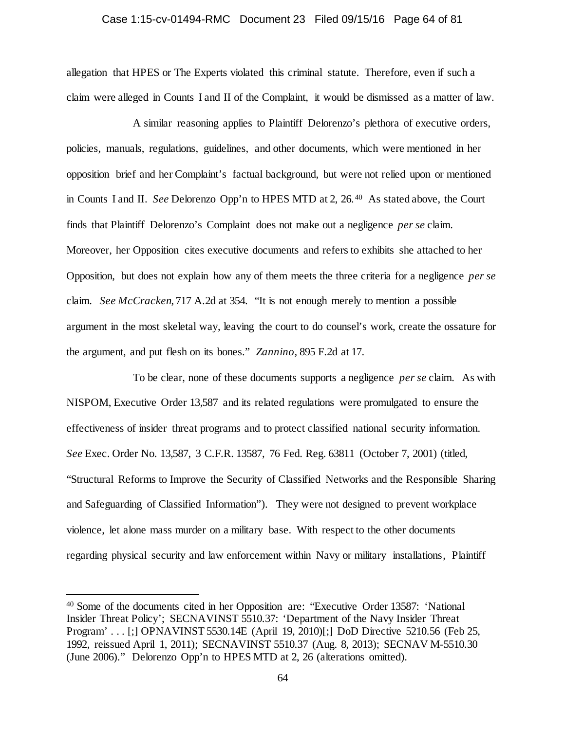## Case 1:15-cv-01494-RMC Document 23 Filed 09/15/16 Page 64 of 81

allegation that HPES or The Experts violated this criminal statute. Therefore, even if such a claim were alleged in Counts I and II of the Complaint, it would be dismissed as a matter of law.

A similar reasoning applies to Plaintiff Delorenzo's plethora of executive orders, policies, manuals, regulations, guidelines, and other documents, which were mentioned in her opposition brief and her Complaint's factual background, but were not relied upon or mentioned in Counts I and II. *See* Delorenzo Opp'n to HPES MTD at 2, 26.[40](#page-63-0) As stated above, the Court finds that Plaintiff Delorenzo's Complaint does not make out a negligence *per se* claim. Moreover, her Opposition cites executive documents and refers to exhibits she attached to her Opposition, but does not explain how any of them meets the three criteria for a negligence *per se* claim. *See McCracken*, 717 A.2d at 354. "It is not enough merely to mention a possible argument in the most skeletal way, leaving the court to do counsel's work, create the ossature for the argument, and put flesh on its bones." *Zannino,* 895 F.2d at 17.

To be clear, none of these documents supports a negligence *per se* claim. As with NISPOM, Executive Order 13,587 and its related regulations were promulgated to ensure the effectiveness of insider threat programs and to protect classified national security information. *See* Exec. Order No. 13,587, 3 C.F.R. 13587, 76 Fed. Reg. 63811 (October 7, 2001) (titled, "Structural Reforms to Improve the Security of Classified Networks and the Responsible Sharing and Safeguarding of Classified Information"). They were not designed to prevent workplace violence, let alone mass murder on a military base. With respect to the other documents regarding physical security and law enforcement within Navy or military installations, Plaintiff

<span id="page-63-0"></span> <sup>40</sup> Some of the documents cited in her Opposition are: "Executive Order 13587: 'National Insider Threat Policy'; SECNAVINST 5510.37: 'Department of the Navy Insider Threat Program' . . . [;] OPNAVINST 5530.14E (April 19, 2010)[;] DoD Directive 5210.56 (Feb 25, 1992, reissued April 1, 2011); SECNAVINST 5510.37 (Aug. 8, 2013); SECNAV M-5510.30 (June 2006)." Delorenzo Opp'n to HPES MTD at 2, 26 (alterations omitted).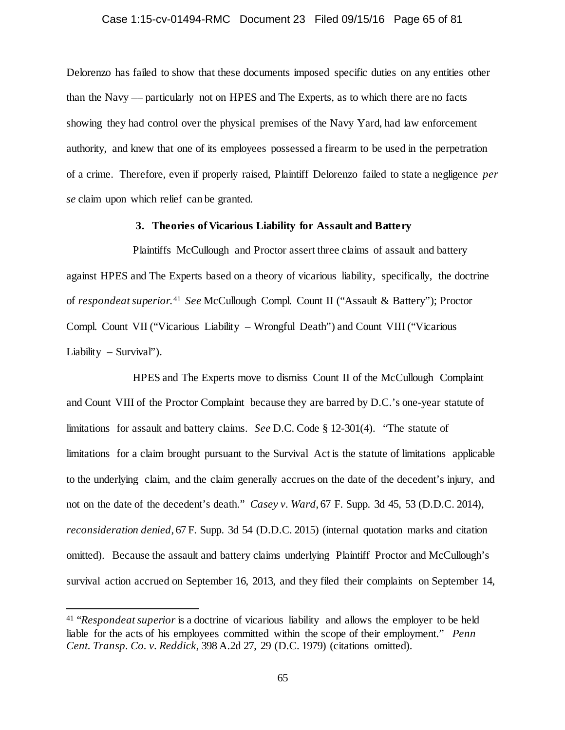# Case 1:15-cv-01494-RMC Document 23 Filed 09/15/16 Page 65 of 81

Delorenzo has failed to show that these documents imposed specific duties on any entities other than the Navy –– particularly not on HPES and The Experts, as to which there are no facts showing they had control over the physical premises of the Navy Yard, had law enforcement authority, and knew that one of its employees possessed a firearm to be used in the perpetration of a crime. Therefore, even if properly raised, Plaintiff Delorenzo failed to state a negligence *per se* claim upon which relief can be granted.

# **3. Theories of Vicarious Liability for Assault and Battery**

Plaintiffs McCullough and Proctor assert three claims of assault and battery against HPES and The Experts based on a theory of vicarious liability, specifically, the doctrine of *respondeat superior*. [41](#page-64-0) *See* McCullough Compl. Count II ("Assault & Battery"); Proctor Compl. Count VII ("Vicarious Liability – Wrongful Death") and Count VIII ("Vicarious Liability – Survival").

HPES and The Experts move to dismiss Count II of the McCullough Complaint and Count VIII of the Proctor Complaint because they are barred by D.C.'s one-year statute of limitations for assault and battery claims. *See* D.C. Code § 12-301(4). "The statute of limitations for a claim brought pursuant to the Survival Act is the statute of limitations applicable to the underlying claim, and the claim generally accrues on the date of the decedent's injury, and not on the date of the decedent's death." *Casey v. Ward*, 67 F. Supp. 3d 45, 53 (D.D.C. 2014), *reconsideration denied*, 67 F. Supp. 3d 54 (D.D.C. 2015) (internal quotation marks and citation omitted). Because the assault and battery claims underlying Plaintiff Proctor and McCullough's survival action accrued on September 16, 2013, and they filed their complaints on September 14,

<span id="page-64-0"></span> <sup>41</sup> "*Respondeat superior* is a doctrine of vicarious liability and allows the employer to be held liable for the acts of his employees committed within the scope of their employment." *Penn Cent. Transp. Co. v. Reddick,* 398 A.2d 27, 29 (D.C. 1979) (citations omitted).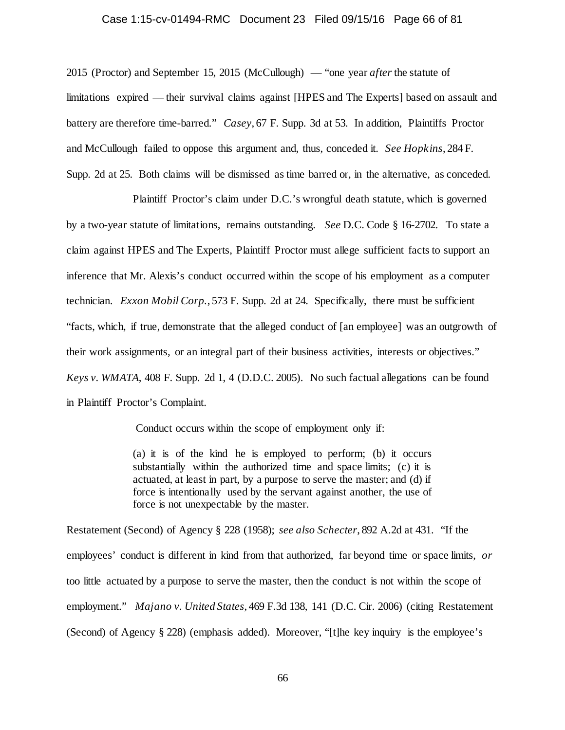## Case 1:15-cv-01494-RMC Document 23 Filed 09/15/16 Page 66 of 81

2015 (Proctor) and September 15, 2015 (McCullough) — "one year *after* the statute of limitations expired — their survival claims against [HPES and The Experts] based on assault and battery are therefore time-barred." *Casey*, 67 F. Supp. 3d at 53. In addition, Plaintiffs Proctor and McCullough failed to oppose this argument and, thus, conceded it. *See Hopkins*, 284 F. Supp. 2d at 25. Both claims will be dismissed as time barred or, in the alternative, as conceded.

Plaintiff Proctor's claim under D.C.'s wrongful death statute, which is governed by a two-year statute of limitations, remains outstanding. *See* D.C. Code § 16-2702. To state a claim against HPES and The Experts, Plaintiff Proctor must allege sufficient facts to support an inference that Mr. Alexis's conduct occurred within the scope of his employment as a computer technician. *Exxon Mobil Corp.*, 573 F. Supp. 2d at 24. Specifically, there must be sufficient "facts, which, if true, demonstrate that the alleged conduct of [an employee] was an outgrowth of their work assignments, or an integral part of their business activities, interests or objectives." *Keys v. WMATA*, 408 F. Supp. 2d 1, 4 (D.D.C. 2005). No such factual allegations can be found in Plaintiff Proctor's Complaint.

Conduct occurs within the scope of employment only if:

(a) it is of the kind he is employed to perform; (b) it occurs substantially within the authorized time and space limits; (c) it is actuated, at least in part, by a purpose to serve the master; and (d) if force is intentionally used by the servant against another, the use of force is not unexpectable by the master.

Restatement (Second) of Agency § 228 (1958); *see also Schecter*, 892 A.2d at 431. "If the employees' conduct is different in kind from that authorized, far beyond time or space limits, *or* too little actuated by a purpose to serve the master, then the conduct is not within the scope of employment." *Majano v. United States*, 469 F.3d 138, 141 (D.C. Cir. 2006) (citing Restatement (Second) of Agency § 228) (emphasis added). Moreover, "[t]he key inquiry is the employee's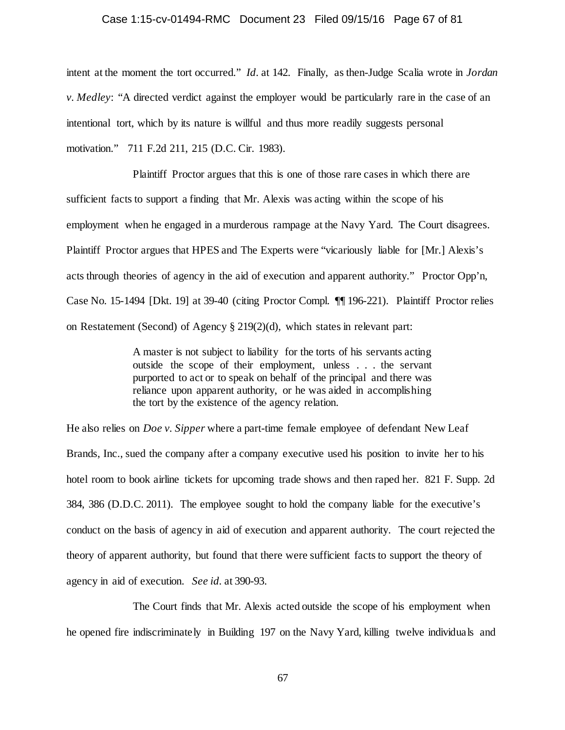## Case 1:15-cv-01494-RMC Document 23 Filed 09/15/16 Page 67 of 81

intent at the moment the tort occurred." *Id.* at 142. Finally, as then-Judge Scalia wrote in *Jordan v. Medley*: "A directed verdict against the employer would be particularly rare in the case of an intentional tort, which by its nature is willful and thus more readily suggests personal motivation." 711 F.2d 211, 215 (D.C. Cir. 1983).

Plaintiff Proctor argues that this is one of those rare cases in which there are sufficient facts to support a finding that Mr. Alexis was acting within the scope of his employment when he engaged in a murderous rampage at the Navy Yard. The Court disagrees. Plaintiff Proctor argues that HPES and The Experts were "vicariously liable for [Mr.] Alexis's acts through theories of agency in the aid of execution and apparent authority." Proctor Opp'n, Case No. 15-1494 [Dkt. 19] at 39-40 (citing Proctor Compl. ¶¶ 196-221). Plaintiff Proctor relies on Restatement (Second) of Agency § 219(2)(d), which states in relevant part:

> A master is not subject to liability for the torts of his servants acting outside the scope of their employment, unless . . . the servant purported to act or to speak on behalf of the principal and there was reliance upon apparent authority, or he was aided in accomplishing the tort by the existence of the agency relation.

He also relies on *Doe v. Sipper* where a part-time female employee of defendant New Leaf Brands, Inc., sued the company after a company executive used his position to invite her to his hotel room to book airline tickets for upcoming trade shows and then raped her. 821 F. Supp. 2d 384, 386 (D.D.C. 2011). The employee sought to hold the company liable for the executive's conduct on the basis of agency in aid of execution and apparent authority. The court rejected the theory of apparent authority, but found that there were sufficient facts to support the theory of agency in aid of execution. *See id.* at 390-93.

The Court finds that Mr. Alexis acted outside the scope of his employment when he opened fire indiscriminately in Building 197 on the Navy Yard, killing twelve individuals and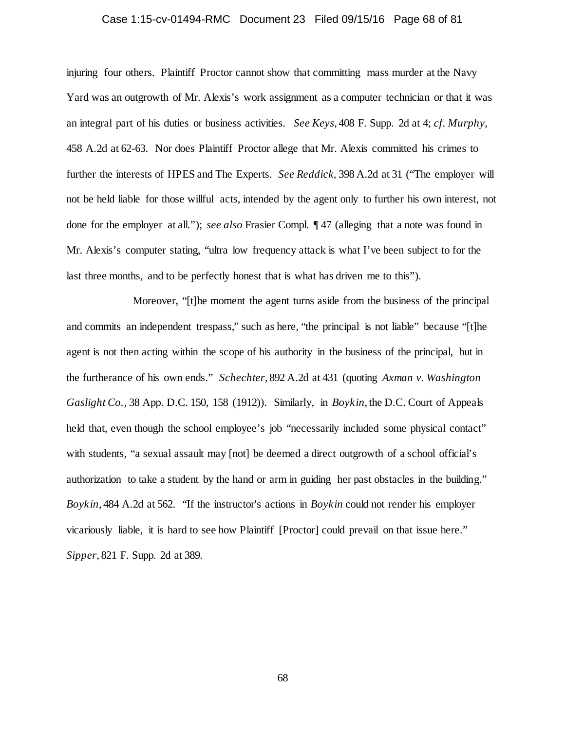# Case 1:15-cv-01494-RMC Document 23 Filed 09/15/16 Page 68 of 81

injuring four others. Plaintiff Proctor cannot show that committing mass murder at the Navy Yard was an outgrowth of Mr. Alexis's work assignment as a computer technician or that it was an integral part of his duties or business activities. *See Keys*, 408 F. Supp. 2d at 4; *cf. Murphy*, 458 A.2d at 62-63. Nor does Plaintiff Proctor allege that Mr. Alexis committed his crimes to further the interests of HPES and The Experts. *See Reddick,* 398 A.2d at 31 ("The employer will not be held liable for those willful acts, intended by the agent only to further his own interest, not done for the employer at all."); *see also* Frasier Compl. ¶ 47 (alleging that a note was found in Mr. Alexis's computer stating, "ultra low frequency attack is what I've been subject to for the last three months, and to be perfectly honest that is what has driven me to this").

Moreover, "[t]he moment the agent turns aside from the business of the principal and commits an independent trespass," such as here, "the principal is not liable" because "[t]he agent is not then acting within the scope of his authority in the business of the principal, but in the furtherance of his own ends." *Schechter*, 892 A.2d at 431 (quoting *Axman v. Washington Gaslight Co.,* 38 App. D.C. 150, 158 (1912)). Similarly, in *Boykin*, the D.C. Court of Appeals held that, even though the school employee's job "necessarily included some physical contact" with students, "a sexual assault may  $[not]$  be deemed a direct outgrowth of a school official's authorization to take a student by the hand or arm in guiding her past obstacles in the building." *Boykin*, 484 A.2d at 562. "If the instructor's actions in *Boykin* could not render his employer vicariously liable, it is hard to see how Plaintiff [Proctor] could prevail on that issue here." *Sipper*, 821 F. Supp. 2d at 389.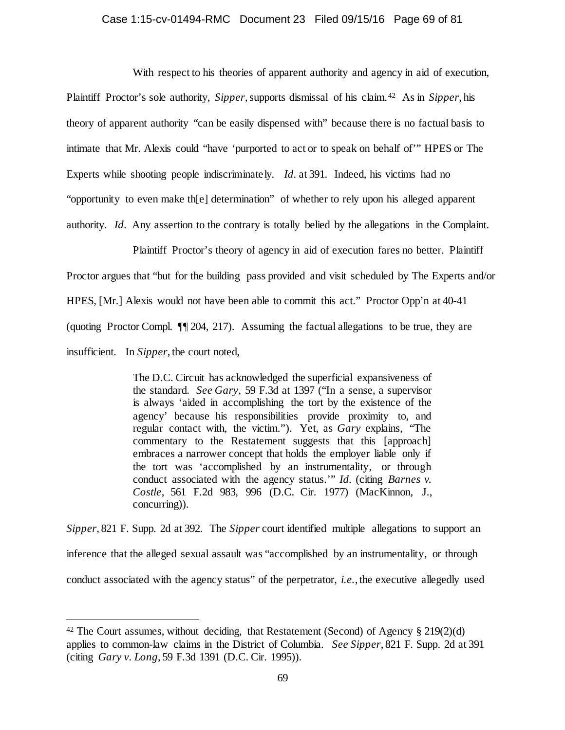# Case 1:15-cv-01494-RMC Document 23 Filed 09/15/16 Page 69 of 81

With respect to his theories of apparent authority and agency in aid of execution, Plaintiff Proctor's sole authority, *Sipper*, supports dismissal of his claim.[42](#page-68-0) As in *Sipper*, his theory of apparent authority "can be easily dispensed with" because there is no factual basis to intimate that Mr. Alexis could "have 'purported to act or to speak on behalf of'" HPES or The Experts while shooting people indiscriminately. *Id.* at 391. Indeed, his victims had no "opportunity to even make th[e] determination" of whether to rely upon his alleged apparent authority. *Id.* Any assertion to the contrary is totally belied by the allegations in the Complaint.

Plaintiff Proctor's theory of agency in aid of execution fares no better. Plaintiff Proctor argues that "but for the building pass provided and visit scheduled by The Experts and/or HPES, [Mr.] Alexis would not have been able to commit this act." Proctor Opp'n at 40-41 (quoting Proctor Compl. ¶¶ 204, 217). Assuming the factual allegations to be true, they are insufficient. In *Sipper*, the court noted,

> The D.C. Circuit has acknowledged the superficial expansiveness of the standard. *See Gary,* 59 F.3d at 1397 ("In a sense, a supervisor is always 'aided in accomplishing the tort by the existence of the agency' because his responsibilities provide proximity to, and regular contact with, the victim."). Yet, as *Gary* explains, "The commentary to the Restatement suggests that this [approach] embraces a narrower concept that holds the employer liable only if the tort was 'accomplished by an instrumentality, or through conduct associated with the agency status.'" *Id.* (citing *Barnes v. Costle,* 561 F.2d 983, 996 (D.C. Cir. 1977) (MacKinnon, J., concurring)).

*Sipper*, 821 F. Supp. 2d at 392. The *Sipper* court identified multiple allegations to support an inference that the alleged sexual assault was "accomplished by an instrumentality, or through conduct associated with the agency status" of the perpetrator, *i.e.*, the executive allegedly used

<span id="page-68-0"></span><sup>&</sup>lt;sup>42</sup> The Court assumes, without deciding, that Restatement (Second) of Agency  $\S 219(2)(d)$ applies to common-law claims in the District of Columbia. *See Sipper*, 821 F. Supp. 2d at 391 (citing *Gary v. Long*, 59 F.3d 1391 (D.C. Cir. 1995)).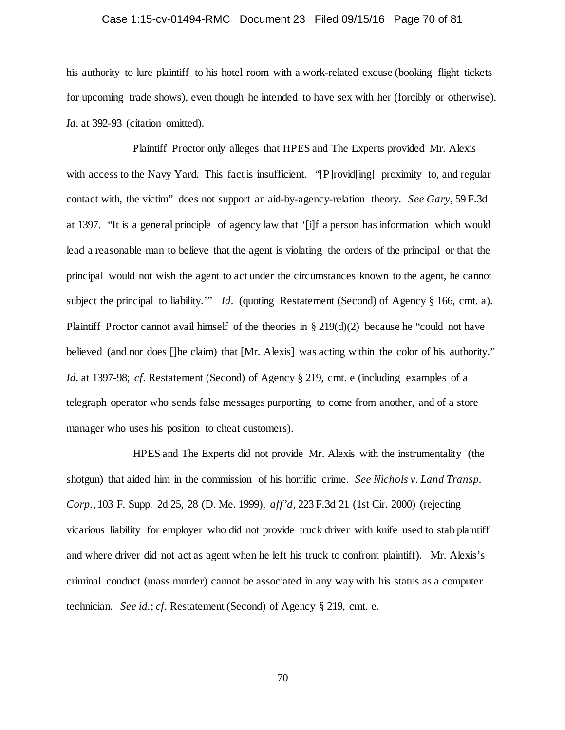# Case 1:15-cv-01494-RMC Document 23 Filed 09/15/16 Page 70 of 81

his authority to lure plaintiff to his hotel room with a work-related excuse (booking flight tickets for upcoming trade shows), even though he intended to have sex with her (forcibly or otherwise). Id. at 392-93 (citation omitted).

Plaintiff Proctor only alleges that HPES and The Experts provided Mr. Alexis with access to the Navy Yard. This fact is insufficient. "[P]rovid[ing] proximity to, and regular contact with, the victim" does not support an aid-by-agency-relation theory. *See Gary,* 59 F.3d at 1397. "It is a general principle of agency law that '[i]f a person has information which would lead a reasonable man to believe that the agent is violating the orders of the principal or that the principal would not wish the agent to act under the circumstances known to the agent, he cannot subject the principal to liability.'" *Id.* (quoting Restatement (Second) of Agency § 166, cmt. a). Plaintiff Proctor cannot avail himself of the theories in  $\S 219(d)(2)$  because he "could not have believed (and nor does []he claim) that [Mr. Alexis] was acting within the color of his authority." *Id.* at 1397-98; *cf.* Restatement (Second) of Agency § 219, cmt. e (including examples of a telegraph operator who sends false messages purporting to come from another, and of a store manager who uses his position to cheat customers).

HPES and The Experts did not provide Mr. Alexis with the instrumentality (the shotgun) that aided him in the commission of his horrific crime. *See Nichols v. Land Transp. Corp.*, 103 F. Supp. 2d 25, 28 (D. Me. 1999), *aff'd,* 223 F.3d 21 (1st Cir. 2000) (rejecting vicarious liability for employer who did not provide truck driver with knife used to stab plaintiff and where driver did not act as agent when he left his truck to confront plaintiff). Mr. Alexis's criminal conduct (mass murder) cannot be associated in any way with his status as a computer technician. *See id.*; *cf.* Restatement (Second) of Agency § 219, cmt. e.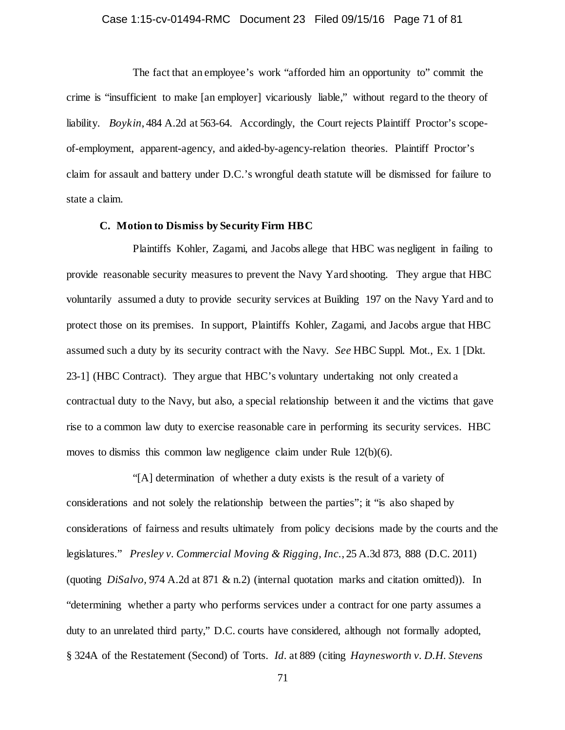# Case 1:15-cv-01494-RMC Document 23 Filed 09/15/16 Page 71 of 81

The fact that an employee's work "afforded him an opportunity to" commit the crime is "insufficient to make [an employer] vicariously liable," without regard to the theory of liability. *Boykin*, 484 A.2d at 563-64. Accordingly, the Court rejects Plaintiff Proctor's scopeof-employment, apparent-agency, and aided-by-agency-relation theories. Plaintiff Proctor's claim for assault and battery under D.C.'s wrongful death statute will be dismissed for failure to state a claim.

# **C. Motion to Dismiss by Security Firm HBC**

Plaintiffs Kohler, Zagami, and Jacobs allege that HBC was negligent in failing to provide reasonable security measures to prevent the Navy Yard shooting. They argue that HBC voluntarily assumed a duty to provide security services at Building 197 on the Navy Yard and to protect those on its premises. In support, Plaintiffs Kohler, Zagami, and Jacobs argue that HBC assumed such a duty by its security contract with the Navy. *See* HBC Suppl. Mot., Ex. 1 [Dkt. 23-1] (HBC Contract). They argue that HBC's voluntary undertaking not only created a contractual duty to the Navy, but also, a special relationship between it and the victims that gave rise to a common law duty to exercise reasonable care in performing its security services. HBC moves to dismiss this common law negligence claim under Rule 12(b)(6).

"[A] determination of whether a duty exists is the result of a variety of considerations and not solely the relationship between the parties"; it "is also shaped by considerations of fairness and results ultimately from policy decisions made by the courts and the legislatures." *Presley v. Commercial Moving & Rigging, Inc.*, 25 A.3d 873, 888 (D.C. 2011) (quoting *DiSalvo,* 974 A.2d at 871 & n.2) (internal quotation marks and citation omitted)). In "determining whether a party who performs services under a contract for one party assumes a duty to an unrelated third party," D.C. courts have considered, although not formally adopted, § 324A of the Restatement (Second) of Torts. *Id.* at 889 (citing *Haynesworth v. D.H. Stevens*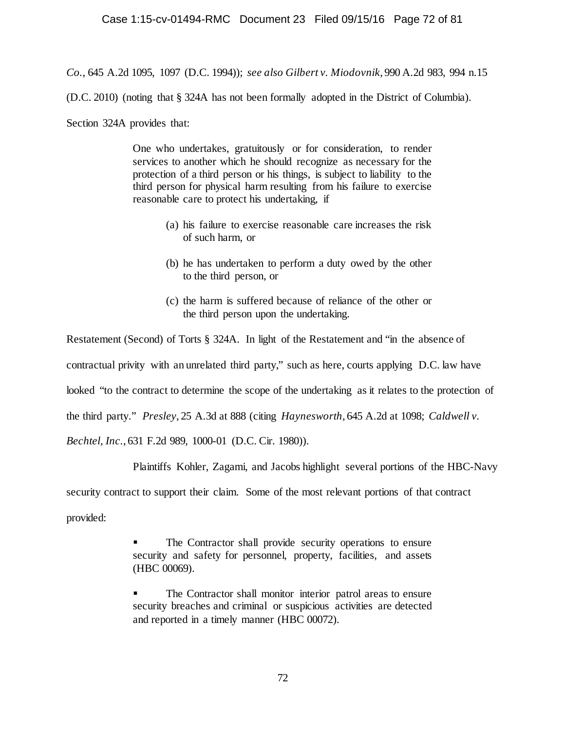*Co.*, 645 A.2d 1095, 1097 (D.C. 1994)); *see also Gilbert v. Miodovnik*, 990 A.2d 983, 994 n.15

(D.C. 2010) (noting that § 324A has not been formally adopted in the District of Columbia).

Section 324A provides that:

One who undertakes, gratuitously or for consideration, to render services to another which he should recognize as necessary for the protection of a third person or his things, is subject to liability to the third person for physical harm resulting from his failure to exercise reasonable care to protect his undertaking, if

- (a) his failure to exercise reasonable care increases the risk of such harm, or
- (b) he has undertaken to perform a duty owed by the other to the third person, or
- (c) the harm is suffered because of reliance of the other or the third person upon the undertaking.

Restatement (Second) of Torts § 324A. In light of the Restatement and "in the absence of contractual privity with an unrelated third party," such as here, courts applying D.C. law have looked "to the contract to determine the scope of the undertaking as it relates to the protection of the third party." *Presley*, 25 A.3d at 888 (citing *Haynesworth*, 645 A.2d at 1098; *Caldwell v. Bechtel, Inc.*, 631 F.2d 989, 1000-01 (D.C. Cir. 1980)).

Plaintiffs Kohler, Zagami, and Jacobs highlight several portions of the HBC-Navy

security contract to support their claim. Some of the most relevant portions of that contract

provided:

 The Contractor shall provide security operations to ensure security and safety for personnel, property, facilities, and assets (HBC 00069).

 The Contractor shall monitor interior patrol areas to ensure security breaches and criminal or suspicious activities are detected and reported in a timely manner (HBC 00072).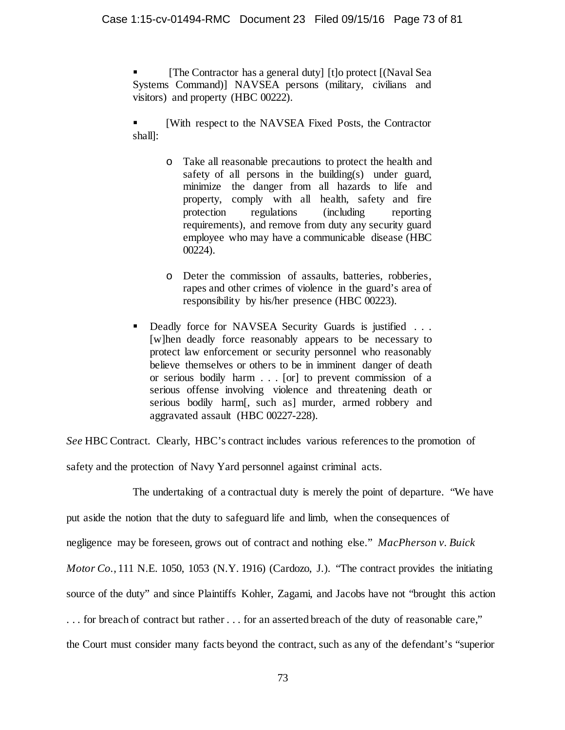[The Contractor has a general duty] [t]o protect [(Naval Sea Systems Command)] NAVSEA persons (military, civilians and visitors) and property (HBC 00222).

 [With respect to the NAVSEA Fixed Posts, the Contractor shall]:

- o Take all reasonable precautions to protect the health and safety of all persons in the building(s) under guard, minimize the danger from all hazards to life and property, comply with all health, safety and fire protection regulations (including reporting requirements), and remove from duty any security guard employee who may have a communicable disease (HBC 00224).
- o Deter the commission of assaults, batteries, robberies, rapes and other crimes of violence in the guard's area of responsibility by his/her presence (HBC 00223).
- Deadly force for NAVSEA Security Guards is justified . . . [w]hen deadly force reasonably appears to be necessary to protect law enforcement or security personnel who reasonably believe themselves or others to be in imminent danger of death or serious bodily harm . . . [or] to prevent commission of a serious offense involving violence and threatening death or serious bodily harm[, such as] murder, armed robbery and aggravated assault (HBC 00227-228).

*See* HBC Contract. Clearly, HBC's contract includes various references to the promotion of

safety and the protection of Navy Yard personnel against criminal acts.

The undertaking of a contractual duty is merely the point of departure. "We have put aside the notion that the duty to safeguard life and limb, when the consequences of negligence may be foreseen, grows out of contract and nothing else." *MacPherson v. Buick Motor Co.*, 111 N.E. 1050, 1053 (N.Y. 1916) (Cardozo, J.). "The contract provides the initiating source of the duty" and since Plaintiffs Kohler, Zagami, and Jacobs have not "brought this action . . . for breach of contract but rather . . . for an asserted breach of the duty of reasonable care," the Court must consider many facts beyond the contract, such as any of the defendant's "superior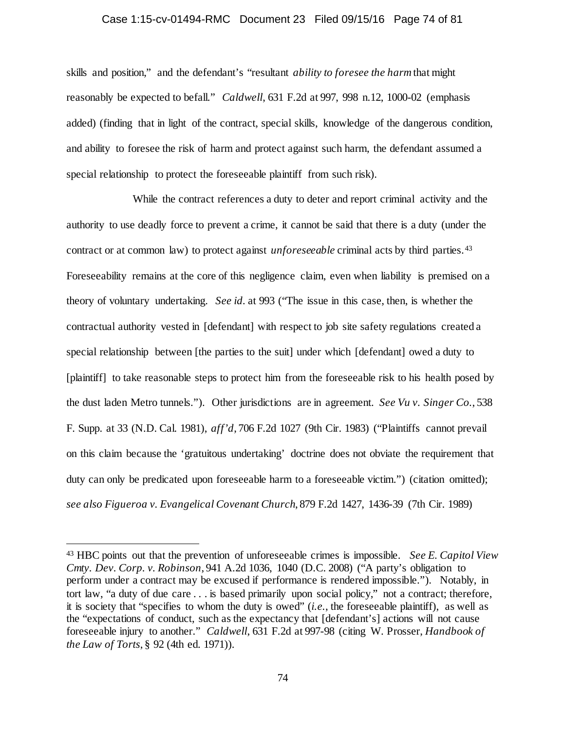#### Case 1:15-cv-01494-RMC Document 23 Filed 09/15/16 Page 74 of 81

skills and position," and the defendant's "resultant *ability to foresee the harm* that might reasonably be expected to befall." *Caldwell*, 631 F.2d at 997, 998 n.12, 1000-02 (emphasis added) (finding that in light of the contract, special skills, knowledge of the dangerous condition, and ability to foresee the risk of harm and protect against such harm, the defendant assumed a special relationship to protect the foreseeable plaintiff from such risk).

While the contract references a duty to deter and report criminal activity and the authority to use deadly force to prevent a crime, it cannot be said that there is a duty (under the contract or at common law) to protect against *unforeseeable* criminal acts by third parties.[43](#page-73-0) Foreseeability remains at the core of this negligence claim, even when liability is premised on a theory of voluntary undertaking. *See id.* at 993 ("The issue in this case, then, is whether the contractual authority vested in [defendant] with respect to job site safety regulations created a special relationship between [the parties to the suit] under which [defendant] owed a duty to [plaintiff] to take reasonable steps to protect him from the foreseeable risk to his health posed by the dust laden Metro tunnels."). Other jurisdictions are in agreement. *See Vu v. Singer Co.*, 538 F. Supp. at 33 (N.D. Cal. 1981), *aff'd*, 706 F.2d 1027 (9th Cir. 1983) ("Plaintiffs cannot prevail on this claim because the 'gratuitous undertaking' doctrine does not obviate the requirement that duty can only be predicated upon foreseeable harm to a foreseeable victim.") (citation omitted); *see also Figueroa v. Evangelical Covenant Church*, 879 F.2d 1427, 1436-39 (7th Cir. 1989)

<span id="page-73-0"></span> <sup>43</sup> HBC points out that the prevention of unforeseeable crimes is impossible. *See E. Capitol View Cmty. Dev. Corp. v. Robinson*, 941 A.2d 1036, 1040 (D.C. 2008) ("A party's obligation to perform under a contract may be excused if performance is rendered impossible."). Notably, in tort law, "a duty of due care . . . is based primarily upon social policy," not a contract; therefore, it is society that "specifies to whom the duty is owed" (*i.e.*, the foreseeable plaintiff), as well as the "expectations of conduct, such as the expectancy that [defendant's] actions will not cause foreseeable injury to another." *Caldwell*, 631 F.2d at 997-98 (citing W. Prosser, *Handbook of the Law of Torts*, § 92 (4th ed. 1971)).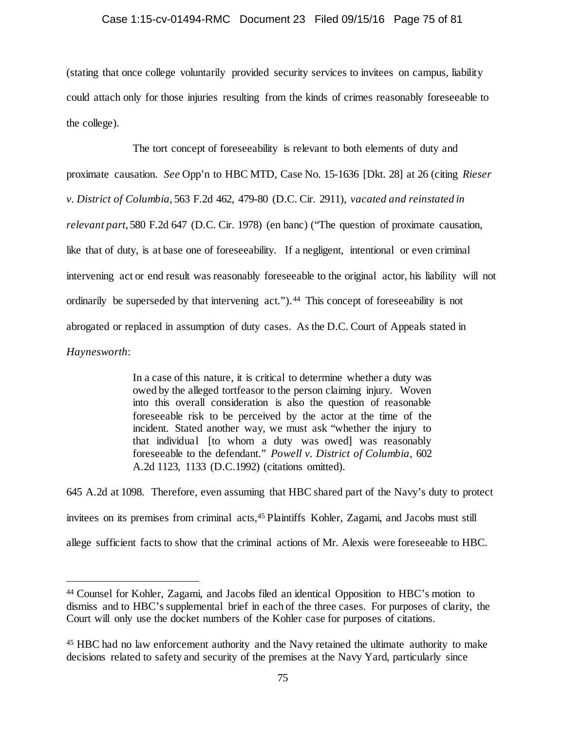### Case 1:15-cv-01494-RMC Document 23 Filed 09/15/16 Page 75 of 81

(stating that once college voluntarily provided security services to invitees on campus, liability could attach only for those injuries resulting from the kinds of crimes reasonably foreseeable to the college).

The tort concept of foreseeability is relevant to both elements of duty and proximate causation. *See* Opp'n to HBC MTD, Case No. 15-1636 [Dkt. 28] at 26 (citing *Rieser v. District of Columbia*, 563 F.2d 462, 479-80 (D.C. Cir. 2911), *vacated and reinstated in relevant part*, 580 F.2d 647 (D.C. Cir. 1978) (en banc) ("The question of proximate causation, like that of duty, is at base one of foreseeability. If a negligent, intentional or even criminal intervening act or end result was reasonably foreseeable to the original actor, his liability will not ordinarily be superseded by that intervening act.").<sup>44</sup> This concept of foreseeability is not abrogated or replaced in assumption of duty cases. As the D.C. Court of Appeals stated in *Haynesworth*:

> In a case of this nature, it is critical to determine whether a duty was owed by the alleged tortfeasor to the person claiming injury. Woven into this overall consideration is also the question of reasonable foreseeable risk to be perceived by the actor at the time of the incident. Stated another way, we must ask "whether the injury to that individual [to whom a duty was owed] was reasonably foreseeable to the defendant." *Powell v. District of Columbia,* 602 A.2d 1123, 1133 (D.C.1992) (citations omitted).

645 A.2d at 1098. Therefore, even assuming that HBC shared part of the Navy's duty to protect invitees on its premises from criminal acts[,45](#page-74-1) Plaintiffs Kohler, Zagami, and Jacobs must still allege sufficient facts to show that the criminal actions of Mr. Alexis were foreseeable to HBC.

<span id="page-74-0"></span> <sup>44</sup> Counsel for Kohler, Zagami, and Jacobs filed an identical Opposition to HBC's motion to dismiss and to HBC's supplemental brief in each of the three cases. For purposes of clarity, the Court will only use the docket numbers of the Kohler case for purposes of citations.

<span id="page-74-1"></span><sup>45</sup> HBC had no law enforcement authority and the Navy retained the ultimate authority to make decisions related to safety and security of the premises at the Navy Yard, particularly since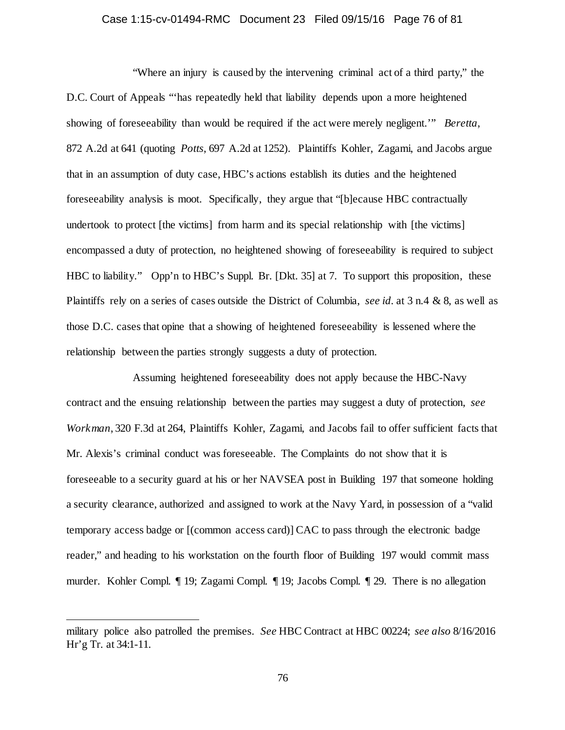### Case 1:15-cv-01494-RMC Document 23 Filed 09/15/16 Page 76 of 81

"Where an injury is caused by the intervening criminal act of a third party," the D.C. Court of Appeals "'has repeatedly held that liability depends upon a more heightened showing of foreseeability than would be required if the act were merely negligent.'" *Beretta*, 872 A.2d at 641 (quoting *Potts*, 697 A.2d at 1252). Plaintiffs Kohler, Zagami, and Jacobs argue that in an assumption of duty case, HBC's actions establish its duties and the heightened foreseeability analysis is moot. Specifically, they argue that "[b]ecause HBC contractually undertook to protect [the victims] from harm and its special relationship with [the victims] encompassed a duty of protection, no heightened showing of foreseeability is required to subject HBC to liability." Opp'n to HBC's Suppl. Br. [Dkt. 35] at 7. To support this proposition, these Plaintiffs rely on a series of cases outside the District of Columbia, *see id.* at 3 n.4 & 8, as well as those D.C. cases that opine that a showing of heightened foreseeability is lessened where the relationship between the parties strongly suggests a duty of protection.

Assuming heightened foreseeability does not apply because the HBC-Navy contract and the ensuing relationship between the parties may suggest a duty of protection, *see Workman*, 320 F.3d at 264, Plaintiffs Kohler, Zagami, and Jacobs fail to offer sufficient facts that Mr. Alexis's criminal conduct was foreseeable. The Complaints do not show that it is foreseeable to a security guard at his or her NAVSEA post in Building 197 that someone holding a security clearance, authorized and assigned to work at the Navy Yard, in possession of a "valid temporary access badge or [(common access card)] CAC to pass through the electronic badge reader," and heading to his workstation on the fourth floor of Building 197 would commit mass murder. Kohler Compl. ¶ 19; Zagami Compl. ¶ 19; Jacobs Compl. ¶ 29. There is no allegation

l

military police also patrolled the premises. *See* HBC Contract at HBC 00224; *see also* 8/16/2016 Hr'g Tr. at 34:1-11.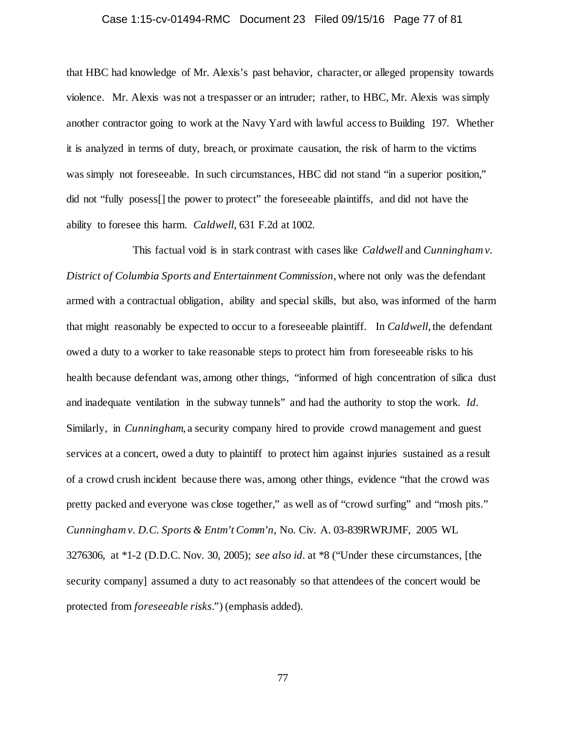### Case 1:15-cv-01494-RMC Document 23 Filed 09/15/16 Page 77 of 81

that HBC had knowledge of Mr. Alexis's past behavior, character, or alleged propensity towards violence. Mr. Alexis was not a trespasser or an intruder; rather, to HBC, Mr. Alexis was simply another contractor going to work at the Navy Yard with lawful access to Building 197. Whether it is analyzed in terms of duty, breach, or proximate causation, the risk of harm to the victims was simply not foreseeable. In such circumstances, HBC did not stand "in a superior position," did not "fully posess[] the power to protect" the foreseeable plaintiffs, and did not have the ability to foresee this harm. *Caldwell*, 631 F.2d at 1002.

This factual void is in stark contrast with cases like *Caldwell* and *Cunningham v. District of Columbia Sports and Entertainment Commission*, where not only was the defendant armed with a contractual obligation, ability and special skills, but also, was informed of the harm that might reasonably be expected to occur to a foreseeable plaintiff. In *Caldwell*, the defendant owed a duty to a worker to take reasonable steps to protect him from foreseeable risks to his health because defendant was, among other things, "informed of high concentration of silica dust and inadequate ventilation in the subway tunnels" and had the authority to stop the work. *Id.* Similarly, in *Cunningham*, a security company hired to provide crowd management and guest services at a concert, owed a duty to plaintiff to protect him against injuries sustained as a result of a crowd crush incident because there was, among other things, evidence "that the crowd was pretty packed and everyone was close together," as well as of "crowd surfing" and "mosh pits." *Cunningham v. D.C. Sports & Entm't Comm'n*, No. Civ. A. 03-839RWRJMF, 2005 WL 3276306, at \*1-2 (D.D.C. Nov. 30, 2005); *see also id.* at \*8 ("Under these circumstances, [the security company] assumed a duty to act reasonably so that attendees of the concert would be protected from *foreseeable risks*.") (emphasis added).

77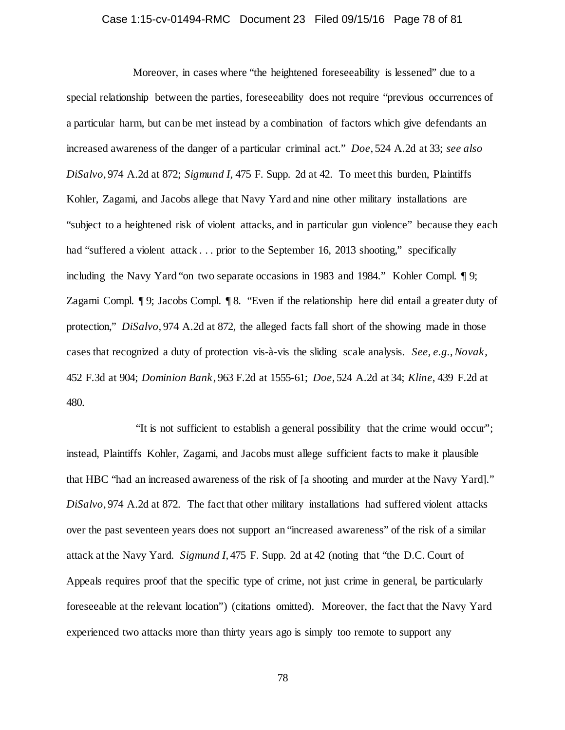### Case 1:15-cv-01494-RMC Document 23 Filed 09/15/16 Page 78 of 81

Moreover, in cases where "the heightened foreseeability is lessened" due to a special relationship between the parties, foreseeability does not require "previous occurrences of a particular harm, but can be met instead by a combination of factors which give defendants an increased awareness of the danger of a particular criminal act." *Doe*, 524 A.2d at 33; *see also DiSalvo*, 974 A.2d at 872; *Sigmund I*, 475 F. Supp. 2d at 42. To meet this burden, Plaintiffs Kohler, Zagami, and Jacobs allege that Navy Yard and nine other military installations are "subject to a heightened risk of violent attacks, and in particular gun violence" because they each had "suffered a violent attack . . . prior to the September 16, 2013 shooting," specifically including the Navy Yard "on two separate occasions in 1983 and 1984." Kohler Compl. ¶ 9; Zagami Compl. ¶ 9; Jacobs Compl. ¶ 8. "Even if the relationship here did entail a greater duty of protection," *DiSalvo*, 974 A.2d at 872, the alleged facts fall short of the showing made in those cases that recognized a duty of protection vis-à-vis the sliding scale analysis. *See, e.g.*, *Novak*, 452 F.3d at 904; *Dominion Bank*, 963 F.2d at 1555-61; *Doe*, 524 A.2d at 34; *Kline*, 439 F.2d at 480.

"It is not sufficient to establish a general possibility that the crime would occur"; instead, Plaintiffs Kohler, Zagami, and Jacobs must allege sufficient facts to make it plausible that HBC "had an increased awareness of the risk of [a shooting and murder at the Navy Yard]." *DiSalvo*, 974 A.2d at 872. The fact that other military installations had suffered violent attacks over the past seventeen years does not support an "increased awareness" of the risk of a similar attack at the Navy Yard. *Sigmund I*, 475 F. Supp. 2d at 42 (noting that "the D.C. Court of Appeals requires proof that the specific type of crime, not just crime in general, be particularly foreseeable at the relevant location") (citations omitted). Moreover, the fact that the Navy Yard experienced two attacks more than thirty years ago is simply too remote to support any

78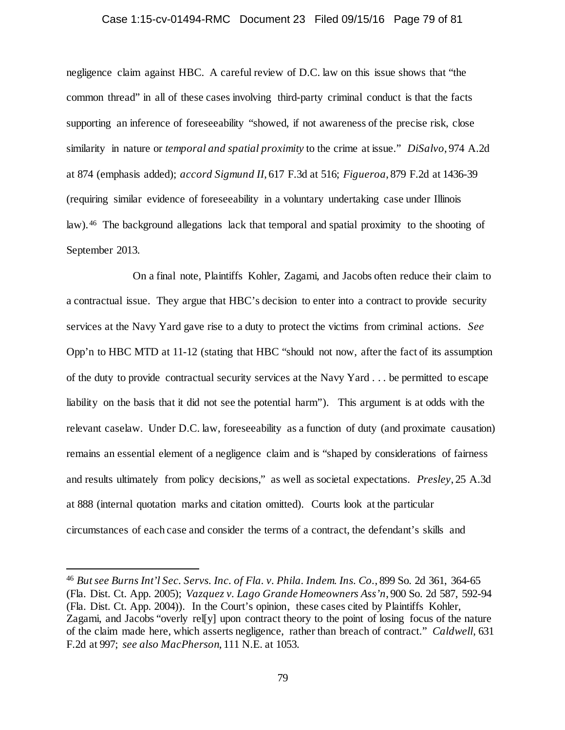#### Case 1:15-cv-01494-RMC Document 23 Filed 09/15/16 Page 79 of 81

negligence claim against HBC. A careful review of D.C. law on this issue shows that "the common thread" in all of these cases involving third-party criminal conduct is that the facts supporting an inference of foreseeability "showed, if not awareness of the precise risk, close similarity in nature or *temporal and spatial proximity* to the crime at issue." *DiSalvo*, 974 A.2d at 874 (emphasis added); *accord Sigmund II*, 617 F.3d at 516; *Figueroa*, 879 F.2d at 1436-39 (requiring similar evidence of foreseeability in a voluntary undertaking case under Illinois law). [46](#page-78-0) The background allegations lack that temporal and spatial proximity to the shooting of September 2013.

On a final note, Plaintiffs Kohler, Zagami, and Jacobs often reduce their claim to a contractual issue. They argue that HBC's decision to enter into a contract to provide security services at the Navy Yard gave rise to a duty to protect the victims from criminal actions. *See* Opp'n to HBC MTD at 11-12 (stating that HBC "should not now, after the fact of its assumption of the duty to provide contractual security services at the Navy Yard . . . be permitted to escape liability on the basis that it did not see the potential harm"). This argument is at odds with the relevant caselaw. Under D.C. law, foreseeability as a function of duty (and proximate causation) remains an essential element of a negligence claim and is "shaped by considerations of fairness and results ultimately from policy decisions," as well as societal expectations. *Presley*, 25 A.3d at 888 (internal quotation marks and citation omitted). Courts look at the particular circumstances of each case and consider the terms of a contract, the defendant's skills and

<span id="page-78-0"></span> <sup>46</sup> *But see Burns Int'l Sec. Servs. Inc. of Fla. v. Phila. Indem. Ins. Co.*, 899 So. 2d 361, 364-65 (Fla. Dist. Ct. App. 2005); *Vazquez v. Lago Grande Homeowners Ass'n*, 900 So. 2d 587, 592-94 (Fla. Dist. Ct. App. 2004)). In the Court's opinion, these cases cited by Plaintiffs Kohler, Zagami, and Jacobs "overly rel[y] upon contract theory to the point of losing focus of the nature of the claim made here, which asserts negligence, rather than breach of contract." *Caldwell*, 631 F.2d at 997; *see also MacPherson*, 111 N.E. at 1053.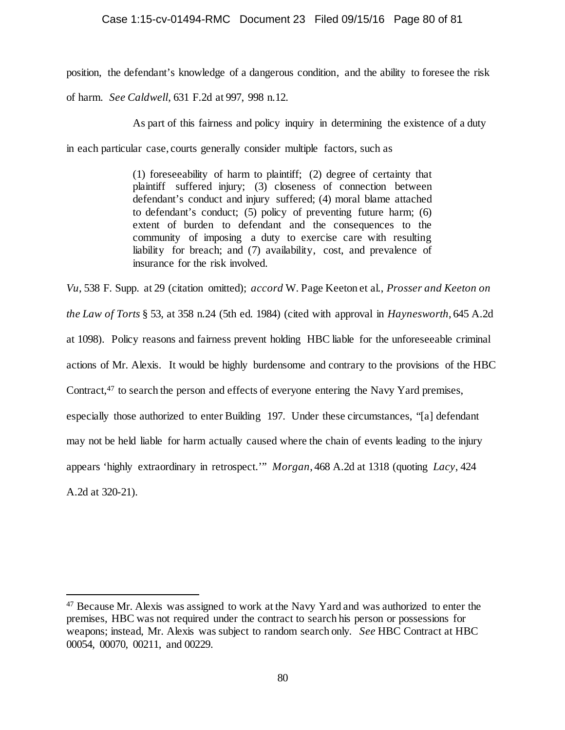## Case 1:15-cv-01494-RMC Document 23 Filed 09/15/16 Page 80 of 81

position, the defendant's knowledge of a dangerous condition, and the ability to foresee the risk

of harm. *See Caldwell*, 631 F.2d at 997, 998 n.12.

As part of this fairness and policy inquiry in determining the existence of a duty

in each particular case, courts generally consider multiple factors, such as

(1) foreseeability of harm to plaintiff; (2) degree of certainty that plaintiff suffered injury; (3) closeness of connection between defendant's conduct and injury suffered; (4) moral blame attached to defendant's conduct; (5) policy of preventing future harm; (6) extent of burden to defendant and the consequences to the community of imposing a duty to exercise care with resulting liability for breach; and (7) availability, cost, and prevalence of insurance for the risk involved.

*Vu*, 538 F. Supp. at 29 (citation omitted); *accord* W. Page Keeton et al., *Prosser and Keeton on the Law of Torts* § 53, at 358 n.24 (5th ed. 1984) (cited with approval in *Haynesworth*, 645 A.2d at 1098). Policy reasons and fairness prevent holding HBC liable for the unforeseeable criminal actions of Mr. Alexis. It would be highly burdensome and contrary to the provisions of the HBC Contract,[47](#page-79-0) to search the person and effects of everyone entering the Navy Yard premises, especially those authorized to enter Building 197. Under these circumstances, "[a] defendant may not be held liable for harm actually caused where the chain of events leading to the injury appears 'highly extraordinary in retrospect.'" *Morgan*, 468 A.2d at 1318 (quoting *Lacy*, 424 A.2d at 320-21).

<span id="page-79-0"></span> <sup>47</sup> Because Mr. Alexis was assigned to work at the Navy Yard and was authorized to enter the premises, HBC was not required under the contract to search his person or possessions for weapons; instead, Mr. Alexis was subject to random search only. *See* HBC Contract at HBC 00054, 00070, 00211, and 00229.